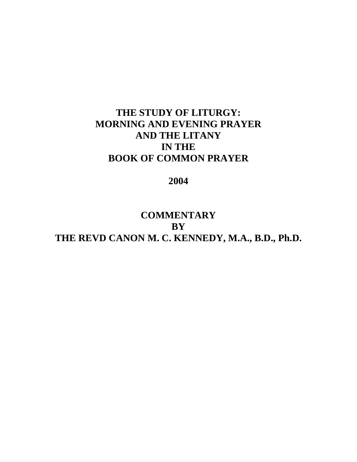# **THE STUDY OF LITURGY: MORNING AND EVENING PRAYER AND THE LITANY IN THE BOOK OF COMMON PRAYER**

**2004** 

**COMMENTARY BY THE REVD CANON M. C. KENNEDY, M.A., B.D., Ph.D.**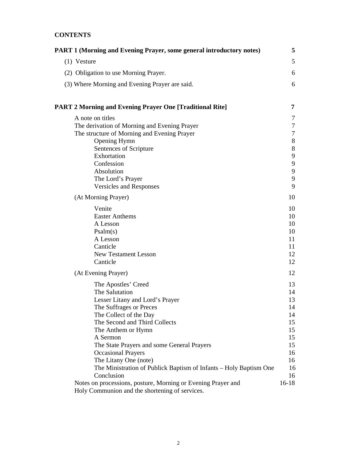## **CONTENTS**

| <b>PART 1 (Morning and Evening Prayer, some general introductory notes)</b>                                                                                                                                                                                                                                                                                                             | 5                                                                          |
|-----------------------------------------------------------------------------------------------------------------------------------------------------------------------------------------------------------------------------------------------------------------------------------------------------------------------------------------------------------------------------------------|----------------------------------------------------------------------------|
| $(1)$ Vesture                                                                                                                                                                                                                                                                                                                                                                           | 5                                                                          |
| (2) Obligation to use Morning Prayer.                                                                                                                                                                                                                                                                                                                                                   | 6                                                                          |
| (3) Where Morning and Evening Prayer are said.                                                                                                                                                                                                                                                                                                                                          | 6                                                                          |
| <b>PART 2 Morning and Evening Prayer One [Traditional Rite]</b>                                                                                                                                                                                                                                                                                                                         | 7                                                                          |
| A note on titles<br>The derivation of Morning and Evening Prayer<br>The structure of Morning and Evening Prayer<br>Opening Hymn<br>Sentences of Scripture<br>Exhortation<br>Confession                                                                                                                                                                                                  | 7<br>7<br>7<br>$8\,$<br>$8\,$<br>9<br>$\boldsymbol{9}$                     |
| Absolution<br>The Lord's Prayer<br>Versicles and Responses                                                                                                                                                                                                                                                                                                                              | $\mathbf{9}$<br>9<br>9                                                     |
| (At Morning Prayer)                                                                                                                                                                                                                                                                                                                                                                     | 10                                                                         |
| Venite<br><b>Easter Anthems</b><br>A Lesson<br>Psalm(s)<br>A Lesson<br>Canticle<br><b>New Testament Lesson</b><br>Canticle                                                                                                                                                                                                                                                              | 10<br>10<br>10<br>10<br>11<br>11<br>12<br>12                               |
| (At Evening Prayer)                                                                                                                                                                                                                                                                                                                                                                     | 12                                                                         |
| The Apostles' Creed<br>The Salutation<br>Lesser Litany and Lord's Prayer<br>The Suffrages or Preces<br>The Collect of the Day<br>The Second and Third Collects<br>The Anthem or Hymn<br>A Sermon<br>The State Prayers and some General Prayers<br><b>Occasional Prayers</b><br>The Litany One (note)<br>The Ministration of Publick Baptism of Infants – Holy Baptism One<br>Conclusion | 13<br>14<br>13<br>14<br>14<br>15<br>15<br>15<br>15<br>16<br>16<br>16<br>16 |
| Notes on processions, posture, Morning or Evening Prayer and<br>Holy Communion and the shortening of services.                                                                                                                                                                                                                                                                          | $16-18$                                                                    |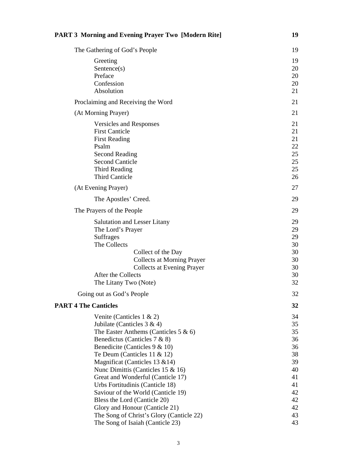| <b>PART 3 Morning and Evening Prayer Two [Modern Rite]</b>                                                                                                                                                                                                                                                                                                                                                                                                                                                                                                                         | 19                                                                                           |
|------------------------------------------------------------------------------------------------------------------------------------------------------------------------------------------------------------------------------------------------------------------------------------------------------------------------------------------------------------------------------------------------------------------------------------------------------------------------------------------------------------------------------------------------------------------------------------|----------------------------------------------------------------------------------------------|
| The Gathering of God's People                                                                                                                                                                                                                                                                                                                                                                                                                                                                                                                                                      | 19                                                                                           |
| Greeting<br>$S$ entence $(s)$<br>Preface<br>Confession<br>Absolution                                                                                                                                                                                                                                                                                                                                                                                                                                                                                                               | 19<br>20<br>20<br>20<br>21                                                                   |
| Proclaiming and Receiving the Word                                                                                                                                                                                                                                                                                                                                                                                                                                                                                                                                                 | 21                                                                                           |
| (At Morning Prayer)                                                                                                                                                                                                                                                                                                                                                                                                                                                                                                                                                                | 21                                                                                           |
| Versicles and Responses<br><b>First Canticle</b><br><b>First Reading</b><br>Psalm<br><b>Second Reading</b><br><b>Second Canticle</b><br>Third Reading<br><b>Third Canticle</b>                                                                                                                                                                                                                                                                                                                                                                                                     | 21<br>21<br>21<br>22<br>25<br>25<br>25<br>26                                                 |
| (At Evening Prayer)                                                                                                                                                                                                                                                                                                                                                                                                                                                                                                                                                                | 27                                                                                           |
| The Apostles' Creed.                                                                                                                                                                                                                                                                                                                                                                                                                                                                                                                                                               | 29                                                                                           |
| The Prayers of the People                                                                                                                                                                                                                                                                                                                                                                                                                                                                                                                                                          | 29                                                                                           |
| <b>Salutation and Lesser Litany</b><br>The Lord's Prayer<br><b>Suffrages</b><br>The Collects<br>Collect of the Day<br><b>Collects at Morning Prayer</b><br><b>Collects at Evening Prayer</b><br>After the Collects                                                                                                                                                                                                                                                                                                                                                                 | 29<br>29<br>29<br>30<br>30<br>30<br>30<br>30                                                 |
| The Litany Two (Note)                                                                                                                                                                                                                                                                                                                                                                                                                                                                                                                                                              | 32<br>32                                                                                     |
| Going out as God's People                                                                                                                                                                                                                                                                                                                                                                                                                                                                                                                                                          |                                                                                              |
| <b>PART 4 The Canticles</b><br>Venite (Canticles $1 \& 2$ )<br>Jubilate (Canticles $3 \& 4$ )<br>The Easter Anthems (Canticles 5 $\&$ 6)<br>Benedictus (Canticles 7 & 8)<br>Benedicite (Canticles 9 & 10)<br>Te Deum (Canticles 11 & 12)<br>Magnificat (Canticles 13 & 14)<br>Nunc Dimittis (Canticles 15 $\&$ 16)<br>Great and Wonderful (Canticle 17)<br>Urbs Fortitudinis (Canticle 18)<br>Saviour of the World (Canticle 19)<br>Bless the Lord (Canticle 20)<br>Glory and Honour (Canticle 21)<br>The Song of Christ's Glory (Canticle 22)<br>The Song of Isaiah (Canticle 23) | 32<br>34<br>35<br>35<br>36<br>36<br>38<br>39<br>40<br>41<br>41<br>42<br>42<br>42<br>43<br>43 |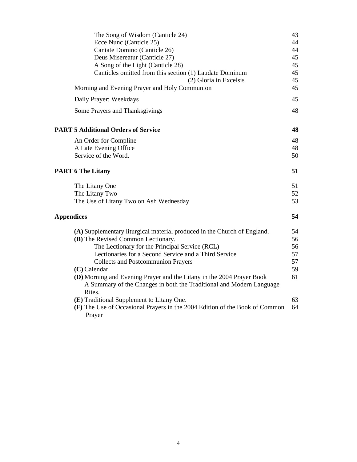| The Song of Wisdom (Canticle 24)                                            | 43 |
|-----------------------------------------------------------------------------|----|
| Ecce Nunc (Canticle 25)                                                     | 44 |
| Cantate Domino (Canticle 26)                                                | 44 |
| Deus Misereatur (Canticle 27)                                               | 45 |
| A Song of the Light (Canticle 28)                                           | 45 |
| Canticles omitted from this section (1) Laudate Dominum                     | 45 |
| (2) Gloria in Excelsis                                                      | 45 |
| Morning and Evening Prayer and Holy Communion                               | 45 |
| Daily Prayer: Weekdays                                                      | 45 |
| Some Prayers and Thanksgivings                                              | 48 |
| <b>PART 5 Additional Orders of Service</b>                                  | 48 |
| An Order for Compline                                                       | 48 |
| A Late Evening Office                                                       | 48 |
| Service of the Word.                                                        | 50 |
| <b>PART 6 The Litany</b>                                                    |    |
| The Litany One                                                              | 51 |
| The Litany Two                                                              | 52 |
| The Use of Litany Two on Ash Wednesday                                      | 53 |
| <b>Appendices</b>                                                           | 54 |
| (A) Supplementary liturgical material produced in the Church of England.    | 54 |
| (B) The Revised Common Lectionary.                                          | 56 |
| The Lectionary for the Principal Service (RCL)                              | 56 |
| Lectionaries for a Second Service and a Third Service                       | 57 |
| <b>Collects and Postcommunion Prayers</b>                                   | 57 |
| $(C)$ Calendar                                                              | 59 |
| (D) Morning and Evening Prayer and the Litany in the 2004 Prayer Book       | 61 |
| A Summary of the Changes in both the Traditional and Modern Language        |    |
| Rites.                                                                      |    |
| (E) Traditional Supplement to Litany One.                                   | 63 |
| (F) The Use of Occasional Prayers in the 2004 Edition of the Book of Common | 64 |
| Prayer                                                                      |    |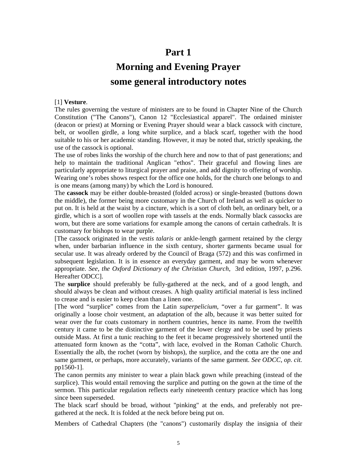## **Part 1**

# **Morning and Evening Prayer some general introductory notes**

#### [1] **Vesture**.

The rules governing the vesture of ministers are to be found in Chapter Nine of the Church Constitution ("The Canons"), Canon 12 "Ecclesiastical apparel". The ordained minister (deacon or priest) at Morning or Evening Prayer should wear a black cassock with cincture, belt, or woollen girdle, a long white surplice, and a black scarf, together with the hood suitable to his or her academic standing. However, it may be noted that, strictly speaking, the use of the cassock is optional.

The use of robes links the worship of the church here and now to that of past generations; and help to maintain the traditional Anglican "ethos". Their graceful and flowing lines are particularly appropriate to liturgical prayer and praise, and add dignity to offering of worship. Wearing one's robes shows respect for the office one holds, for the church one belongs to and is one means (among many) by which the Lord is honoured.

The **cassock** may be either double-breasted (folded across) or single-breasted (buttons down the middle), the former being more customary in the Church of Ireland as well as quicker to put on. It is held at the waist by a cincture, which is a sort of cloth belt, an ordinary belt, or a girdle, which is a sort of woollen rope with tassels at the ends. Normally black cassocks are worn, but there are some variations for example among the canons of certain cathedrals. It is customary for bishops to wear purple.

[The cassock originated in the *vestis talaris* or ankle-length garment retained by the clergy when, under barbarian influence in the sixth century, shorter garments became usual for secular use. It was already ordered by the Council of Braga (572) and this was confirmed in subsequent legislation. It is in essence an everyday garment, and may be worn whenever appropriate. *See, the Oxford Dictionary of the Christian Church*, 3rd edition, 1997, p.296. Hereafter ODCC].

The **surplice** should preferably be fully-gathered at the neck, and of a good length, and should always be clean and without creases. A high quality artificial material is less inclined to crease and is easier to keep clean than a linen one.

[The word "surplice" comes from the Latin *superpelicium,* "over a fur garment". It was originally a loose choir vestment, an adaptation of the alb, because it was better suited for wear over the fur coats customary in northern countries, hence its name. From the twelfth century it came to be the distinctive garment of the lower clergy and to be used by priests outside Mass. At first a tunic reaching to the feet it became progressively shortened until the attenuated form known as the "cotta", with lace, evolved in the Roman Catholic Church. Essentially the alb, the rochet (worn by bishops), the surplice, and the cotta are the one and same garment, or perhaps, more accurately, variants of the same garment*. See ODCC, op. cit.*  pp1560-1].

The canon permits any minister to wear a plain black gown while preaching (instead of the surplice). This would entail removing the surplice and putting on the gown at the time of the sermon. This particular regulation reflects early nineteenth century practice which has long since been superseded.

The black scarf should be broad, without "pinking" at the ends, and preferably not pregathered at the neck. It is folded at the neck before being put on.

Members of Cathedral Chapters (the "canons") customarily display the insignia of their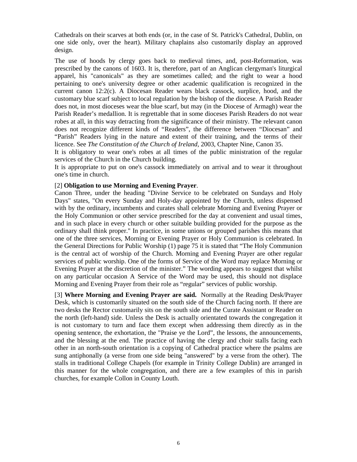Cathedrals on their scarves at both ends (or, in the case of St. Patrick's Cathedral, Dublin, on one side only, over the heart). Military chaplains also customarily display an approved design.

The use of hoods by clergy goes back to medieval times, and, post-Reformation, was prescribed by the canons of 1603. It is, therefore, part of an Anglican clergyman's liturgical apparel, his "canonicals" as they are sometimes called; and the right to wear a hood pertaining to one's university degree or other academic qualification is recognized in the current canon 12:2(c). A Diocesan Reader wears black cassock, surplice, hood, and the customary blue scarf subject to local regulation by the bishop of the diocese. A Parish Reader does not, in most dioceses wear the blue scarf, but may (in the Diocese of Armagh) wear the Parish Reader's medallion. It is regrettable that in some dioceses Parish Readers do not wear robes at all, in this way detracting from the significance of their ministry. The relevant canon does not recognize different kinds of "Readers", the difference between "Diocesan" and "Parish" Readers lying in the nature and extent of their training, and the terms of their licence. See *The Constitution of the Church of Ireland,* 2003, Chapter Nine, Canon 35.

It is obligatory to wear one's robes at all times of the public ministration of the regular services of the Church in the Church building.

It is appropriate to put on one's cassock immediately on arrival and to wear it throughout one's time in church.

#### [2] **Obligation to use Morning and Evening Prayer**.

Canon Three, under the heading "Divine Service to be celebrated on Sundays and Holy Days" states, "On every Sunday and Holy-day appointed by the Church, unless dispensed with by the ordinary, incumbents and curates shall celebrate Morning and Evening Prayer or the Holy Communion or other service prescribed for the day at convenient and usual times, and in such place in every church or other suitable building provided for the purpose as the ordinary shall think proper." In practice, in some unions or grouped parishes this means that one of the three services, Morning or Evening Prayer or Holy Communion is celebrated. In the General Directions for Public Worship (1) page 75 it is stated that "The Holy Communion is the central act of worship of the Church. Morning and Evening Prayer are other regular services of public worship. One of the forms of Service of the Word may replace Morning or Evening Prayer at the discretion of the minister." The wording appears to suggest that whilst on any particular occasion A Service of the Word may be used, this should not displace Morning and Evening Prayer from their role as "regular" services of public worship.

[3] **Where Morning and Evening Prayer are said.** Normally at the Reading Desk/Prayer Desk, which is customarily situated on the south side of the Church facing north. If there are two desks the Rector customarily sits on the south side and the Curate Assistant or Reader on the north (left-hand) side. Unless the Desk is actually orientated towards the congregation it is not customary to turn and face them except when addressing them directly as in the opening sentence, the exhortation, the "Praise ye the Lord", the lessons, the announcements, and the blessing at the end. The practice of having the clergy and choir stalls facing each other in an north-south orientation is a copying of Cathedral practice where the psalms are sung antiphonally (a verse from one side being "answered" by a verse from the other). The stalls in traditional College Chapels (for example in Trinity College Dublin) are arranged in this manner for the whole congregation, and there are a few examples of this in parish churches, for example Collon in County Louth.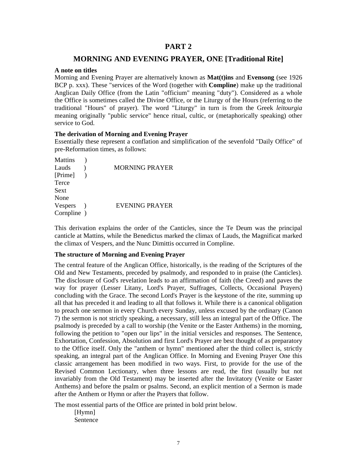## **PART 2**

## **MORNING AND EVENING PRAYER, ONE [Traditional Rite]**

#### **A note on titles**

Morning and Evening Prayer are alternatively known as **Mat(t)ins** and **Evensong** (see 1926 BCP p. xxx). These "services of the Word (together with **Compline**) make up the traditional Anglican Daily Office (from the Latin "officium" meaning "duty"). Considered as a whole the Office is sometimes called the Divine Office, or the Liturgy of the Hours (referring to the traditional "Hours" of prayer). The word "Liturgy" in turn is from the Greek *leitourgia* meaning originally "public service" hence ritual, cultic, or (metaphorically speaking) other service to God.

#### **The derivation of Morning and Evening Prayer**

Essentially these represent a conflation and simplification of the sevenfold "Daily Office" of pre-Reformation times, as follows:

Mattins ) Lauds ) MORNING PRAYER [Prime] ) Terce Sext None Vespers ) EVENING PRAYER Cornpline )

This derivation explains the order of the Canticles, since the Te Deum was the principal canticle at Mattins, while the Benedictus marked the climax of Lauds, the Magnificat marked the climax of Vespers, and the Nunc Dimittis occurred in Compline.

#### **The structure of Morning and Evening Prayer**

The central feature of the Anglican Office, historically, is the reading of the Scriptures of the Old and New Testaments, preceded by psalmody, and responded to in praise (the Canticles). The disclosure of God's revelation leads to an affirmation of faith (the Creed) and paves the way for prayer (Lesser Litany, Lord's Prayer, Suffrages, Collects, Occasional Prayers) concluding with the Grace. The second Lord's Prayer is the keystone of the rite, summing up all that has preceded it and leading to all that follows it. While there is a canonical obligation to preach one sermon in every Church every Sunday, unless excused by the ordinary (Canon 7) the sermon is not strictly speaking, a necessary, still less an integral part of the Office. The psalmody is preceded by a call to worship (the Venite or the Easter Anthems) in the morning, following the petition to "open our lips" in the initial versicles and responses. The Sentence, Exhortation, Confession, Absolution and first Lord's Prayer are best thought of as preparatory to the Office itself. Only the "anthem or hymn" mentioned after the third collect is, strictly speaking, an integral part of the Anglican Office. In Morning and Evening Prayer One this classic arrangement has been modified in two ways. First, to provide for the use of the Revised Common Lectionary, when three lessons are read, the first (usually but not invariably from the Old Testament) may be inserted after the Invitatory (Venite or Easter Anthems) and before the psalm or psalms. Second, an explicit mention of a Sermon is made after the Anthem or Hymn or after the Prayers that follow.

The most essential parts of the Office are printed in bold print below.

[Hymn] Sentence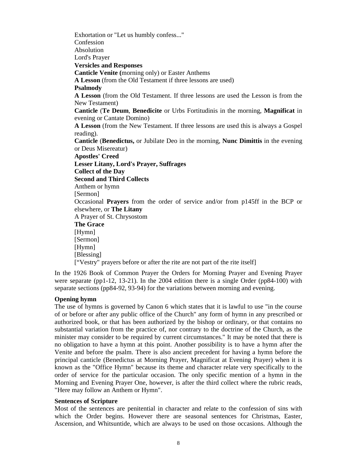Exhortation or "Let us humbly confess..." Confession Absolution Lord's Prayer **Versicles and Responses Canticle Venite (**morning only) or Easter Anthems **A Lesson** (from the Old Testament if three lessons are used) **Psalmody A Lesson** (from the Old Testament. If three lessons are used the Lesson is from the New Testament) **Canticle** (**Te Deum**, **Benedicite** or Urbs Fortitudinis in the morning, **Magnificat** in evening or Cantate Domino) **A Lesson** (from the New Testament. If three lessons are used this is always a Gospel reading). **Canticle** (**Benedictus,** or Jubilate Deo in the morning, **Nunc Dimittis** in the evening or Deus Misereatur) **Apostles' Creed Lesser Litany, Lord's Prayer, Suffrages Collect of the Day Second and Third Collects** Anthem or hymn [Sermon] Occasional **Prayers** from the order of service and/or from p145ff in the BCP or elsewhere, or **The Litany** A Prayer of St. Chrysostom **The Grace**  [Hymn] [Sermon] [Hymn] [Blessing] ["Vestry" prayers before or after the rite are not part of the rite itself]

In the 1926 Book of Common Prayer the Orders for Morning Prayer and Evening Prayer were separate (pp1-12, 13-21). In the 2004 edition there is a single Order (pp84-100) with separate sections (pp84-92, 93-94) for the variations between morning and evening.

#### **Opening hymn**

The use of hymns is governed by Canon 6 which states that it is lawful to use "in the course of or before or after any public office of the Church" any form of hymn in any prescribed or authorized book, or that has been authorized by the bishop or ordinary, or that contains no substantial variation from the practice of, nor contrary to the doctrine of the Church, as the minister may consider to be required by current circumstances." It may be noted that there is no obligation to have a hymn at this point. Another possibility is to have a hymn after the Venite and before the psalm. There is also ancient precedent for having a hymn before the principal canticle (Benedictus at Morning Prayer, Magnificat at Evening Prayer) when it is known as the "Office Hymn" because its theme and character relate very specifically to the order of service for the particular occasion. The only specific mention of a hymn in the Morning and Evening Prayer One, however, is after the third collect where the rubric reads, "Here may follow an Anthem or Hymn".

#### **Sentences of Scripture**

Most of the sentences are penitential in character and relate to the confession of sins with which the Order begins. However there are seasonal sentences for Christmas, Easter, Ascension, and Whitsuntide, which are always to be used on those occasions. Although the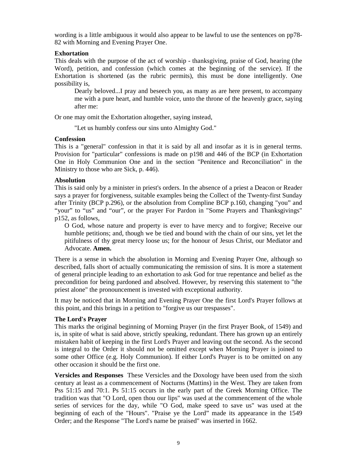wording is a little ambiguous it would also appear to be lawful to use the sentences on pp78- 82 with Morning and Evening Prayer One.

#### **Exhortation**

This deals with the purpose of the act of worship - thanksgiving, praise of God, hearing (the Word), petition, and confession (which comes at the beginning of the service). If the Exhortation is shortened (as the rubric permits), this must be done intelligently. One possibility is,

Dearly beloved...I pray and beseech you, as many as are here present, to accompany me with a pure heart, and humble voice, unto the throne of the heavenly grace, saying after me:

Or one may omit the Exhortation altogether, saying instead,

"Let us humbly confess our sins unto Almighty God."

## **Confession**

This is a "general" confession in that it is said by all and insofar as it is in general terms. Provision for "particular" confessions is made on p198 and 446 of the BCP (in Exhortation One in Holy Communion One and in the section "Penitence and Reconciliation" in the Ministry to those who are Sick, p. 446).

#### **Absolution**

This is said only by a minister in priest's orders. In the absence of a priest a Deacon or Reader says a prayer for forgiveness, suitable examples being the Collect of the Twenty-first Sunday after Trinity (BCP p.296), or the absolution from Compline BCP p.160, changing "you" and "your" to "us" and "our", or the prayer For Pardon in "Some Prayers and Thanksgivings" p152, as follows,

O God, whose nature and property is ever to have mercy and to forgive; Receive our humble petitions; and, though we be tied and bound with the chain of our sins, yet let the pitifulness of thy great mercy loose us; for the honour of Jesus Christ, our Mediator and Advocate. **Amen.**

There is a sense in which the absolution in Morning and Evening Prayer One, although so described, falls short of actually communicating the remission of sins. It is more a statement of general principle leading to an exhortation to ask God for true repentance and belief as the precondition for being pardoned and absolved. However, by reserving this statement to "the priest alone" the pronouncement is invested with exceptional authority.

It may be noticed that in Morning and Evening Prayer One the first Lord's Prayer follows at this point, and this brings in a petition to "forgive us our trespasses".

## **The Lord's Prayer**

This marks the original beginning of Morning Prayer (in the first Prayer Book, of 1549) and is, in spite of what is said above, strictly speaking, redundant. There has grown up an entirely mistaken habit of keeping in the first Lord's Prayer and leaving out the second. As the second is integral to the Order it should not be omitted except when Morning Prayer is joined to some other Office (e.g. Holy Communion). If either Lord's Prayer is to be omitted on any other occasion it should be the first one.

**Versicles and Responses** These Versicles and the Doxology have been used from the sixth century at least as a commencement of Nocturns (Mattins) in the West. They are taken from Pss 51:15 and 70:1. Ps 51:15 occurs in the early part of the Greek Morning Office. The tradition was that "O Lord, open thou our lips" was used at the commencement of the whole series of services for the day, while "O God, make speed to save us" was used at the beginning of each of the "Hours". "Praise ye the Lord" made its appearance in the 1549 Order; and the Response "The Lord's name be praised" was inserted in 1662.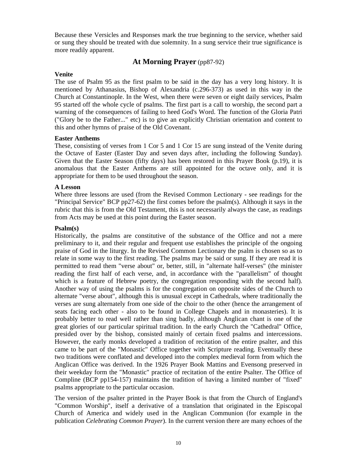Because these Versicles and Responses mark the true beginning to the service, whether said or sung they should be treated with due solemnity. In a sung service their true significance is more readily apparent.

## **At Morning Prayer** (pp87-92)

#### **Venite**

The use of Psalm 95 as the first psalm to be said in the day has a very long history. It is mentioned by Athanasius, Bishop of Alexandria (c.296-373) as used in this way in the Church at Constantinople. In the West, when there were seven or eight daily services, Psalm 95 started off the whole cycle of psalms. The first part is a call to worship, the second part a warning of the consequences of failing to heed God's Word. The function of the Gloria Patri ("Glory be to the Father..." etc) is to give an explicitly Christian orientation and content to this and other hymns of praise of the Old Covenant.

#### **Easter Anthems**

These, consisting of verses from 1 Cor 5 and 1 Cor 15 are sung instead of the Venite during the Octave of Easter (Easter Day and seven days after, including the following Sunday). Given that the Easter Season (fifty days) has been restored in this Prayer Book (p.19), it is anomalous that the Easter Anthems are still appointed for the octave only, and it is appropriate for them to be used throughout the season.

#### **A Lesson**

Where three lessons are used (from the Revised Common Lectionary - see readings for the "Principal Service" BCP pp27-62) the first comes before the psalm(s). Although it says in the rubric that this is from the Old Testament, this is not necessarily always the case, as readings from Acts may be used at this point during the Easter season.

#### **Psalm(s)**

Historically, the psalms are constitutive of the substance of the Office and not a mere preliminary to it, and their regular and frequent use establishes the principle of the ongoing praise of God in the liturgy. In the Revised Common Lectionary the psalm is chosen so as to relate in some way to the first reading. The psalms may be said or sung. If they are read it is permitted to read them "verse about" or, better, still, in "alternate half-verses" (the minister reading the first half of each verse, and, in accordance with the "parallelism" of thought which is a feature of Hebrew poetry, the congregation responding with the second half). Another way of using the psalms is for the congregation on opposite sides of the Church to alternate "verse about", although this is unusual except in Cathedrals, where traditionally the verses are sung alternately from one side of the choir to the other (hence the arrangement of seats facing each other - also to be found in College Chapels and in monasteries). It is probably better to read well rather than sing badly, although Anglican chant is one of the great glories of our particular spiritual tradition. In the early Church the "Cathedral" Office, presided over by the bishop, consisted mainly of certain fixed psalms and intercessions. However, the early monks developed a tradition of recitation of the entire psalter, and this came to be part of the "Monastic" Office together with Scripture reading. Eventually these two traditions were conflated and developed into the complex medieval form from which the Anglican Office was derived. In the 1926 Prayer Book Mattins and Evensong preserved in their weekday form the "Monastic" practice of recitation of the entire Psalter. The Office of Compline (BCP pp154-157) maintains the tradition of having a limited number of "fixed" psalms appropriate to the particular occasion.

The version of the psalter printed in the Prayer Book is that from the Church of England's "Common Worship", itself a derivative of a translation that originated in the Episcopal Church of America and widely used in the Anglican Communion (for example in the publication *Celebrating Common Prayer*). In the current version there are many echoes of the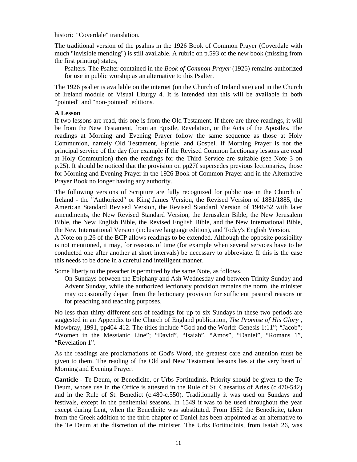historic "Coverdale" translation.

The traditional version of the psalms in the 1926 Book of Common Prayer (Coverdale with much "invisible mending") is still available. A rubric on p.593 of the new book (missing from the first printing) states,

Psalters. The Psalter contained in the *Book of Common Prayer* (1926) remains authorized for use in public worship as an alternative to this Psalter.

The 1926 psalter is available on the internet (on the Church of Ireland site) and in the Church of Ireland module of Visual Liturgy 4. It is intended that this will be available in both "pointed" and "non-pointed" editions.

#### **A Lesson**

If two lessons are read, this one is from the Old Testament. If there are three readings, it will be from the New Testament, from an Epistle, Revelation, or the Acts of the Apostles. The readings at Morning and Evening Prayer follow the same sequence as those at Holy Communion, namely Old Testament, Epistle, and Gospel. If Morning Prayer is not the principal service of the day (for example if the Revised Common Lectionary lessons are read at Holy Communion) then the readings for the Third Service are suitable (see Note 3 on p.25). It should be noticed that the provision on pp27f supersedes previous lectionaries, those for Morning and Evening Prayer in the 1926 Book of Common Prayer and in the Alternative Prayer Book no longer having any authority.

The following versions of Scripture are fully recognized for public use in the Church of Ireland - the "Authorized" or King James Version, the Revised Version of 1881/1885, the American Standard Revised Version, the Revised Standard Version of 1946/52 with later amendments, the New Revised Standard Version, the Jerusalem Bible, the New Jerusalem Bible, the New English Bible, the Revised English Bible, and the New International Bible, the New International Version (inclusive language edition), and Today's English Version.

A Note on p.26 of the BCP allows readings to be extended. Although the opposite possibility is not mentioned, it may, for reasons of time (for example when several services have to be conducted one after another at short intervals) be necessary to abbreviate. If this is the case this needs to be done in a careful and intelligent manner.

Some liberty to the preacher is permitted by the same Note, as follows,

On Sundays between the Epiphany and Ash Wednesday and between Trinity Sunday and Advent Sunday, while the authorized lectionary provision remains the norm, the minister may occasionally depart from the lectionary provision for sufficient pastoral reasons or for preaching and teaching purposes.

No less than thirty different sets of readings for up to six Sundays in these two periods are suggested in an Appendix to the Church of England publication, *The Promise of His Glory* , Mowbray, 1991, pp404-412. The titles include "God and the World: Genesis 1:11"; "Jacob"; "Women in the Messianic Line"; "David", "Isaiah", "Amos", "Daniel", "Romans 1", "Revelation 1".

As the readings are proclamations of God's Word, the greatest care and attention must be given to them. The reading of the Old and New Testament lessons lies at the very heart of Morning and Evening Prayer.

**Canticle** - Te Deum, or Benedicite, or Urbs Fortitudinis. Priority should be given to the Te Deum, whose use in the Office is attested in the Rule of St. Caesarius of Arles (c.470-542) and in the Rule of St. Benedict (c.480-c.550). Traditionally it was used on Sundays and festivals, except in the penitential seasons. In 1549 it was to be used throughout the year except during Lent, when the Benedicite was substituted. From 1552 the Benedicite, taken from the Greek addition to the third chapter of Daniel has been appointed as an alternative to the Te Deum at the discretion of the minister. The Urbs Fortitudinis, from Isaiah 26, was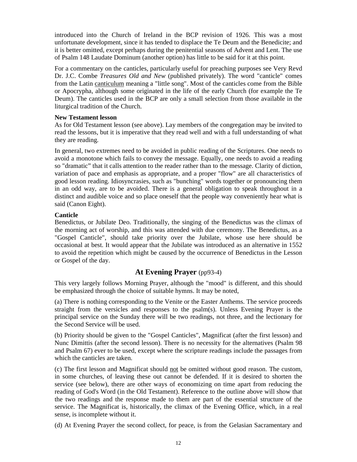introduced into the Church of Ireland in the BCP revision of 1926. This was a most unfortunate development, since it has tended to displace the Te Deum and the Benedicite; and it is better omitted, except perhaps during the penitential seasons of Advent and Lent. The use of Psalm 148 Laudate Dominum (another option) has little to be said for it at this point.

For a commentary on the canticles, particularly useful for preaching purposes see Very Revd Dr. J.C. Combe *Treasures Old and New* (published privately). The word "canticle" comes from the Latin canticulum meaning a "little song". Most of the canticles come from the Bible or Apocrypha, although some originated in the life of the early Church (for example the Te Deum). The canticles used in the BCP are only a small selection from those available in the liturgical tradition of the Church.

## **New Testament lesson**

As for Old Testament lesson (see above). Lay members of the congregation may be invited to read the lessons, but it is imperative that they read well and with a full understanding of what they are reading.

In general, two extremes need to be avoided in public reading of the Scriptures. One needs to avoid a monotone which fails to convey the message. Equally, one needs to avoid a reading so "dramatic" that it calls attention to the reader rather than to the message. Clarity of diction, variation of pace and emphasis as appropriate, and a proper "flow" are all characteristics of good lesson reading. Idiosyncrasies, such as "bunching" words together or pronouncing them in an odd way, are to be avoided. There is a general obligation to speak throughout in a distinct and audible voice and so place oneself that the people way conveniently hear what is said (Canon Eight).

## **Canticle**

Benedictus, or Jubilate Deo. Traditionally, the singing of the Benedictus was the climax of the morning act of worship, and this was attended with due ceremony. The Benedictus, as a "Gospel Canticle", should take priority over the Jubilate, whose use here should be occasional at best. It would appear that the Jubilate was introduced as an alternative in 1552 to avoid the repetition which might be caused by the occurrence of Benedictus in the Lesson or Gospel of the day.

## **At Evening Prayer** (pp93-4)

This very largely follows Morning Prayer, although the "mood" is different, and this should be emphasized through the choice of suitable hymns. It may be noted,

(a) There is nothing corresponding to the Venite or the Easter Anthems. The service proceeds straight from the versicles and responses to the psalm(s). Unless Evening Prayer is the principal service on the Sunday there will be two readings, not three, and the lectionary for the Second Service will be used.

(b) Priority should be given to the "Gospel Canticles", Magnificat (after the first lesson) and Nunc Dimittis (after the second lesson). There is no necessity for the alternatives (Psalm 98 and Psalm 67) ever to be used, except where the scripture readings include the passages from which the canticles are taken.

(c) The first lesson and Magnificat should not be omitted without good reason. The custom, in some churches, of leaving these out cannot be defended. If it is desired to shorten the service (see below), there are other ways of economizing on time apart from reducing the reading of God's Word (in the Old Testament). Reference to the outline above will show that the two readings and the response made to them are part of the essential structure of the service. The Magnificat is, historically, the climax of the Evening Office, which, in a real sense, is incomplete without it.

(d) At Evening Prayer the second collect, for peace, is from the Gelasian Sacramentary and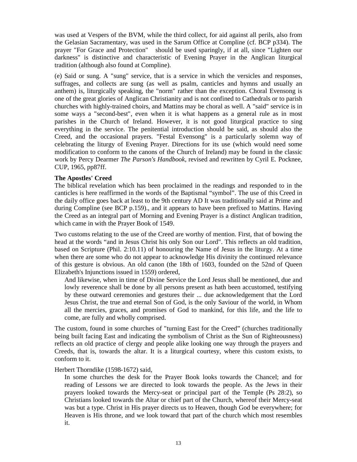was used at Vespers of the BVM, while the third collect, for aid against all perils, also from the Gelasian Sacramentary, was used in the Sarum Office at Compline (cf. BCP p334). The prayer "For Grace and Protection" should be used sparingly, if at all, since "Lighten our darkness" is distinctive and characteristic of Evening Prayer in the Anglican liturgical tradition (although also found at Compline).

(e) Said or sung. A "sung" service, that is a service in which the versicles and responses, suffrages, and collects are sung (as well as psalm, canticles and hymns and usually an anthem) is, liturgically speaking, the "norm" rather than the exception. Choral Evensong is one of the great glories of Anglican Christianity and is not confined to Cathedrals or to parish churches with highly-trained choirs, and Mattins may be choral as well. A "said" service is in some ways a "second-best", even when it is what happens as a general rule as in most parishes in the Church of Ireland. However, it is not good liturgical practice to sing everything in the service. The penitential introduction should be said, as should also the Creed, and the occasional prayers. "Festal Evensong" is a particularly solemn way of celebrating the liturgy of Evening Prayer. Directions for its use (which would need some modification to conform to the canons of the Church of Ireland) may be found in the classic work by Percy Dearmer *The Parson's Handbook*, revised and rewritten by Cyril E. Pocknee, CUP, 1965, pp87ff.

#### **The Apostles' Creed**

The biblical revelation which has been proclaimed in the readings and responded to in the canticles is here reaffirmed in the words of the Baptismal "symbol". The use of this Creed in the daily office goes back at least to the 9th century AD It was traditionally said at Prime and during Compline (see BCP p.159)., and it appears to have been prefixed to Mattins. Having the Creed as an integral part of Morning and Evening Prayer is a distinct Anglican tradition, which came in with the Prayer Book of 1549.

Two customs relating to the use of the Creed are worthy of mention. First, that of bowing the head at the words "and in Jesus Christ his only Son our Lord". This reflects an old tradition, based on Scripture (Phil. 2:10.11) of honouring the Name of Jesus in the liturgy. At a time when there are some who do not appear to acknowledge His divinity the continued relevance of this gesture is obvious. An old canon (the 18th of 1603, founded on the 52nd of Queen Elizabeth's Injunctions issued in 1559) ordered,

And likewise, when in time of Divine Service the Lord Jesus shall be mentioned, due and lowly reverence shall be done by all persons present as hath been accustomed, testifying by these outward ceremonies and gestures their ... due acknowledgement that the Lord Jesus Christ, the true and eternal Son of God, is the only Saviour of the world, in Whom all the mercies, graces, and promises of God to mankind, for this life, and the life to come, are fully and wholly comprised.

The custom, found in some churches of "turning East for the Creed" (churches traditionally being built facing East and indicating the symbolism of Christ as the Sun of Righteousness) reflects an old practice of clergy and people alike looking one way through the prayers and Creeds, that is, towards the altar. It is a liturgical courtesy, where this custom exists, to conform to it.

#### Herbert Thorndike (1598-1672) said,

In some churches the desk for the Prayer Book looks towards the Chancel; and for reading of Lessons we are directed to look towards the people. As the Jews in their prayers looked towards the Mercy-seat or principal part of the Temple (Ps 28:2), so Christians looked towards the Altar or chief part of the Church, whereof their Mercy-seat was but a type. Christ in His prayer directs us to Heaven, though God be everywhere; for Heaven is His throne, and we look toward that part of the church which most resembles it.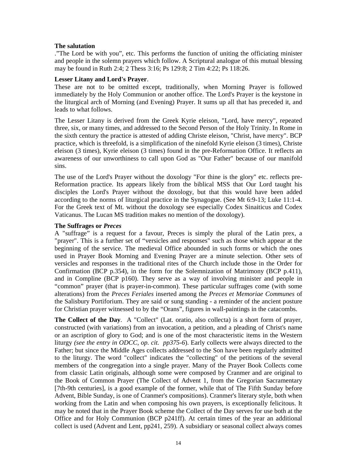#### **The salutation**

."The Lord be with you", etc. This performs the function of uniting the officiating minister and people in the solemn prayers which follow. A Scriptural analogue of this mutual blessing may be found in Ruth 2:4; 2 Thess 3:16; Ps 129:8; 2 Tim 4:22; Ps 118:26.

#### **Lesser Litany and Lord's Prayer**.

These are not to be omitted except, traditionally, when Morning Prayer is followed immediately by the Holy Communion or another office. The Lord's Prayer is the keystone in the liturgical arch of Morning (and Evening) Prayer. It sums up all that has preceded it, and leads to what follows.

The Lesser Litany is derived from the Greek Kyrie eleison, "Lord, have mercy", repeated three, six, or many times, and addressed to the Second Person of the Holy Trinity. In Rome in the sixth century the practice is attested of adding Christe eleison, "Christ, have mercy". BCP practice, which is threefold, is a simplification of the ninefold Kyrie eleison (3 times), Christe eleison (3 times), Kyrie eleison (3 times) found in the pre-Reformation Office. It reflects an awareness of our unworthiness to call upon God as "Our Father" because of our manifold sins.

The use of the Lord's Prayer without the doxology "For thine is the glory" etc. reflects pre-Reformation practice. Its appears likely from the biblical MSS that Our Lord taught his disciples the Lord's Prayer without the doxology, but that this would have been added according to the norms of liturgical practice in the Synagogue. (See Mt 6:9-13; Luke 11:1-4. For the Greek text of Mt. without the doxology see especially Codex Sinaiticus and Codex Vaticanus. The Lucan MS tradition makes no mention of the doxology).

#### **The Suffrages or** *Preces*

A "suffrage" is a request for a favour, Preces is simply the plural of the Latin prex, a "prayer". This is a further set of "versicles and responses" such as those which appear at the beginning of the service. The medieval Office abounded in such forms or which the ones used in Prayer Book Morning and Evening Prayer are a minute selection. Other sets of versicles and responses in the traditional rites of the Church include those in the Order for Confirmation (BCP p.354), in the form for the Solemnization of Matrimony (BCP p.411), and in Compline (BCP p160). They serve as a way of involving minister and people in "common" prayer (that is prayer-in-common). These particular suffrages come (with some alterations) from the *Preces Feriales* inserted among the *Preces et Memoriae Communes* of the Salisbury Portiforium. They are said or sung standing - a reminder of the ancient posture for Christian prayer witnessed to by the "Orans", figures in wall-paintings in the catacombs.

**The Collect of the Day**. A "Collect" (Lat. oratio, also collecta) is a short form of prayer, constructed (with variations) from an invocation, a petition, and a pleading of Christ's name or an ascription of glory to God; and is one of the most characteristic items in the Western liturgy *(see the entry in ODCC, op. cit. pp375-6*). Early collects were always directed to the Father; but since the Middle Ages collects addressed to the Son have been regularly admitted to the liturgy. The word "collect" indicates the "collecting" of the petitions of the several members of the congregation into a single prayer. Many of the Prayer Book Collects come from classic Latin originals, although some were composed by Cranmer and are original to the Book of Common Prayer (The Collect of Advent 1, from the Gregorian Sacramentary [7th-9th centuries], is a good example of the former, while that of The Fifth Sunday before Advent, Bible Sunday, is one of Cranmer's compositions). Cranmer's literary style, both when working from the Latin and when composing his own prayers, is exceptionally felicitous. It may be noted that in the Prayer Book scheme the Collect of the Day serves for use both at the Office and for Holy Communion (BCP p241ff). At certain times of the year an additional collect is used (Advent and Lent, pp241, 259). A subsidiary or seasonal collect always comes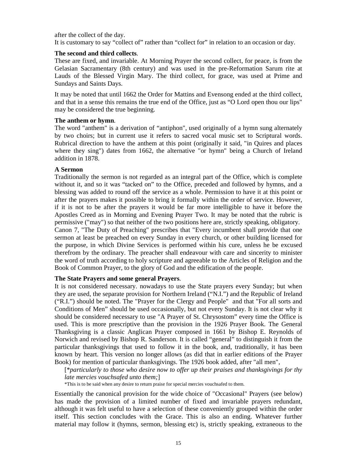after the collect of the day.

It is customary to say "collect of" rather than "collect for" in relation to an occasion or day.

#### **The second and third collects**.

These are fixed, and invariable. At Morning Prayer the second collect, for peace, is from the Gelasian Sacramentary (8th century) and was used in the pre-Reformation Sarum rite at Lauds of the Blessed Virgin Mary. The third collect, for grace, was used at Prime and Sundays and Saints Days.

It may be noted that until 1662 the Order for Mattins and Evensong ended at the third collect, and that in a sense this remains the true end of the Office, just as "O Lord open thou our lips" may be considered the true beginning.

#### **The anthem or hymn**.

The word "anthem" is a derivation of "antiphon", used originally of a hymn sung alternately by two choirs; but in current use it refers to sacred vocal music set to Scriptural words. Rubrical direction to have the anthem at this point (originally it said, "in Quires and places where they sing") dates from 1662, the alternative "or hymn" being a Church of Ireland addition in 1878.

#### **A Sermon**

Traditionally the sermon is not regarded as an integral part of the Office, which is complete without it, and so it was "tacked on" to the Office, preceded and followed by hymns, and a blessing was added to round off the service as a whole. Permission to have it at this point or after the prayers makes it possible to bring it formally within the order of service. However, if it is not to be after the prayers it would be far more intelligible to have it before the Apostles Creed as in Morning and Evening Prayer Two. It may be noted that the rubric is permissive ("may") so that neither of the two positions here are, strictly speaking, obligatory. Canon 7, "The Duty of Preaching" prescribes that "Every incumbent shall provide that one sermon at least be preached on every Sunday in every church, or other building licensed for the purpose, in which Divine Services is performed within his cure, unless he be excused therefrom by the ordinary. The preacher shall endeavour with care and sincerity to minister the word of truth according to holy scripture and agreeable to the Articles of Religion and the Book of Common Prayer, to the glory of God and the edification of the people.

#### **The State Prayers and some general Prayers**.

It is not considered necessary. nowadays to use the State prayers every Sunday; but when they are used, the separate provision for Northern Ireland ("N.I.") and the Republic of Ireland ("R.I.") should be noted. The "Prayer for the Clergy and People" and that "For all sorts and Conditions of Men" should be used occasionally, but not every Sunday. It is not clear why it should be considered necessary to use "A Prayer of St. Chrysostom" every time the Office is used. This is more prescriptive than the provision in the 1926 Prayer Book. The General Thanksgiving is a classic Anglican Prayer composed in 1661 by Bishop E. Reynolds of Norwich and revised by Bishop R. Sanderson. It is called "general" to distinguish it from the particular thanksgivings that used to follow it in the book, and, traditionally, it has been known by heart. This version no longer allows (as did that in earlier editions of the Prayer Book) for mention of particular thanksgivings. The 1926 book added, after "all men",

[\**particularly to those who desire now to offer up their praises and thanksgivings for thy late mercies vouchsafed unto them;*]

\*This is to be said when any desire to return praise for special mercies vouchsafed to them.

Essentially the canonical provision for the wide choice of "Occasional" Prayers (see below) has made the provision of a limited number of fixed and invariable prayers redundant, although it was felt useful to have a selection of these conveniently grouped within the order itself. This section concludes with the Grace. This is also an ending. Whatever further material may follow it (hymns, sermon, blessing etc) is, strictly speaking, extraneous to the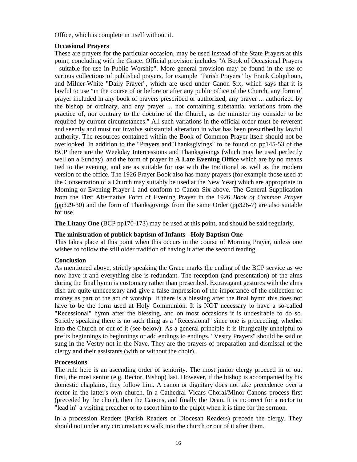Office, which is complete in itself without it.

#### **Occasional Prayers**

These are prayers for the particular occasion, may be used instead of the State Prayers at this point, concluding with the Grace. Official provision includes "A Book of Occasional Prayers - suitable for use in Public Worship". More general provision may be found in the use of various collections of published prayers, for example "Parish Prayers" by Frank Colquhoun, and Milner-White "Daily Prayer", which are used under Canon Six, which says that it is lawful to use "in the course of or before or after any public office of the Church, any form of prayer included in any book of prayers prescribed or authorized, any prayer ... authorized by the bishop or ordinary, and any prayer ... not containing substantial variations from the practice of, nor contrary to the doctrine of the Church, as the minister my consider to be required by current circumstances." All such variations in the official order must be reverent and seemly and must not involve substantial alteration in what has been prescribed by lawful authority. The resources contained within the Book of Common Prayer itself should not be overlooked. In addition to the "Prayers and Thanksgivings" to be found on pp145-53 of the BCP there are the Weekday Intercessions and Thanksgivings (which may be used perfectly well on a Sunday), and the form of prayer in **A Late Evening Office** which are by no means tied to the evening, and are as suitable for use with the traditional as well as the modern version of the office. The 1926 Prayer Book also has many prayers (for example those used at the Consecration of a Church may suitably be used at the New Year) which are appropriate in Morning or Evening Prayer 1 and conform to Canon Six above. The General Supplication from the First Alternative Form of Evening Prayer in the 1926 *Book of Common Prayer* (pp329-30) and the form of Thanksgivings from the same Order (pp326-7) are also suitable for use.

**The Litany One** (BCP pp170-173) may be used at this point, and should be said regularly.

#### **The ministration of publick baptism of Infants - Holy Baptism One**

This takes place at this point when this occurs in the course of Morning Prayer, unless one wishes to follow the still older tradition of having it after the second reading.

#### **Conclusion**

As mentioned above, strictly speaking the Grace marks the ending of the BCP service as we now have it and everything else is redundant. The reception (and presentation) of the alms during the final hymn is customary rather than prescribed. Extravagant gestures with the alms dish are quite unnecessary and give a false impression of the importance of the collection of money as part of the act of worship. If there is a blessing after the final hymn this does not have to be the form used at Holy Communion. It is NOT necessary to have a so-called "Recessional" hymn after the blessing, and on most occasions it is undesirable to do so. Strictly speaking there is no such thing as a "Recessional" since one is proceeding, whether into the Church or out of it (see below). As a general principle it is liturgically unhelpful to prefix beginnings to beginnings or add endings to endings. "Vestry Prayers" should be said or sung in the Vestry not in the Nave. They are the prayers of preparation and dismissal of the clergy and their assistants (with or without the choir).

#### **Processions**

The rule here is an ascending order of seniority. The most junior clergy proceed in or out first, the most senior (e.g. Rector, Bishop) last. However, if the bishop is accompanied by his domestic chaplains, they follow him. A canon or dignitary does not take precedence over a rector in the latter's own church. In a Cathedral Vicars Choral/Minor Canons process first (preceded by the choir), then the Canons, and finally the Dean. It is incorrect for a rector to "lead in" a visiting preacher or to escort him to the pulpit when it is time for the sermon.

In a procession Readers (Parish Readers or Diocesan Readers) precede the clergy. They should not under any circumstances walk into the church or out of it after them.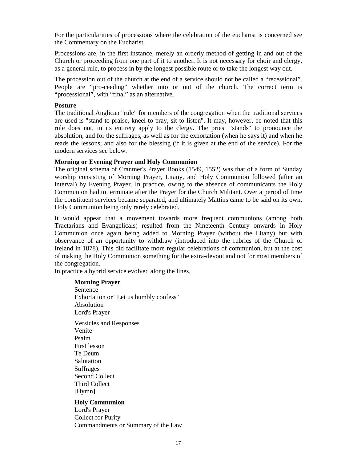For the particularities of processions where the celebration of the eucharist is concerned see the Commentary on the Eucharist.

Processions are, in the first instance, merely an orderly method of getting in and out of the Church or proceeding from one part of it to another. It is not necessary for choir and clergy, as a general rule, to process in by the longest possible route or to take the longest way out.

The procession out of the church at the end of a service should not be called a "recessional". People are "pro-ceeding" whether into or out of the church. The correct term is "processional", with "final" as an alternative.

#### **Posture**

The traditional Anglican "rule" for members of the congregation when the traditional services are used is "stand to praise, kneel to pray, sit to listen". It may, however, be noted that this rule does not, in its entirety apply to the clergy. The priest "stands" to pronounce the absolution, and for the suffrages, as well as for the exhortation (when he says it) and when he reads the lessons; and also for the blessing (if it is given at the end of the service). For the modern services see below.

#### **Morning or Evening Prayer and Holy Communion**

The original schema of Cranmer's Prayer Books (1549, 1552) was that of a form of Sunday worship consisting of Morning Prayer, Litany, and Holy Communion followed (after an interval) by Evening Prayer. In practice, owing to the absence of communicants the Holy Communion had to terminate after the Prayer for the Church Militant. Over a period of time the constituent services became separated, and ultimately Mattins came to be said on its own, Holy Communion being only rarely celebrated.

It would appear that a movement towards more frequent communions (among both Tractarians and Evangelicals) resulted from the Nineteenth Century onwards in Holy Communion once again being added to Morning Prayer (without the Litany) but with observance of an opportunity to withdraw (introduced into the rubrics of the Church of Ireland in 1878). This did facilitate more regular celebrations of communion, but at the cost of making the Holy Communion something for the extra-devout and not for most members of the congregation.

In practice a hybrid service evolved along the lines,

#### **Morning Prayer**

Sentence Exhortation or "Let us humbly confess" Absolution Lord's Prayer Versicles and Responses Venite Psalm First lesson Te Deum Salutation Suffrages

Second Collect Third Collect [Hymn]

#### **Holy Communion**

Lord's Prayer Collect for Purity Commandments or Summary of the Law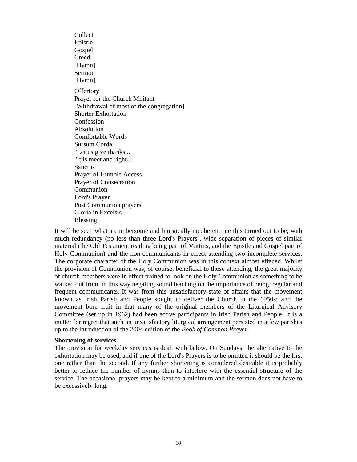Collect Epistle Gospel Creed [Hymn] Sermon [Hymn] **Offertory** Prayer for the Church Militant [Withdrawal of most of the congregation] Shorter Exhortation Confession Absolution Comfortable Words Sursum Corda "Let us give thanks... "It is meet and right... Sanctus Prayer of Humble Access Prayer of Consecration Communion Lord's Prayer Post Communion prayers Gloria in Excelsis Blessing

It will be seen what a cumbersome and liturgically incoherent rite this turned out to be, with much redundancy (no less than three Lord's Prayers), wide separation of pieces of similar material (the Old Testament reading being part of Mattins, and the Epistle and Gospel part of Holy Communion) and the non-communicants in effect attending two incomplete services. The corporate character of the Holy Communion was in this context almost effaced. Whilst the provision of Communion was, of course, beneficial to those attending, the great majority of church members were in effect trained to look on the Holy Communion as something to be walked out from, in this way negating sound teaching on the importance of being regular and frequent communicants. It was from this unsatisfactory state of affairs that the movement known as Irish Parish and People sought to deliver the Church in the 1950s; and the movement bore fruit in that many of the original members of the Liturgical Advisory Committee (set up in 1962) had been active participants in Irish Parish and People. It is a matter for regret that such an unsatisfactory liturgical arrangement persisted in a few parishes up to the introduction of the 2004 edition of the *Book of Common Prayer*.

#### **Shortening of services**

The provision for weekday services is dealt with below. On Sundays, the alternative to the exhortation may be used, and if one of the Lord's Prayers is to be omitted it should be the first one rather than the second. If any further shortening is considered desirable it is probably better to reduce the number of hymns than to interfere with the essential structure of the service. The occasional prayers may be kept to a minimum and the sermon does not have to be excessively long.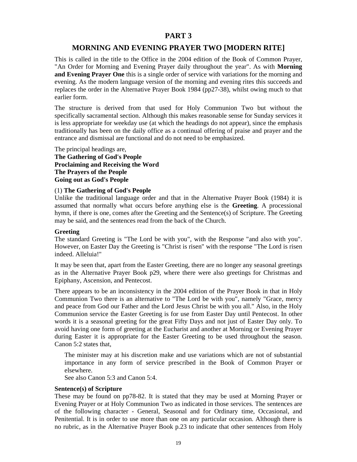## **PART 3**

## **MORNING AND EVENING PRAYER TWO [MODERN RITE]**

This is called in the title to the Office in the 2004 edition of the Book of Common Prayer, "An Order for Morning and Evening Prayer daily throughout the year". As with **Morning and Evening Prayer One** this is a single order of service with variations for the morning and evening. As the modern language version of the morning and evening rites this succeeds and replaces the order in the Alternative Prayer Book 1984 (pp27-38), whilst owing much to that earlier form.

The structure is derived from that used for Holy Communion Two but without the specifically sacramental section. Although this makes reasonable sense for Sunday services it is less appropriate for weekday use (at which the headings do not appear), since the emphasis traditionally has been on the daily office as a continual offering of praise and prayer and the entrance and dismissal are functional and do not need to be emphasized.

The principal headings are, **The Gathering of God's People Proclaiming and Receiving the Word The Prayers of the People Going out as God's People** 

#### (1) **The Gathering of God's People**

Unlike the traditional language order and that in the Alternative Prayer Book (1984) it is assumed that normally what occurs before anything else is the **Greeting**. A processional hymn, if there is one, comes after the Greeting and the Sentence(s) of Scripture. The Greeting may be said, and the sentences read from the back of the Church.

#### **Greeting**

The standard Greeting is "The Lord be with you", with the Response "and also with you". However, on Easter Day the Greeting is "Christ is risen" with the response "The Lord is risen indeed. Alleluia!"

It may be seen that, apart from the Easter Greeting, there are no longer any seasonal greetings as in the Alternative Prayer Book p29, where there were also greetings for Christmas and Epiphany, Ascension, and Pentecost.

There appears to be an inconsistency in the 2004 edition of the Prayer Book in that in Holy Communion Two there is an alternative to "The Lord be with you", namely "Grace, mercy and peace from God our Father and the Lord Jesus Christ be with you all." Also, in the Holy Communion service the Easter Greeting is for use from Easter Day until Pentecost. In other words it is a seasonal greeting for the great Fifty Days and not just of Easter Day only. To avoid having one form of greeting at the Eucharist and another at Morning or Evening Prayer during Easter it is appropriate for the Easter Greeting to be used throughout the season. Canon 5:2 states that,

The minister may at his discretion make and use variations which are not of substantial importance in any form of service prescribed in the Book of Common Prayer or elsewhere.

See also Canon 5:3 and Canon 5:4.

#### **Sentence(s) of Scripture**

These may be found on pp78-82. It is stated that they may be used at Morning Prayer or Evening Prayer or at Holy Communion Two as indicated in those services. The sentences are of the following character - General, Seasonal and for Ordinary time, Occasional, and Penitential. It is in order to use more than one on any particular occasion. Although there is no rubric, as in the Alternative Prayer Book p.23 to indicate that other sentences from Holy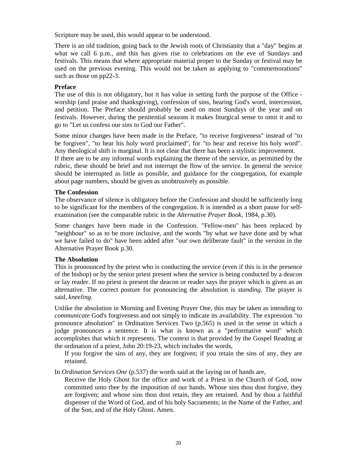Scripture may be used, this would appear to be understood.

There is an old tradition, going back to the Jewish roots of Christianity that a "day" begins at what we call 6 p.m., and this has given rise to celebrations on the eve of Sundays and festivals. This means that where appropriate material proper to the Sunday or festival may be used on the previous evening. This would not be taken as applying to "commemorations" such as those on  $pp22-3$ .

#### **Preface**

The use of this is not obligatory, but it has value in setting forth the purpose of the Office worship (and praise and thanksgiving), confession of sins, hearing God's word, intercession, and petition. The Preface should probably be used on most Sundays of the year and on festivals. However, during the penitential seasons it makes liturgical sense to omit it and to go to "Let us confess our sins to God our Father".

Some minor changes have been made in the Preface, "to receive forgiveness" instead of "to be forgiven", "to hear his holy word proclaimed", for "to hear and receive his holy word". Any theological shift is marginal. It is not clear that there has been a stylistic improvement.

If there are to be any informal words explaining the theme of the service, as permitted by the rubric, these should be brief and not interrupt the flow of the service. In general the service should be interrupted as little as possible, and guidance for the congregation, for example about page numbers, should be given as unobtrusively as possible.

#### **The Confession**

The observance of silence is obligatory before the Confession and should be sufficiently long to be significant for the members of the congregation. It is intended as a short pause for selfexamination (see the comparable rubric in the *Alternative Prayer Book*, 1984, p.30).

Some changes have been made in the Confession. "Fellow-men" has been replaced by "neighbour" so as to be more inclusive, and the words "by what we have done and by what we have failed to do" have been added after "our own deliberate fault" in the version in the Alternative Prayer Book p.30.

#### **The Absolution**

This is pronounced by the priest who is conducting the service (even if this is in the presence of the bishop) or by the senior priest present when the service is being conducted by a deacon or lay reader. If no priest is present the deacon or reader says the prayer which is given as an alternative. The correct posture for pronouncing the absolution is *standing.* The prayer is said, *kneeling.*

Unlike the absolution in Morning and Evening Prayer One, this may be taken as intending to *communicate* God's forgiveness and not simply to indicate its availability. The expression "to pronounce absolution" in Ordination Services Two (p.565) is used in the sense in which a judge pronounces a sentence. It is what is known as a "performative word" which accomplishes that which it represents. The context is that provided by the Gospel Reading at the ordination of a priest, John 20:19-23, which includes the words,

If you forgive the sins of any, they are forgiven; if you retain the sins of any, they are retained.

In *Ordination Services One* (p.537) the words said at the laying on of hands are,

Receive the Holy Ghost for the office and work of a Priest in the Church of God, now committed unto thee by the imposition of our hands. Whose sins thou dost forgive, they are forgiven; and whose sins thou dost retain, they are retained. And by thou a faithful dispenser of the Word of God, and of his holy Sacraments; in the Name of the Father, and of the Son, and of the Holy Ghost. Amen.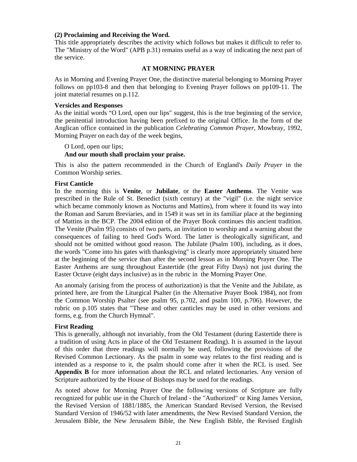#### **(2) Proclaiming and Receiving the Word.**

This title appropriately describes the activity which follows but makes it difficult to refer to. The "Ministry of the Word" (APB p.31) remains useful as a way of indicating the next part of the service.

#### **AT MORNING PRAYER**

As in Morning and Evening Prayer One, the distinctive material belonging to Morning Prayer follows on pp103-8 and then that belonging to Evening Prayer follows on pp109-11. The joint material resumes on p.112.

#### **Versicles and Responses**

As the initial words "O Lord, open our lips" suggest, this is the true beginning of the service, the penitential introduction having been prefixed to the original Office. In the form of the Anglican office contained in the publication *Celebrating Common Prayer*, Mowbray, 1992, Morning Prayer on each day of the week begins,

O Lord, open our lips;

#### **And our mouth shall proclaim your praise.**

This is also the pattern recommended in the Church of England's *Daily Prayer* in the Common Worship series.

#### **First Canticle**

In the morning this is **Venite**, or **Jubilate**, or the **Easter Anthems**. The Venite was prescribed in the Rule of St. Benedict (sixth century) at the "vigil" (i.e. the night service which became commonly known as Nocturns and Mattins), from where it found its way into the Roman and Sarum Breviaries, and in 1549 it was set in its familiar place at the beginning of Mattins in the BCP. The 2004 edition of the Prayer Book continues this ancient tradition. The Venite (Psalm 95) consists of two parts, an invitation to worship and a warning about the consequences of failing to heed God's Word. The latter is theologically significant, and should not be omitted without good reason. The Jubilate (Psalm 100), including, as it does, the words "Come into his gates with thanksgiving" is clearly more appropriately situated here at the beginning of the service than after the second lesson as in Morning Prayer One. The Easter Anthems are sung throughout Eastertide (the great Fifty Days) not just during the Easter Octave (eight days inclusive) as in the rubric in the Morning Prayer One.

An anomaly (arising from the process of authorization) is that the Venite and the Jubilate, as printed here, are from the Liturgical Psalter (in the Alternative Prayer Book 1984), not from the Common Worship Psalter (see psalm 95, p.702, and psalm 100, p.706). However, the rubric on p.105 states that "These and other canticles may be used in other versions and forms, e.g. from the Church Hymnal".

#### **First Reading**

This is generally, although not invariably, from the Old Testament (during Eastertide there is a tradition of using Acts in place of the Old Testament Reading). It is assumed in the layout of this order that three readings will normally be used, following the provisions of the Revised Common Lectionary. As the psalm in some way relates to the first reading and is intended as a response to it, the psalm should come after it when the RCL is used. See **Appendix B** for more information about the RCL and related lectionaries. Any version of Scripture authorized by the House of Bishops may be used for the readings.

As noted above for Morning Prayer One the following versions of Scripture are fully recognized for public use in the Church of Ireland - the "Authorized" or King James Version, the Revised Version of 1881/1885, the American Standard Revised Version, the Revised Standard Version of 1946/52 with later amendments, the New Revised Standard Version, the Jerusalem Bible, the New Jerusalem Bible, the New English Bible, the Revised English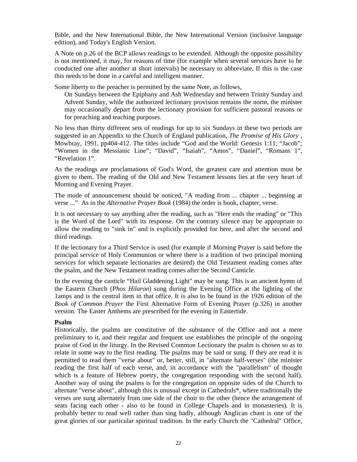Bible, and the New International Bible, the New International Version (inclusive language edition), and Today's English Version.

A Note on p.26 of the BCP allows readings to be extended. Although the opposite possibility is not mentioned, it may, for reasons of time (for example when several services have to be conducted one after another at short intervals) be necessary to abbreviate. If this is the case this needs to be done in a careful and intelligent manner.

Some liberty to the preacher is permitted by the same Note, as follows,

On Sundays between the Epiphany and Ash Wednesday and between Trinity Sunday and Advent Sunday, while the authorized lectionary provision remains the norm, the minister may occasionally depart from the lectionary provision for sufficient pastoral reasons or for preaching and teaching purposes.

No less than thirty different sets of readings for up to six Sundays in these two periods are suggested in an Appendix to the Church of England publication, *The Promise of His Glory* , Mowbray, 1991, pp404-412. The titles include "God and the World: Genesis 1:11; "Jacob"; "Women in the Messianic Line"; "David", "Isaiah", "Amos", "Daniel", "Romans 1", "Revelation 1".

As the readings are proclamations of God's Word, the greatest care and attention must be given to them. The reading of the Old and New Testament lessons lies at the very heart of Morning and Evening Prayer.

The mode of announcement should be noticed, "A reading from ... chapter ... beginning at verse ..." As in the *Alternative Prayer Book* (1984) the order is book, chapter, verse.

It is not necessary to say anything after the reading, such as "Here ends the reading" or "This is the Word of the Lord" with its response. On the contrary silence may be appropriate to allow the reading to "sink in" and is explicitly provided for here, and after the second and third readings.

If the lectionary for a Third Service is used (for example if Morning Prayer is said before the principal service of Holy Communion or where there is a tradition of two principal morning services for which separate lectionaries are desired) the Old Testament reading comes after the psalm, and the New Testament reading comes after the Second Canticle.

In the evening the canticle "Hail Gladdening Light" may be sung. This is an ancient hymn of the Eastern Church (*Phos Hilaron*) sung during the Evening Office at the lighting of the 1amps and is the central item in that office. It is also to be found in the 1926 edition of the *Book of Common Prayer* the First Alternative Form of Evening Prayer (p.326) in another version. The Easter Anthems are prescribed for the evening in Eastertide.

#### **Psalm**

Historically, the psalms are constitutive of the substance of the Office and not a mere preliminary to it, and their regular and frequent use establishes the principle of the ongoing praise of God in the liturgy. In the Revised Common Lectionary the psalm is chosen so as to relate in some way to the first reading. The psalms may be said or sung. If they are read it is permitted to read them "verse about" or, better, still, in "alternate half-verses" (the minister reading the first half of each verse, and, in accordance with the "parallelism" of thought which is a feature of Hebrew poetry, the congregation responding with the second half). Another way of using the psalms is for the congregation on opposite sides of the Church to alternate "verse about", although this is unusual except in Cathedrals\*, where traditionally the verses are sung alternately from one side of the choir to the other (hence the arrangement of seats facing each other - also to be found in College Chapels and in monasteries). It is probably better to read well rather than sing badly, although Anglican chant is one of the great glories of our particular spiritual tradition. In the early Church the "Cathedral" Office,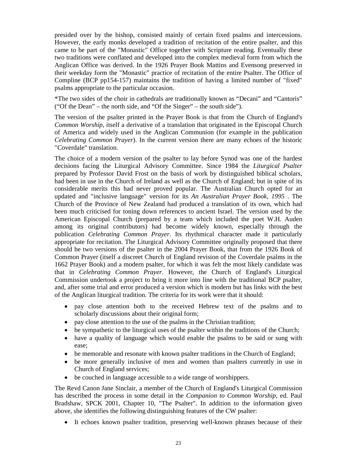presided over by the bishop, consisted mainly of certain fixed psalms and intercessions. However, the early monks developed a tradition of recitation of the entire psalter, and this came to be part of the "Monastic" Office together with Scripture reading. Eventually these two traditions were conflated and developed into the complex medieval form from which the Anglican Office was derived. In the 1926 Prayer Book Mattins and Evensong preserved in their weekday form the "Monastic" practice of recitation of the entire Psalter. The Office of Compline (BCP pp154-157) maintains the tradition of having a limited number of "fixed" psalms appropriate to the particular occasion.

\*The two sides of the choir in cathedrals are traditionally known as "Decani" and "Cantoris" ("Of the Dean" – the north side, and "Of the Singer" – the south side").

The version of the psalter printed in the Prayer Book is that from the Church of England's *Common Worship*, itself a derivative of a translation that originated in the Episcopal Church of America and widely used in the Anglican Communion (for example in the publication *Celebrating Common Prayer*). In the current version there are many echoes of the historic "Coverdale" translation.

The choice of a modern version of the psalter to lay before Synod was one of the hardest decisions facing the Liturgical Advisory Committee. Since 1984 the *Liturgical Psalter* prepared by Professor David Frost on the basis of work by distinguished biblical scholars, had been in use in the Church of Ireland as well as the Church of England; but in spite of its considerable merits this had never proved popular. The Australian Church opted for an updated and "inclusive language" version for its *An Australian Prayer Book, 1995* . The Church of the Province of New Zealand had produced a translation of its own, which had been much criticised for toning down references to ancient Israel. The version used by the American Episcopal Church (prepared by a team which included the poet W.H. Auden among its original contributors) had become widely known, especially through the publication *Celebrating Common Prayer*. Its rhythmical character made it particularly appropriate for recitation. The Liturgical Advisory Committee originally proposed that there should be two versions of the psalter in the 2004 Prayer Book, that from the 1926 Book of Common Prayer (itself a discreet Church of England revision of the Coverdale psalms in the 1662 Prayer Book) and a modern psalter, for which it was felt the most likely candidate was that in *Celebrating Common Prayer*. However, the Church of England's Liturgical Commission undertook a project to bring it more into line with the traditional BCP psalter, and, after some trial and error produced a version which is modern but has links with the best of the Anglican liturgical tradition. The criteria for its work were that it should:

- pay close attention both to the received Hebrew text of the psalms and to scholarly discussions about their original form;
- pay close attention to the use of the psalms in the Christian tradition;
- be sympathetic to the liturgical uses of the psalter within the traditions of the Church;
- have a quality of language which would enable the psalms to be said or sung with ease;
- be memorable and resonate with known psalter traditions in the Church of England;
- be more generally inclusive of men and women than psalters currently in use in Church of England services;
- be couched in language accessible to a wide range of worshippers.

The Revd Canon Jane Sinclair, a member of the Church of England's Liturgical Commission has described the process in some detail in the *Companion to Common Worship*, ed. Paul Bradshaw, SPCK 2001, Chapter 10, "The Psalter". In addition to the information given above, she identifies the following distinguishing features of the CW psalter:

• It echoes known psalter tradition, preserving well-known phrases because of their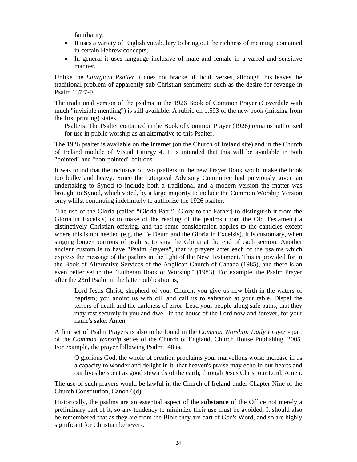familiarity;

- It uses a variety of English vocabulary to bring out the richness of meaning contained in certain Hebrew concepts;
- In general it uses language inclusive of male and female in a varied and sensitive manner.

Unlike the *Liturgical Psalter* it does not bracket difficult verses, although this leaves the traditional problem of apparently sub-Christian sentiments such as the desire for revenge in Psalm 137:7-9.

The traditional version of the psalms in the 1926 Book of Common Prayer (Coverdale with much "invisible mending") is still available. A rubric on p.593 of the new book (missing from the first printing) states,

Psalters. The Psalter contained in the Book of Common Prayer (1926) remains authorized for use in public worship as an alternative to this Psalter.

The 1926 psalter is available on the internet (on the Church of Ireland site) and in the Church of Ireland module of Visual Liturgy 4. It is intended that this will be available in both "pointed" and "non-pointed" editions.

It was found that the inclusive of two psalters in the new Prayer Book would make the book too bulky and heavy. Since the Liturgical Advisory Committee had previously given an undertaking to Synod to include both a traditional and a modern version the matter was brought to Synod, which voted, by a large majority to include the Common Worship Version only whilst continuing indefinitely to authorize the 1926 psalter.

 The use of the Gloria (called "Gloria Patri" [Glory to the Father] to distinguish it from the Gloria in Excelsis) is to make of the reading of the psalms (from the Old Testament) a distinctively Christian offering, and the same consideration applies to the canticles except where this is not needed (e.g. the Te Deum and the Gloria in Excelsis). It is customary, when singing longer portions of psalms, to sing the Gloria at the end of each section. Another ancient custom is to have "Psalm Prayers", that is prayers after each of the psalms which express the message of the psalms in the light of the New Testament. This is provided for in the Book of Alternative Services of the Anglican Church of Canada (1985), and there is an even better set in the "Lutheran Book of Worship"' (1983). For example, the Psalm Prayer after the 23rd Psalm in the latter publication is,

Lord Jesus Christ, shepherd of your Church, you give us new birth in the waters of baptism; you anoint us with oil, and call us to salvation at your table. Dispel the terrors of death and the darkness of error. Lead your people along safe paths, that they may rest securely in you and dwell in the house of the Lord now and forever, for your name's sake. Amen.

A fine set of Psalm Prayers is also to be found in the *Common Worship: Daily Prayer* - part of the *Common Worship* series of the Church of England, Church House Publishing, 2005. For example, the prayer following Psalm 148 is,

O glorious God, the whole of creation proclaims your marvellous work: increase in us a capacity to wonder and delight in it, that heaven's praise may echo in our hearts and our lives be spent as good stewards of the earth; through Jesus Christ our Lord. Amen.

The use of such prayers would be lawful in the Church of Ireland under Chapter Nine of the Church Constitution, Canon 6(d).

Historically, the psalms are an essential aspect of the **substance** of the Office not merely a preliminary part of it, so any tendency to minimize their use must be avoided. It should also be remembered that as they are from the Bible they are part of God's Word, and so are highly significant for Christian believers.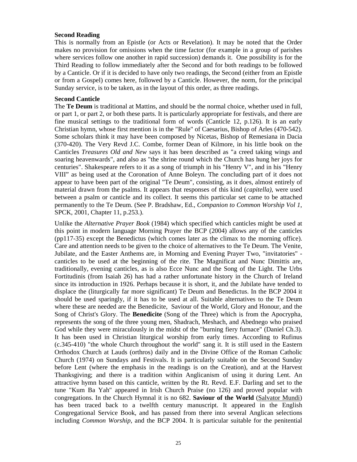#### **Second Reading**

This is normally from an Epistle (or Acts or Revelation). It may be noted that the Order makes no provision for omissions when the time factor (for example in a group of parishes where services follow one another in rapid succession) demands it. One possibility is for the Third Reading to follow immediately after the Second and for both readings to be followed by a Canticle. Or if it is decided to have only two readings, the Second (either from an Epistle or from a Gospel) comes here, followed by a Canticle. However, the norm, for the principal Sunday service, is to be taken, as in the layout of this order, as three readings.

#### **Second Canticle**

The **Te Deum** is traditional at Mattins, and should be the normal choice, whether used in full, or part 1, or part 2, or both these parts. It is particularly appropriate for festivals, and there are fine musical settings to the traditional form of words (Canticle 12, p.126). It is an early Christian hymn, whose first mention is in the "Rule" of Caesarius, Bishop of Arles (470-542). Some scholars think it may have been composed by Nicetas, Bishop of Remesiana in Dacia (370-420). The Very Revd J.C. Combe, former Dean of Kilmore, in his little book on the Canticles *Treasures Old and New* says it has been described as "a creed taking wings and soaring heavenwards", and also as "the shrine round which the Church has hung her joys for centuries". Shakespeare refers to it as a song of triumph in his "Henry V", and in his "Henry VIII" as being used at the Coronation of Anne Boleyn. The concluding part of it does not appear to have been part of the original "Te Deum", consisting, as it does, almost entirely of material drawn from the psalms. It appears that responses of this kind (*capitella)*, were used between a psalm or canticle and its collect. It seems this particular set came to be attached permanently to the Te Deum. (See P. Bradshaw, Ed., *Companion to Common Worship Vol 1*, SPCK, 2001, Chapter 11, p.253.).

Unlike the *Alternative Prayer Book* (1984) which specified which canticles might be used at this point in modern language Morning Prayer the BCP (2004) allows any of the canticles (pp117-35) except the Benedictus (which comes later as the climax to the morning office). Care and attention needs to be given to the choice of alternatives to the Te Deum. The Venite, Jubilate, and the Easter Anthems are, in Morning and Evening Prayer Two, "invitatories" canticles to be used at the beginning of the rite. The Magnificat and Nunc Dimittis are, traditionally, evening canticles, as is also Ecce Nunc and the Song of the Light. The Urbs Fortitudinis (from Isaiah 26) has had a rather unfortunate history in the Church of Ireland since its introduction in 1926. Perhaps because it is short, it, and the Jubilate have tended to displace the (liturgically far more significant) Te Deum and Benedictus. In the BCP 2004 it should be used sparingly, if it has to be used at all. Suitable alternatives to the Te Deum where these are needed are the Benedicite, Saviour of the World, Glory and Honour, and the Song of Christ's Glory. The **Benedicite** (Song of the Three) which is from the Apocrypha, represents the song of the three young men, Shadrach, Meshach, and Abednego who praised God while they were miraculously in the midst of the "burning fiery furnace" (Daniel Ch.3). It has been used in Christian liturgical worship from early times. According to Rufinus (c.345-410) "the whole Church throughout the world" sang it. It is still used in the Eastern Orthodox Church at Lauds (orthros) daily and in the Divine Office of the Roman Catholic Church (1974) on Sundays and Festivals. It is particularly suitable on the Second Sunday before Lent (where the emphasis in the readings is on the Creation), and at the Harvest Thanksgiving; and there is a tradition within Anglicanism of using it during Lent. An attractive hymn based on this canticle, written by the Rt. Revd. E.F. Darling and set to the tune "Kum Ba Yah" appeared in Irish Church Praise (no 126) and proved popular with congregations. In the Church Hymnal it is no 682. **Saviour of the World** (Salvator Mundi) has been traced back to a twelfth century manuscript. It appeared in the English Congregational Service Book, and has passed from there into several Anglican selections including *Common Worship*, and the BCP 2004. It is particular suitable for the penitential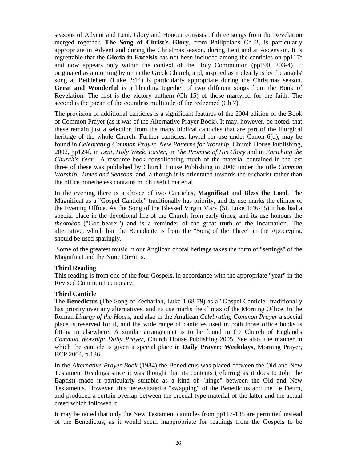seasons of Advent and Lent. Glory and Honour consists of three songs from the Revelation merged together. **The Song of Christ's Glory**, from Philippians Ch 2, is particularly appropriate in Advent and during the Christmas season, during Lent and at Ascension. It is regrettable that the **Gloria in Excelsis** has not been included among the canticles on pp117f and now appears only within the context of the Holy Communion (pp190, 203-4). It originated as a morning hymn in the Greek Church, and, inspired as it clearly is by the angels' song at Bethlehem (Luke 2:14) is particularly appropriate during the Christmas season. **Great and Wonderful** is a blending together of two different songs from the Book of Revelation. The first is the victory anthem (Ch 15) of those martyred for the faith. The second is the paean of the countless multitude of the redeemed (Ch 7).

The provision of additional canticles is a significant features of the 2004 edition of the Book of Common Prayer (as it was of the Alternative Prayer Book). It may, however, be noted, that these remain just a selection from the many biblical canticles that are part of the liturgical heritage of the whole Church. Further canticles, lawful for use under Canon 6(d), may be found in *Celebrating Common Prayer*, *New Patterns for Worship*, Church House Publishing, 2002, pp124f, in *Lent, Holy Week, Easter*, in *The Promise of His Glory* and in *Enriching the Church's Year*. A resource book consolidating much of the material contained in the last three of these was published by Church House Publishing in 2006 under the title *Common Worship: Times and Seasons*, and, although it is orientated towards the eucharist rather than the office nonetheless contains much useful material.

In the evening there is a choice of two Canticles, **Magnificat** and **Bless the Lord**. The Magnificat as a "Gospel Canticle" traditionally has priority, and its use marks the climax of the Evening Office. As the Song of the Blessed Virgin Mary (St. Luke 1:46-55) it has had a special place in the devotional life of the Church from early times, and its use honours the *theotokos* ("God-bearer") and is a reminder of the great truth of the Incarnation. The alternative, which like the Benedicite is from the "Song of the Three" in the Apocrypha, should be used sparingly.

 Some of the greatest music in our Anglican choral heritage takes the form of "settings" of the Magnificat and the Nunc Dimittis.

#### **Third Reading**

This reading is from one of the four Gospels, in accordance with the appropriate "year" in the Revised Common Lectionary.

#### **Third Canticle**

The **Benedictus** (The Song of Zechariah, Luke 1:68-79) as a "Gospel Canticle" traditionally has priority over any alternatives, and its use marks the climax of the Morning Office. In the Roman *Liturgy of the Hours*, and also in the Anglican *Celebrating Common Prayer* a special place is reserved for it, and the wide range of canticles used in both those office books is fitting in elsewhere. A similar arrangement is to be found in the Church of England's *Common Worship: Daily Prayer*, Church House Publishing 2005. See also, the manner in which the canticle is given a special place in **Daily Prayer: Weekdays**, Morning Prayer, BCP 2004, p.136.

In the *Alternative Prayer Book* (1984) the Benedictus was placed between the Old and New Testament Readings since it was thought that its contents (referring as it does to John the Baptist) made it particularly suitable as a kind of "hinge" between the Old and New Testaments. However, this necessitated a "swapping" of the Benedictus and the Te Deum, and produced a certain overlap between the creedal type material of the latter and the actual creed which followed it.

It may be noted that only the New Testament canticles from pp117-135 are permitted instead of the Benedictus, as it would seem inappropriate for readings from the Gospels to be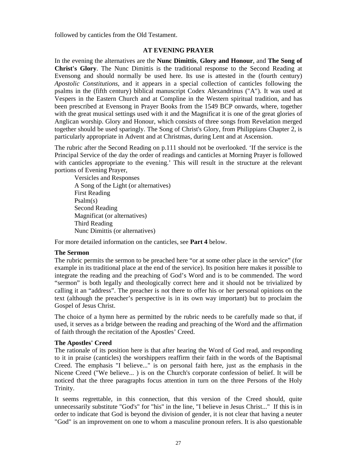followed by canticles from the Old Testament.

#### **AT EVENING PRAYER**

In the evening the alternatives are the **Nunc Dimittis**, **Glory and Honour**, and **The Song of Christ's Glory**. The Nunc Dimittis is the traditional response to the Second Reading at Evensong and should normally be used here. Its use is attested in the (fourth century) *Apostolic Constitutions*, and it appears in a special collection of canticles following the psalms in the (fifth century) biblical manuscript Codex Alexandrinus ("A"). It was used at Vespers in the Eastern Church and at Compline in the Western spiritual tradition, and has been prescribed at Evensong in Prayer Books from the 1549 BCP onwards, where, together with the great musical settings used with it and the Magnificat it is one of the great glories of Anglican worship. Glory and Honour, which consists of three songs from Revelation merged together should be used sparingly. The Song of Christ's Glory, from Philippians Chapter 2, is particularly appropriate in Advent and at Christmas, during Lent and at Ascension.

The rubric after the Second Reading on p.111 should not be overlooked. 'If the service is the Principal Service of the day the order of readings and canticles at Morning Prayer is followed with canticles appropriate to the evening.' This will result in the structure at the relevant portions of Evening Prayer,

 Versicles and Responses A Song of the Light (or alternatives) First Reading Psalm(s) Second Reading Magnificat (or alternatives) Third Reading Nunc Dimittis (or alternatives)

For more detailed information on the canticles, see **Part 4** below.

#### **The Sermon**

The rubric permits the sermon to be preached here "or at some other place in the service" (for example in its traditional place at the end of the service). Its position here makes it possible to integrate the reading and the preaching of God's Word and is to be commended. The word "sermon" is both legally and theologically correct here and it should not be trivialized by calling it an "address". The preacher is not there to offer his or her personal opinions on the text (although the preacher's perspective is in its own way important) but to proclaim the Gospel of Jesus Christ.

The choice of a hymn here as permitted by the rubric needs to be carefully made so that, if used, it serves as a bridge between the reading and preaching of the Word and the affirmation of faith through the recitation of the Apostles' Creed.

#### **The Apostles' Creed**

The rationale of its position here is that after hearing the Word of God read, and responding to it in praise (canticles) the worshippers reaffirm their faith in the words of the Baptismal Creed. The emphasis "I believe..." is on personal faith here, just as the emphasis in the Nicene Creed ("We believe... ) is on the Church's corporate confession of belief. It will be noticed that the three paragraphs focus attention in turn on the three Persons of the Holy Trinity.

It seems regrettable, in this connection, that this version of the Creed should, quite unnecessarily substitute "God's" for "his" in the line, "I believe in Jesus Christ..." If this is in order to indicate that God is beyond the division of gender, it is not clear that having a neuter "God" is an improvement on one to whom a masculine pronoun refers. It is also questionable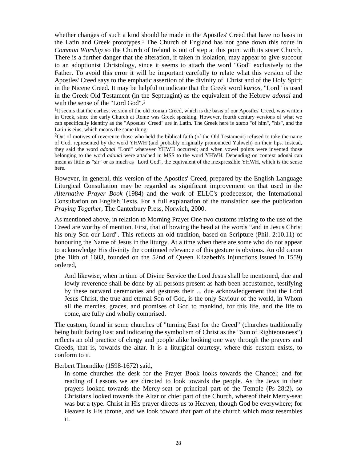whether changes of such a kind should be made in the Apostles' Creed that have no basis in the Latin and Greek prototypes.<sup>1</sup> The Church of England has not gone down this route in *Common Worship* so the Church of Ireland is out of step at this point with its sister Church. There is a further danger that the alteration, if taken in isolation, may appear to give succour to an adoptionist Christology, since it seems to attach the word "God" exclusively to the Father. To avoid this error it will be important carefully to relate what this version of the Apostles' Creed says to the emphatic assertion of the divinity of Christ and of the Holy Spirit in the Nicene Creed. It may be helpful to indicate that the Greek word *kurios*, "Lord" is used in the Greek Old Testament (in the Septuagint) as the equivalent of the Hebrew *adonai* and with the sense of the "Lord God".<sup>2</sup>

<sup>1</sup>It seems that the earliest version of the old Roman Creed, which is the basis of our Apostles' Creed, was written in Greek, since the early Church at Rome was Greek speaking. However, fourth century versions of what we can specifically identify as the "Apostles' Creed" are in Latin. The Greek here is *autou* "of him", "his", and the Latin is eius, which means the same thing.

<sup>2</sup>Out of motives of reverence those who held the biblical faith (of the Old Testament) refused to take the name of God, represented by the word YHWH (and probably originally pronounced Yahweh) on their lips. Instead, they said the word *adonai* "Lord" wherever YHWH occurred; and when vowel points were invented those belonging to the word *adonai* were attached in MSS to the word YHWH. Depending on context adonai can mean as little as "sir" or as much as "Lord God", the equivalent of the inexpressible YHWH, which is the sense here.

However, in general, this version of the Apostles' Creed, prepared by the English Language Liturgical Consultation may be regarded as significant improvement on that used in the *Alternative Prayer Book* (1984) and the work of ELLC's predecessor, the International Consultation on English Texts. For a full explanation of the translation see the publication *Praying Together*, The Canterbury Press, Norwich, 2000.

As mentioned above, in relation to Morning Prayer One two customs relating to the use of the Creed are worthy of mention. First, that of bowing the head at the words "and in Jesus Christ his only Son our Lord". This reflects an old tradition, based on Scripture (Phil. 2:10.11) of honouring the Name of Jesus in the liturgy. At a time when there are some who do not appear to acknowledge His divinity the continued relevance of this gesture is obvious. An old canon (the 18th of 1603, founded on the 52nd of Queen Elizabeth's Injunctions issued in 1559) ordered,

And likewise, when in time of Divine Service the Lord Jesus shall be mentioned, due and lowly reverence shall be done by all persons present as hath been accustomed, testifying by these outward ceremonies and gestures their ... due acknowledgement that the Lord Jesus Christ, the true and eternal Son of God, is the only Saviour of the world, in Whom all the mercies, graces, and promises of God to mankind, for this life, and the life to come, are fully and wholly comprised.

The custom, found in some churches of "turning East for the Creed" (churches traditionally being built facing East and indicating the symbolism of Christ as the "Sun of Righteousness") reflects an old practice of clergy and people alike looking one way through the prayers and Creeds, that is, towards the altar. It is a liturgical courtesy, where this custom exists, to conform to it.

Herbert Thorndike (1598-1672) said,

In some churches the desk for the Prayer Book looks towards the Chancel; and for reading of Lessons we are directed to look towards the people. As the Jews in their prayers looked towards the Mercy-seat or principal part of the Temple (Ps 28:2), so Christians looked towards the Altar or chief part of the Church, whereof their Mercy-seat was but a type. Christ in His prayer directs us to Heaven, though God be everywhere; for Heaven is His throne, and we look toward that part of the church which most resembles it.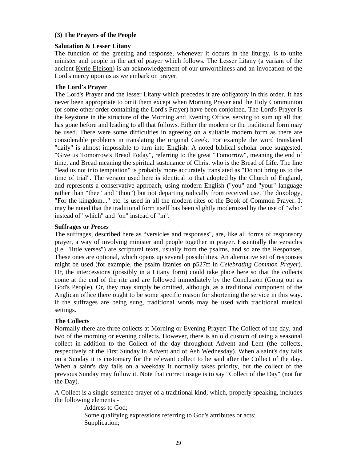#### **(3) The Prayers of the People**

#### **Salutation & Lesser Litany**

The function of the greeting and response, whenever it occurs in the liturgy, is to unite minister and people in the act of prayer which follows. The Lesser Litany (a variant of the ancient Kyrie Eleison) is an acknowledgement of our unworthiness and an invocation of the Lord's mercy upon us as we embark on prayer.

## **The Lord's Prayer**

The Lord's Prayer and the lesser Litany which precedes it are obligatory in this order. It has never been appropriate to omit them except when Morning Prayer and the Holy Communion (or some other order containing the Lord's Prayer) have been conjoined. The Lord's Prayer is the keystone in the structure of the Morning and Evening Office, serving to sum up all that has gone before and leading to all that follows. Either the modern or the traditional form may be used. There were some difficulties in agreeing on a suitable modern form as there are considerable problems in translating the original Greek. For example the word translated "daily" is almost impossible to turn into English. A noted biblical scholar once suggested, "Give us Tomorrow's Bread Today", referring to the great "Tomorrow", meaning the end of time, and Bread meaning the spiritual sustenance of Christ who is the Bread of Life. The line "lead us not into temptation" is probably more accurately translated as "Do not bring us to the time of trial". The version used here is identical to that adopted by the Church of England, and represents a conservative approach, using modern English ("you" and "your" language rather than "thee" and "thou") but not departing radically from received use. The doxology, "For the kingdom..." etc. is used in all the modern rites of the Book of Common Prayer. It may be noted that the traditional form itself has been slightly modernized by the use of "who" instead of "which" and "on" instead of "in".

#### **Suffrages or** *Preces*

The suffrages, described here as "versicles and responses", are, like all forms of responsory prayer, a way of involving minister and people together in prayer. Essentially the versicles (i.e. "little verses") are scriptural texts, usually from the psalms, and so are the Responses. These ones are optional, which opens up several possibilities. An alternative set of responses might be used (for example, the psalm litanies on p527ff in *Celebrating Common Prayer*). Or, the intercessions (possibly in a Litany form) could take place here so that the collects come at the end of the rite and are followed immediately by the Conclusion (Going out as God's People). Or, they may simply be omitted, although, as a traditional component of the Anglican office there ought to be some specific reason for shortening the service in this way. If the suffrages are being sung, traditional words may be used with traditional musical settings.

## **The Collects**

Normally there are three collects at Morning or Evening Prayer: The Collect of the day, and two of the morning or evening collects. However, there is an old custom of using a seasonal collect in addition to the Collect of the day throughout Advent and Lent (the collects, respectively of the First Sunday in Advent and of Ash Wednesday). When a saint's day falls on a Sunday it is customary for the relevant collect to be said after the Collect of the day. When a saint's day falls on a weekday it normally takes priority, but the collect of the previous Sunday may follow it. Note that correct usage is to say "Collect of the Day" (not for the Day).

A Collect is a single-sentence prayer of a traditional kind, which, properly speaking, includes the following elements -

Address to God; Some qualifying expressions referring to God's attributes or acts; Supplication;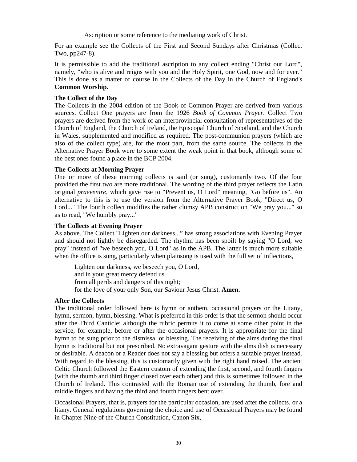Ascription or some reference to the mediating work of Christ.

For an example see the Collects of the First and Second Sundays after Christmas (Collect Two, pp247-8).

It is permissible to add the traditional ascription to any collect ending "Christ our Lord", namely, "who is alive and reigns with you and the Holy Spirit, one God, now and for ever." This is done as a matter of course in the Collects of the Day in the Church of England's **Common Worship.** 

#### **The Collect of the Day**

The Collects in the 2004 edition of the Book of Common Prayer are derived from various sources. Collect One prayers are from the 1926 *Book of Common Prayer*. Collect Two prayers are derived from the work of an interprovincial consultation of representatives of the Church of England, the Church of Ireland, the Episcopal Church of Scotland, and the Church in Wales, supplemented and modified as required. The post-communion prayers (which are also of the collect type) are, for the most part, from the same source. The collects in the Alternative Prayer Book were to some extent the weak point in that book, although some of the best ones found a place in the BCP 2004.

#### **The Collects at Morning Prayer**

One or more of these morning collects is said (or sung), customarily two. Of the four provided the first two are more traditional. The wording of the third prayer reflects the Latin original *praevenire*, which gave rise to "Prevent us, O Lord" meaning, "Go before us". An alternative to this is to use the version from the Alternative Prayer Book, "Direct us, O Lord..." The fourth collect modifies the rather clumsy APB construction "We pray you..." so as to read, "We humbly pray..."

#### **The Collects at Evening Prayer**

As above. The Collect "Lighten our darkness..." has strong associations with Evening Prayer and should not lightly be disregarded. The rhythm has been spoilt by saying "O Lord, we pray" instead of "we beseech you, O Lord" as in the APB. The latter is much more suitable when the office is sung, particularly when plainsong is used with the full set of inflections,

 Lighten our darkness, we beseech you, O Lord, and in your great mercy defend us from all perils and dangers of this night; for the love of your only Son, our Saviour Jesus Christ. **Amen.**

#### **After the Collects**

The traditional order followed here is hymn or anthem, occasional prayers or the Litany, hymn, sermon, hymn, blessing. What is preferred in this order is that the sermon should occur after the Third Canticle; although the rubric permits it to come at some other point in the service, for example, before or after the occasional prayers. It is appropriate for the final hymn to be sung prior to the dismissal or blessing. The receiving of the alms during the final hymn is traditional but not prescribed. No extravagant gesture with the alms dish is necessary or desirable. A deacon or a Reader does not say a blessing but offers a suitable prayer instead. With regard to the blessing, this is customarily given with the right hand raised. The ancient Celtic Church followed the Eastern custom of extending the first, second, and fourth fingers (with the thumb and third finger closed over each other) and this is sometimes followed in the Church of Ireland. This contrasted with the Roman use of extending the thumb, fore and middle fingers and having the third and fourth fingers bent over.

Occasional Prayers, that is, prayers for the particular occasion, are used after the collects, or a litany. General regulations governing the choice and use of Occasional Prayers may be found in Chapter Nine of the Church Constitution, Canon Six,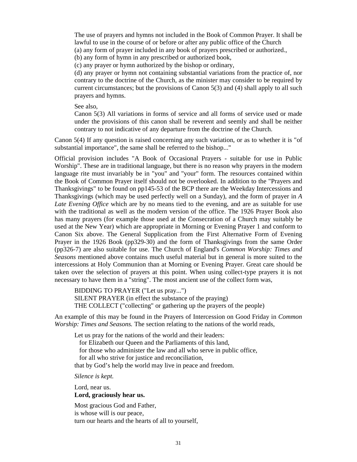The use of prayers and hymns not included in the Book of Common Prayer. It shall be lawful to use in the course of or before or after any public office of the Church (a) any form of prayer included in any book of prayers prescribed or authorized.,

(b) any form of hymn in any prescribed or authorized book,

(c) any prayer or hymn authorized by the bishop or ordinary,

(d) any prayer or hymn not containing substantial variations from the practice of, nor contrary to the doctrine of the Church, as the minister may consider to be required by current circumstances; but the provisions of Canon 5(3) and (4) shall apply to all such prayers and hymns.

See also,

Canon 5(3) All variations in forms of service and all forms of service used or made under the provisions of this canon shall be reverent and seemly and shall be neither contrary to not indicative of any departure from the doctrine of the Church.

Canon 5(4) If any question is raised concerning any such variation, or as to whether it is "of substantial importance", the same shall be referred to the bishop..."

Official provision includes "A Book of Occasional Prayers - suitable for use in Public Worship". These are in traditional language, but there is no reason why prayers in the modern language rite must invariably be in "you" and "your" form. The resources contained within the Book of Common Prayer itself should not be overlooked. In addition to the "Prayers and Thanksgivings" to be found on pp145-53 of the BCP there are the Weekday Intercessions and Thanksgivings (which may be used perfectly well on a Sunday), and the form of prayer in *A Late Evening Office* which are by no means tied to the evening, and are as suitable for use with the traditional as well as the modern version of the office. The 1926 Prayer Book also has many prayers (for example those used at the Consecration of a Church may suitably be used at the New Year) which are appropriate in Morning or Evening Prayer 1 and conform to Canon Six above. The General Supplication from the First Alternative Form of Evening Prayer in the 1926 Book (pp329-30) and the form of Thanksgivings from the same Order (pp326-7) are also suitable for use. The Church of England's *Common Worship: Times and Seasons* mentioned above contains much useful material but in general is more suited to the intercessions at Holy Communion than at Morning or Evening Prayer. Great care should be taken over the selection of prayers at this point. When using collect-type prayers it is not necessary to have them in a "string". The most ancient use of the collect form was,

 BIDDING TO PRAYER ("Let us pray...") SILENT PRAYER (in effect the substance of the praying) THE COLLECT ("collecting" or gathering up the prayers of the people)

An example of this may be found in the Prayers of Intercession on Good Friday in *Common Worship: Times and Seasons.* The section relating to the nations of the world reads,

Let us pray for the nations of the world and their leaders: for Elizabeth our Queen and the Parliaments of this land, for those who administer the law and all who serve in public office, for all who strive for justice and reconciliation, that by God's help the world may live in peace and freedom.

*Silence is kept.* 

Lord, near us.

**Lord, graciously hear us.** 

Most gracious God and Father, is whose will is our peace, turn our hearts and the hearts of all to yourself,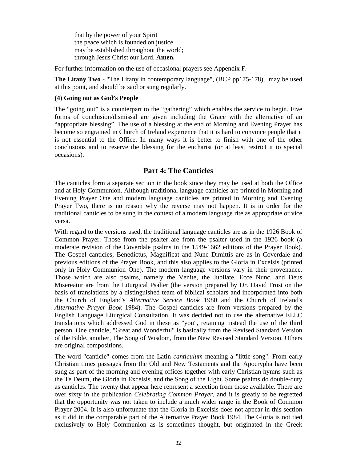that by the power of your Spirit the peace which is founded on justice may be established throughout the world; through Jesus Christ our Lord. **Amen.** 

For further information on the use of occasional prayers see Appendix F.

**The Litany Two** - "The Litany in contemporary language", (BCP pp175-178), may be used at this point, and should be said or sung regularly.

#### **(4) Going out as God's People**

The "going out" is a counterpart to the "gathering" which enables the service to begin. Five forms of conclusion/dismissal are given including the Grace with the alternative of an "appropriate blessing". The use of a blessing at the end of Morning and Evening Prayer has become so engrained in Church of Ireland experience that it is hard to convince people that it is not essential to the Office. In many ways it is better to finish with one of the other conclusions and to reserve the blessing for the eucharist (or at least restrict it to special occasions).

## **Part 4: The Canticles**

The canticles form a separate section in the book since they may be used at both the Office and at Holy Communion. Although traditional language canticles are printed in Morning and Evening Prayer One and modern language canticles are printed in Morning and Evening Prayer Two, there is no reason why the reverse may not happen. It is in order for the traditional canticles to be sung in the context of a modern language rite as appropriate or vice versa.

With regard to the versions used, the traditional language canticles are as in the 1926 Book of Common Prayer. Those from the psalter are from the psalter used in the 1926 book (a moderate revision of the Coverdale psalms in the 1549-1662 editions of the Prayer Book). The Gospel canticles, Benedictus, Magnificat and Nunc Dimittis are as in Coverdale and previous editions of the Prayer Book, and this also applies to the Gloria in Excelsis (printed only in Holy Communion One). The modern language versions vary in their provenance. Those which are also psalms, namely the Venite, the Jubilate, Ecce Nunc, and Deus Misereatur are from the Liturgical Psalter (the version prepared by Dr. David Frost on the basis of translations by a distinguished team of biblical scholars and incorporated into both the Church of England's *Alternative Service Book* 1980 and the Church of Ireland's *Alternative Prayer Book* 1984). The Gospel canticles are from versions prepared by the English Language Liturgical Consultation. It was decided not to use the alternative ELLC translations which addressed God in these as "you", retaining instead the use of the third person. One canticle, "Great and Wonderful" is basically from the Revised Standard Version of the Bible, another, The Song of Wisdom, from the New Revised Standard Version. Others are original compositions.

The word "canticle" comes from the Latin *canticulum* meaning a "little song". From early Christian times passages from the Old and New Testaments and the Apocrypha have been sung as part of the morning and evening offices together with early Christian hymns such as the Te Deum, the Gloria in Excelsis, and the Song of the Light. Some psalms do double-duty as canticles. The twenty that appear here represent a selection from those available. There are over sixty in the publication *Celebrating Common Prayer*, and it is greatly to be regretted that the opportunity was not taken to include a much wider range in the Book of Common Prayer 2004. It is also unfortunate that the Gloria in Excelsis does not appear in this section as it did in the comparable part of the Alternative Prayer Book 1984. The Gloria is not tied exclusively to Holy Communion as is sometimes thought, but originated in the Greek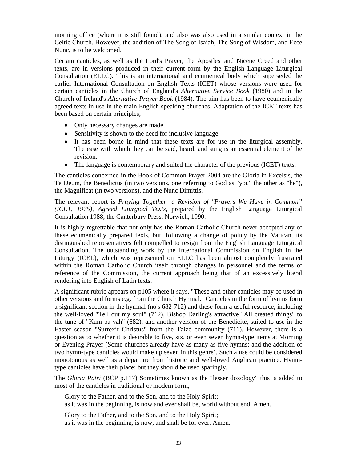morning office (where it is still found), and also was also used in a similar context in the Celtic Church. However, the addition of The Song of Isaiah, The Song of Wisdom, and Ecce Nunc, is to be welcomed.

Certain canticles, as well as the Lord's Prayer, the Apostles' and Nicene Creed and other texts, are in versions produced in their current form by the English Language Liturgical Consultation (ELLC). This is an international and ecumenical body which superseded the earlier International Consultation on English Texts (ICET) whose versions were used for certain canticles in the Church of England's *Alternative Service Book* (1980) and in the Church of Ireland's *Alternative Prayer Book* (1984). The aim has been to have ecumenically agreed texts in use in the main English speaking churches. Adaptation of the ICET texts has been based on certain principles,

- Only necessary changes are made.
- Sensitivity is shown to the need for inclusive language.
- It has been borne in mind that these texts are for use in the liturgical assembly. The ease with which they can be said, heard, and sung is an essential element of the revision.
- The language is contemporary and suited the character of the previous (ICET) texts.

The canticles concerned in the Book of Common Prayer 2004 are the Gloria in Excelsis, the Te Deum, the Benedictus (in two versions, one referring to God as "you" the other as "he"), the Magnificat (in two versions), and the Nunc Dimittis.

The relevant report is *Praying Together- a Revision of "Prayers We Have in Common" (ICET, 1975), Agreed Liturgical Texts,* prepared by the English Language Liturgical Consultation 1988; the Canterbury Press, Norwich, 1990.

It is highly regrettable that not only has the Roman Catholic Church never accepted any of these ecumenically prepared texts, but, following a change of policy by the Vatican, its distinguished representatives felt compelled to resign from the English Language Liturgical Consultation. The outstanding work by the International Commission on English in the Liturgy (ICEL), which was represented on ELLC has been almost completely frustrated within the Roman Catholic Church itself through changes in personnel and the terms of reference of the Commission, the current approach being that of an excessively literal rendering into English of Latin texts.

A significant rubric appears on p105 where it says, "These and other canticles may be used in other versions and forms e.g. from the Church Hymnal." Canticles in the form of hymns form a significant section in the hymnal (no's 682-712) and these form a useful resource, including the well-loved "Tell out my soul" (712), Bishop Darling's attractive "All created things" to the tune of "Kum ba yah" (682), and another version of the Benedicite, suited to use in the Easter season "Surrexit Christus" from the Taizé community (711). However, there is a question as to whether it is desirable to five, six, or even seven hymn-type items at Morning or Evening Prayer (Some churches already have as many as five hymns; and the addition of two hymn-type canticles would make up seven in this genre). Such a use could be considered monotonous as well as a departure from historic and well-loved Anglican practice. Hymntype canticles have their place; but they should be used sparingly.

The *Gloria Patri* (BCP p.117) Sometimes known as the "lesser doxology" this is added to most of the canticles in traditional or modern form,

Glory to the Father, and to the Son, and to the Holy Spirit; as it was in the beginning, is now and ever shall be, world without end. Amen.

Glory to the Father, and to the Son, and to the Holy Spirit; as it was in the beginning, is now, and shall be for ever. Amen.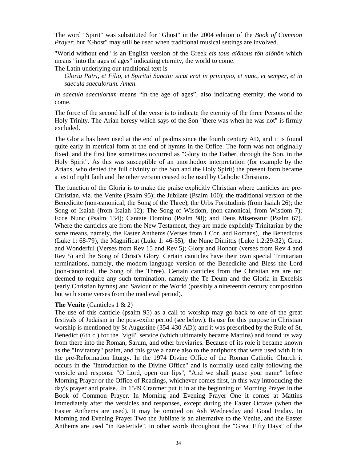The word "Spirit" was substituted for "Ghost" in the 2004 edition of the *Book of Common Prayer*; but "Ghost" may still be used when traditional musical settings are involved.

"World without end" is an English version of the Greek *eis tous aiônous tôn aiônôn* which means "into the ages of ages" indicating eternity, the world to come.

The Latin underlying our traditional text is

*Gloria Patri, et Filio, et Spiritui Sancto: sicut erat in principio, et nunc, et semper, et in saecula saeculorum. Amen.* 

*In saecula saeculorum* means "in the age of ages", also indicating eternity, the world to come.

The force of the second half of the verse is to indicate the eternity of the three Persons of the Holy Trinity. The Arian heresy which says of the Son "there was when he was not" is firmly excluded.

The Gloria has been used at the end of psalms since the fourth century AD, and it is found quite early in metrical form at the end of hymns in the Office. The form was not originally fixed, and the first line sometimes occurred as "Glory to the Father, through the Son, in the Holy Spirit". As this was susceptible of an unorthodox interpretation (for example by the Arians, who denied the full divinity of the Son and the Holy Spirit) the present form became a test of right faith and the other version ceased to be used by Catholic Christians.

The function of the Gloria is to make the praise explicitly Christian where canticles are pre-Christian, viz. the Venite (Psalm 95); the Jubilate (Psalm 100); the traditional version of the Benedicite (non-canonical, the Song of the Three), the Urbs Fortitudinis (from Isaiah 26); the Song of Isaiah (from Isaiah 12); The Song of Wisdom, (non-canonical, from Wisdom 7); Ecce Nunc (Psalm 134); Cantate Domino (Psalm 98); and Deus Misereatur (Psalm 67). Where the canticles are from the New Testament, they are made explicitly Trinitarian by the same means, namely, the Easter Anthems (Verses from 1 Cor. and Romans), the Benedictus (Luke 1: 68-79), the Magnificat (Luke 1: 46-55); the Nunc Dimittis (Luke 1:2:29-32); Great and Wonderful (Verses from Rev 15 and Rev 5); Glory and Honour (verses from Rev 4 and Rev 5) and the Song of Christ's Glory. Certain canticles have their own special Trinitarian terminations, namely, the modern language version of the Benedicite and Bless the Lord (non-canonical, the Song of the Three). Certain canticles from the Christian era are not deemed to require any such termination, namely the Te Deum and the Gloria in Excelsis (early Christian hymns) and Saviour of the World (possibly a nineteenth century composition but with some verses from the medieval period).

#### **The Venite** (Canticles 1 & 2)

The use of this canticle (psalm 95) as a call to worship may go back to one of the great festivals of Judaism in the post-exilic period (see below). Its use for this purpose in Christian worship is mentioned by St Augustine (354-430 AD); and it was prescribed by the Rule of St. Benedict (6th c.) for the "vigil" service (which ultimately became Mattins) and found its way from there into the Roman, Sarum, and other breviaries. Because of its role it became known as the "Invitatory" psalm, and this gave a name also to the antiphons that were used with it in the pre-Reformation liturgy. In the 1974 Divine Office of the Roman Catholic Church it occurs in the "Introduction to the Divine Office" and is normally used daily following the versicle and response "O Lord, open our lips", "And we shall praise your name" before Morning Prayer or the Office of Readings, whichever comes first, in this way introducing the day's prayer and praise. In 1549 Cranmer put it in at the beginning of Morning Prayer in the Book of Common Prayer. In Morning and Evening Prayer One it comes at Mattins immediately after the versicles and responses, except during the Easter Octave (when the Easter Anthems are used). It may be omitted on Ash Wednesday and Good Friday. In Morning and Evening Prayer Two the Jubilate is an alternative to the Venite, and the Easter Anthems are used "in Eastertide", in other words throughout the "Great Fifty Days" of the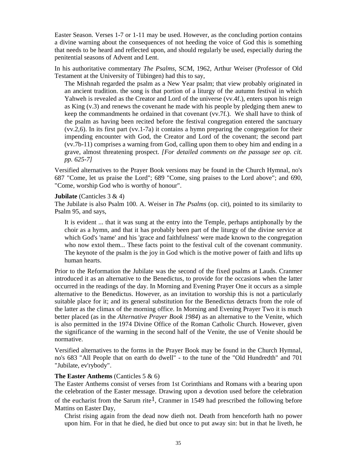Easter Season. Verses 1-7 or 1-11 may be used. However, as the concluding portion contains a divine warning about the consequences of not heeding the voice of God this is something that needs to be heard and reflected upon, and should regularly be used, especially during the penitential seasons of Advent and Lent.

In his authoritative commentary *The Psalms*, SCM, 1962, Arthur Weiser (Professor of Old Testament at the University of Tübingen) had this to say,

The Mishnah regarded the psalm as a New Year psalm; that view probably originated in an ancient tradition. the song is that portion of a liturgy of the autumn festival in which Yahweh is revealed as the Creator and Lord of the universe (vv.4f.), enters upon his reign as King (v.3) and renews the covenant he made with his people by pledging them anew to keep the commandments he ordained in that covenant (vv.7f.). We shall have to think of the psalm as having been recited before the festival congregation entered the sanctuary (vv.2,6). In its first part (vv.1-7a) it contains a hymn preparing the congregation for their impending encounter with God, the Creator and Lord of the covenant; the second part (vv.7b-11) comprises a warning from God, calling upon them to obey him and ending in a grave, almost threatening prospect. *[For detailed comments on the passage see op. cit. pp. 625-7]*

Versified alternatives to the Prayer Book versions may be found in the Church Hymnal, no's 687 "Come, let us praise the Lord"; 689 "Come, sing praises to the Lord above"; and 690, "Come, worship God who is worthy of honour".

#### **Jubilate** (Canticles 3 & 4)

The Jubilate is also Psalm 100. A. Weiser in *The Psalms* (op. cit), pointed to its similarity to Psalm 95, and says,

It is evident ... that it was sung at the entry into the Temple, perhaps antiphonally by the choir as a hymn, and that it has probably been part of the liturgy of the divine service at which God's 'name' and his 'grace and faithfulness' were made known to the congregation who now extol them... These facts point to the festival cult of the covenant community. The keynote of the psalm is the joy in God which is the motive power of faith and lifts up human hearts.

Prior to the Reformation the Jubilate was the second of the fixed psalms at Lauds. Cranmer introduced it as an alternative to the Benedictus, to provide for the occasions when the latter occurred in the readings of the day. In Morning and Evening Prayer One it occurs as a simple alternative to the Benedictus. However, as an invitation to worship this is not a particularly suitable place for it; and its general substitution for the Benedictus detracts from the role of the latter as the climax of the morning office. In Morning and Evening Prayer Two it is much better placed (as in the *Alternative Prayer Book 1984*) as an alternative to the Venite, which is also permitted in the 1974 Divine Office of the Roman Catholic Church. However, given the significance of the warning in the second half of the Venite, the use of Venite should be normative.

Versified alternatives to the forms in the Prayer Book may be found in the Church Hymnal, no's 683 "All People that on earth do dwell" - to the tune of the "Old Hundredth" and 701 "Jubilate, ev'rybody".

#### **The Easter Anthems** (Canticles 5 & 6)

The Easter Anthems consist of verses from 1st Corinthians and Romans with a bearing upon the celebration of the Easter message. Drawing upon a devotion used before the celebration of the eucharist from the Sarum rite<sup>1</sup>, Cranmer in 1549 had prescribed the following before Mattins on Easter Day,

Christ rising again from the dead now dieth not. Death from henceforth hath no power upon him. For in that he died, he died but once to put away sin: but in that he liveth, he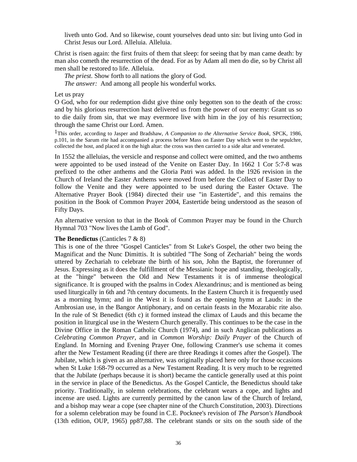liveth unto God. And so likewise, count yourselves dead unto sin: but living unto God in Christ Jesus our Lord. Alleluia. Alleluia.

Christ is risen again: the first fruits of them that sleep: for seeing that by man came death: by man also cometh the resurrection of the dead. For as by Adam all men do die, so by Christ all men shall be restored to life. Alleluia.

*The priest.* Show forth to all nations the glory of God.

*The answer:* And among all people his wonderful works.

#### Let us pray

O God, who for our redemption didst give thine only begotten son to the death of the cross: and by his glorious resurrection hast delivered us from the power of our enemy: Grant us so to die daily from sin, that we may evermore live with him in the joy of his resurrection; through the same Christ our Lord. Amen.

1This order, according to Jasper and Bradshaw, *A Companion to the Alternative Service Book*, SPCK, 1986, p.101, in the Sarum rite had accompanied a process before Mass on Easter Day which went to the sepulchre, collected the host, and placed it on the high altar: the cross was then carried to a side altar and venerated.

In 1552 the alleluias, the versicle and response and collect were omitted, and the two anthems were appointed to be used instead of the Venite on Easter Day. In 1662 1 Cor 5:7-8 was prefixed to the other anthems and the Gloria Patri was added. In the 1926 revision in the Church of Ireland the Easter Anthems were moved from before the Collect of Easter Day to follow the Venite and they were appointed to be used during the Easter Octave. The Alternative Prayer Book (1984) directed their use "in Eastertide", and this remains the position in the Book of Common Prayer 2004, Eastertide being understood as the season of Fifty Days.

An alternative version to that in the Book of Common Prayer may be found in the Church Hymnal 703 "Now lives the Lamb of God".

#### **The Benedictus** (Canticles 7 & 8)

This is one of the three "Gospel Canticles" from St Luke's Gospel, the other two being the Magnificat and the Nunc Dimittis. It is subtitled "The Song of Zechariah" being the words uttered by Zechariah to celebrate the birth of his son, John the Baptist, the forerunner of Jesus. Expressing as it does the fulfillment of the Messianic hope and standing, theologically, at the "hinge" between the Old and New Testaments it is of immense theological significance. It is grouped with the psalms in Codex Alexandrinus; and is mentioned as being used liturgically in 6th and 7th century documents. In the Eastern Church it is frequently used as a morning hymn; and in the West it is found as the opening hymn at Lauds: in the Ambrosian use, in the Bangor Antiphonary, and on certain feasts in the Mozarabic rite also. In the rule of St Benedict (6th c) it formed instead the climax of Lauds and this became the position in liturgical use in the Western Church generally. This continues to be the case in the Divine Office in the Roman Catholic Church (1974), and in such Anglican publications as *Celebrating Common Prayer*, and in *Common Worship: Daily Prayer* of the Church of England. In Morning and Evening Prayer One, following Cranmer's use schema it comes after the New Testament Reading (if there are three Readings it comes after the Gospel). The Jubilate, which is given as an alternative, was originally placed here only for those occasions when St Luke 1:68-79 occurred as a New Testament Reading. It is very much to be regretted that the Jubilate (perhaps because it is short) became the canticle generally used at this point in the service in place of the Benedictus. As the Gospel Canticle, the Benedictus should take priority. Traditionally, in solemn celebrations, the celebrant wears a cope, and lights and incense are used. Lights are currently permitted by the canon law of the Church of Ireland, and a bishop may wear a cope (see chapter nine of the Church Constitution, 2003). Directions for a solemn celebration may be found in C.E. Pocknee's revision of *The Parson's Handbook* (13th edition, OUP, 1965) pp87,88. The celebrant stands or sits on the south side of the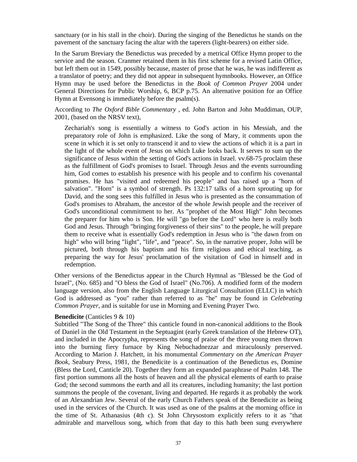sanctuary (or in his stall in the choir). During the singing of the Benedictus he stands on the pavement of the sanctuary facing the altar with the taperers (light-bearers) on either side.

In the Sarum Breviary the Benedictus was preceded by a metrical Office Hymn proper to the service and the season. Cranmer retained them in his first scheme for a revised Latin Office, but left them out in 1549, possibly because, master of prose that he was, he was indifferent as a translator of poetry; and they did not appear in subsequent hymnbooks. However, an Office Hymn may be used before the Benedictus in the *Book of Common Prayer* 2004 under General Directions for Public Worship, 6, BCP p.75. An alternative position for an Office Hymn at Evensong is immediately before the psalm(s).

According to *The Oxford Bible Commentary* , ed. John Barton and John Muddiman, OUP, 2001, (based on the NRSV text),

Zechariah's song is essentially a witness to God's action in his Messiah, and the preparatory role of John is emphasized. Like the song of Mary, it comments upon the scene in which it is set only to transcend it and to view the actions of which it is a part in the light of the whole event of Jesus on which Luke looks back. It serves to sum up the significance of Jesus within the setting of God's actions in Israel. vv.68-75 proclaim these as the fulfillment of God's promises to Israel. Through Jesus and the events surrounding him, God comes to establish his presence with his people and to confirm his covenantal promises. He has "visited and redeemed his people" and has raised up a "horn of salvation". "Horn" is a symbol of strength. Ps 132:17 talks of a horn sprouting up for David, and the song sees this fulfilled in Jesus who is presented as the consummation of God's promises to Abraham, the ancestor of the whole Jewish people and the receiver of God's unconditional commitment to her. As "prophet of the Most High" John becomes the preparer for him who is Son. He will "go before the Lord" who here is really both God and Jesus. Through "bringing forgiveness of their sins" to the people, he will prepare them to receive what is essentially God's redemption in Jesus who is "the dawn from on high" who will bring "light", "life", and "peace". So, in the narrative proper, John will be pictured, both through his baptism and his firm religious and ethical teaching, as preparing the way for Jesus' proclamation of the visitation of God in himself and in redemption.

Other versions of the Benedictus appear in the Church Hymnal as "Blessed be the God of Israel", (No. 685) and "O bless the God of Israel" (No.706). A modified form of the modern language version, also from the English Language Liturgical Consultation (ELLC) in which God is addressed as "you" rather than referred to as "he" may be found in *Celebrating Common Prayer*, and is suitable for use in Morning and Evening Prayer Two.

#### **Benedicite** (Canticles 9 & 10)

Subtitled "The Song of the Three" this canticle found in non-canonical additions to the Book of Daniel in the Old Testament in the Septuagint (early Greek translation of the Hebrew OT), and included in the Apocrypha, represents the song of praise of the three young men thrown into the burning fiery furnace by King Nebuchadnezzar and miraculously preserved. According to Marion J. Hatchett, in his monumental *Commentary on the American Prayer Book*, Seabury Press, 1981, the Benedicite is a continuation of the Benedictus es, Domine (Bless the Lord, Canticle 20). Together they form an expanded paraphrase of Psalm 148. The first portion summons all the hosts of heaven and all the physical elements of earth to praise God; the second summons the earth and all its creatures, including humanity; the last portion summons the people of the covenant, living and departed. He regards it as probably the work of an Alexandrian Jew. Several of the early Church Fathers speak of the Benedicite as being used in the services of the Church. It was used as one of the psalms at the morning office in the time of St. Athanasius (4th c). St John Chrysostom explicitly refers to it as "that admirable and marvellous song, which from that day to this hath been sung everywhere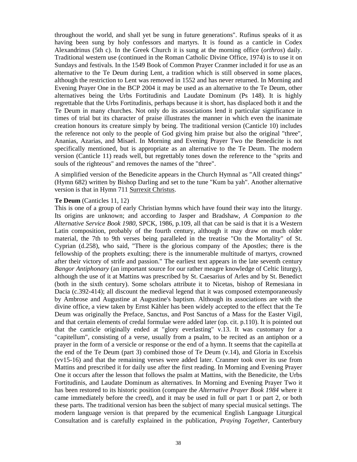throughout the world, and shall yet be sung in future generations". Rufinus speaks of it as having been sung by holy confessors and martyrs. It is found as a canticle in Codex Alexandrinus (5th c). In the Greek Church it is sung at the morning office (*orthros*) daily. Traditional western use (continued in the Roman Catholic Divine Office, 1974) is to use it on Sundays and festivals. In the 1549 Book of Common Prayer Cranmer included it for use as an alternative to the Te Deum during Lent, a tradition which is still observed in some places, although the restriction to Lent was removed in 1552 and has never returned. In Morning and Evening Prayer One in the BCP 2004 it may be used as an alternative to the Te Deum, other alternatives being the Urbs Fortitudinis and Laudate Dominum (Ps 148). It is highly regrettable that the Urbs Fortitudinis, perhaps because it is short, has displaced both it and the Te Deum in many churches. Not only do its associations lend it particular significance in times of trial but its character of praise illustrates the manner in which even the inanimate creation honours its creature simply by being. The traditional version (Canticle 10) includes the reference not only to the people of God giving him praise but also the original "three", Ananias, Azarias, and Misael. In Morning and Evening Prayer Two the Benedicite is not specifically mentioned, but is appropriate as an alternative to the Te Deum. The modern version (Canticle 11) reads well, but regrettably tones down the reference to the "sprits and souls of the righteous" and removes the names of the "three".

A simplified version of the Benedicite appears in the Church Hymnal as "All created things" (Hymn 682) written by Bishop Darling and set to the tune "Kum ba yah". Another alternative version is that in Hymn 711 Surrexit Christus.

#### **Te Deum** (Canticles 11, 12)

This is one of a group of early Christian hymns which have found their way into the liturgy. Its origins are unknown; and according to Jasper and Bradshaw, *A Companion to the Alternative Service Book 1980*, SPCK, 1986, p.109, all that can be said is that it is a Western Latin composition, probably of the fourth century, although it may draw on much older material, the 7th to 9th verses being paralleled in the treatise "On the Mortality" of St. Cyprian (d.258), who said, "There is the glorious company of the Apostles; there is the fellowship of the prophets exulting; there is the innumerable multitude of martyrs, crowned after their victory of strife and passion." The earliest text appears in the late seventh century *Bangor Antiphonary* (an important source for our rather meagre knowledge of Celtic liturgy), although the use of it at Mattins was prescribed by St. Caesarius of Arles and by St. Benedict (both in the sixth century). Some scholars attribute it to Nicetas, bishop of Remesiana in Dacia (c.392-414); all discount the medieval legend that it was composed extemporaneously by Ambrose and Augustine at Augustine's baptism. Although its associations are with the divine office, a view taken by Ernst Kähler has been widely accepted to the effect that the Te Deum was originally the Preface, Sanctus, and Post Sanctus of a Mass for the Easter Vigil, and that certain elements of credal formulae were added later (op. cit. p.110). It is pointed out that the canticle originally ended at "glory everlasting" v.13. It was customary for a "capitellum", consisting of a verse, usually from a psalm, to be recited as an antiphon or a prayer in the form of a versicle or response or the end of a hymn. It seems that the capitella at the end of the Te Deum (part 3) combined those of Te Deum (v.14), and Gloria in Excelsis (vv15-16) and that the remaining verses were added later. Cranmer took over its use from Mattins and prescribed it for daily use after the first reading. In Morning and Evening Prayer One it occurs after the lesson that follows the psalm at Mattins, with the Benedicite, the Urbs Fortitudinis, and Laudate Dominum as alternatives. In Morning and Evening Prayer Two it has been restored to its historic position (compare the *Alternative Prayer Book 1984* where it came immediately before the creed), and it may be used in full or part 1 or part 2, or both these parts. The traditional version has been the subject of many special musical settings. The modern language version is that prepared by the ecumenical English Language Liturgical Consultation and is carefully explained in the publication, *Praying Together,* Canterbury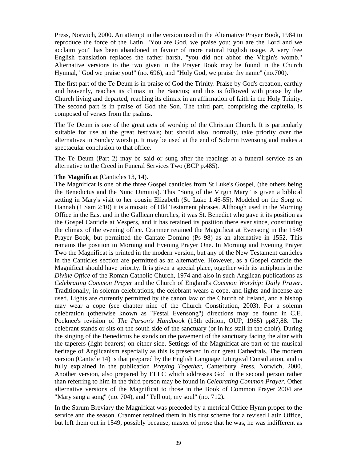Press, Norwich, 2000. An attempt in the version used in the Alternative Prayer Book, 1984 to reproduce the force of the Latin, "You are God, we praise you: you are the Lord and we acclaim you" has been abandoned in favour of more natural English usage. A very free English translation replaces the rather harsh, "you did not abhor the Virgin's womb." Alternative versions to the two given in the Prayer Book may be found in the Church Hymnal, "God we praise you!" (no. 696), and "Holy God, we praise thy name" (no.700).

The first part of the Te Deum is in praise of God the Trinity. Praise by God's creation, earthly and heavenly, reaches its climax in the Sanctus; and this is followed with praise by the Church living and departed, reaching its climax in an affirmation of faith in the Holy Trinity. The second part is in praise of God the Son. The third part, comprising the capitella, is composed of verses from the psalms.

The Te Deum is one of the great acts of worship of the Christian Church. It is particularly suitable for use at the great festivals; but should also, normally, take priority over the alternatives in Sunday worship. It may be used at the end of Solemn Evensong and makes a spectacular conclusion to that office.

The Te Deum (Part 2) may be said or sung after the readings at a funeral service as an alternative to the Creed in Funeral Services Two (BCP p.485).

#### **The Magnificat** (Canticles 13, 14).

The Magnificat is one of the three Gospel canticles from St Luke's Gospel, (the others being the Benedictus and the Nunc Dimittis). This "Song of the Virgin Mary" is given a biblical setting in Mary's visit to her cousin Elizabeth (St. Luke 1:46-55). Modeled on the Song of Hannah (1 Sam 2:10) it is a mosaic of Old Testament phrases. Although used in the Morning Office in the East and in the Gallican churches, it was St. Benedict who gave it its position as the Gospel Canticle at Vespers, and it has retained its position there ever since, constituting the climax of the evening office. Cranmer retained the Magnificat at Evensong in the 1549 Prayer Book, but permitted the Cantate Domino (Ps 98) as an alternative in 1552. This remains the position in Morning and Evening Prayer One. In Morning and Evening Prayer Two the Magnificat is printed in the modern version, but any of the New Testament canticles in the Canticles section are permitted as an alternative. However, as a Gospel canticle the Magnificat should have priority. It is given a special place, together with its antiphons in the *Divine Office* of the Roman Catholic Church, 1974 and also in such Anglican publications as *Celebrating Common Prayer* and the Church of England's *Common Worship: Daily Prayer*. Traditionally, in solemn celebrations, the celebrant wears a cope, and lights and incense are used. Lights are currently permitted by the canon law of the Church of Ireland, and a bishop may wear a cope (see chapter nine of the Church Constitution, 2003). For a solemn celebration (otherwise known as "Festal Evensong") directions may be found in C.E. Pocknee's revision of *The Parson's Handbook* (13th edition, OUP, 1965) pp87,88. The celebrant stands or sits on the south side of the sanctuary (or in his stall in the choir). During the singing of the Benedictus he stands on the pavement of the sanctuary facing the altar with the taperers (light-bearers) on either side. Settings of the Magnificat are part of the musical heritage of Anglicanism especially as this is preserved in our great Cathedrals. The modern version (Canticle 14) is that prepared by the English Language Liturgical Consultation, and is fully explained in the publication *Praying Together*, Canterbury Press, Norwich, 2000. Another version, also prepared by ELLC which addresses God in the second person rather than referring to him in the third person may be found in *Celebrating Common Prayer.* Other alternative versions of the Magnificat to those in the Book of Common Prayer 2004 are "Mary sang a song" (no. 704), and "Tell out, my soul" (no. 712)**.** 

In the Sarum Breviary the Magnificat was preceded by a metrical Office Hymn proper to the service and the season. Cranmer retained them in his first scheme for a revised Latin Office, but left them out in 1549, possibly because, master of prose that he was, he was indifferent as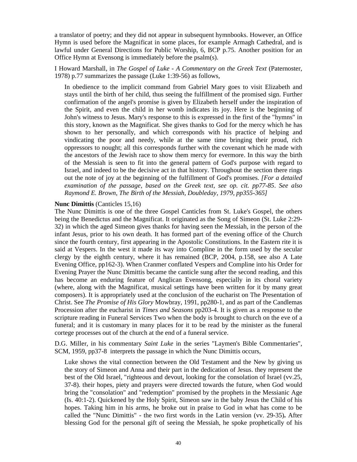a translator of poetry; and they did not appear in subsequent hymnbooks. However, an Office Hymn is used before the Magnificat in some places, for example Armagh Cathedral, and is lawful under General Directions for Public Worship, 6, BCP p.75. Another position for an Office Hymn at Evensong is immediately before the psalm(s).

I Howard Marshall, in *The Gospel of Luke - A Commentary on the Greek Text* (Paternoster, 1978) p.77 summarizes the passage (Luke 1:39-56) as follows,

In obedience to the implicit command from Gabriel Mary goes to visit Elizabeth and stays until the birth of her child, thus seeing the fulfillment of the promised sign. Further confirmation of the angel's promise is given by Elizabeth herself under the inspiration of the Spirit, and even the child in her womb indicates its joy. Here is the beginning of John's witness to Jesus. Mary's response to this is expressed in the first of the "hymns" in this story, known as the Magnificat. She gives thanks to God for the mercy which he has shown to her personally, and which corresponds with his practice of helping and vindicating the poor and needy, while at the same time bringing their proud, rich oppressors to nought; all this corresponds further with the covenant which he made with the ancestors of the Jewish race to show them mercy for evermore. In this way the birth of the Messiah is seen to fit into the general pattern of God's purpose with regard to Israel, and indeed to be the decisive act in that history. Throughout the section there rings out the note of joy at the beginning of the fulfillment of God's promises. *[For a detailed examination of the passage, based on the Greek text, see op. cit. pp77-85*. *See also Raymond E. Brown, The Birth of the Messiah, Doubleday, 1979, pp355-365]*

#### **Nunc Dimittis** (Canticles 15,16)

The Nunc Dimittis is one of the three Gospel Canticles from St. Luke's Gospel, the others being the Benedictus and the Magnificat. It originated as the Song of Simeon (St. Luke 2:29- 32) in which the aged Simeon gives thanks for having seen the Messiah, in the person of the infant Jesus, prior to his own death. It has formed part of the evening office of the Church since the fourth century, first appearing in the Apostolic Constitutions. In the Eastern rite it is said at Vespers. In the west it made its way into Compline in the form used by the secular clergy by the eighth century, where it has remained (BCP, 2004, p.158, see also A Late Evening Office, pp162-3). When Cranmer conflated Vespers and Compline into his Order for Evening Prayer the Nunc Dimittis became the canticle sung after the second reading, and this has become an enduring feature of Anglican Evensong, especially in its choral variety (where, along with the Magnificat, musical settings have been written for it by many great composers). It is appropriately used at the conclusion of the eucharist on The Presentation of Christ. See *The Promise of His Glory* Mowbray, 1991, pp280-1, and as part of the Candlemas Procession after the eucharist in *Times and Seasons* pp203-4. It is given as a response to the scripture reading in Funeral Services Two when the body is brought to church on the eve of a funeral; and it is customary in many places for it to be read by the minister as the funeral cortege processes out of the church at the end of a funeral service.

D.G. Miller, in his commentary *Saint Luke* in the series "Laymen's Bible Commentaries", SCM, 1959, pp37-8 interprets the passage in which the Nunc Dimittis occurs,

Luke shows the vital connection between the Old Testament and the New by giving us the story of Simeon and Anna and their part in the dedication of Jesus. they represent the best of the Old Israel, "righteous and devout, looking for the consolation of Israel (vv.25, 37-8). their hopes, piety and prayers were directed towards the future, when God would bring the "consolation" and "redemption" promised by the prophets in the Messianic Age (Is. 40:1-2). Quickened by the Holy Spirit, Simeon saw in the baby Jesus the Child of his hopes. Taking him in his arms, he broke out in praise to God in what has come to be called the "Nunc Dimittis" - the two first words in the Latin version (vv. 29-35)**.** After blessing God for the personal gift of seeing the Messiah, he spoke prophetically of his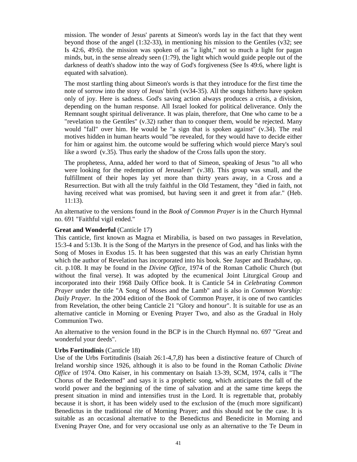mission. The wonder of Jesus' parents at Simeon's words lay in the fact that they went beyond those of the angel (1:32-33), in mentioning his mission to the Gentiles (v32; see Is 42:6, 49:6). the mission was spoken of as "a light," not so much a light for pagan minds, but, in the sense already seen (1:79), the light which would guide people out of the darkness of death's shadow into the way of God's forgiveness (See Is 49:6, where light is equated with salvation).

The most startling thing about Simeon's words is that they introduce for the first time the note of sorrow into the story of Jesus' birth (vv34-35). All the songs hitherto have spoken only of joy. Here is sadness. God's saving action always produces a crisis, a division, depending on the human response. All Israel looked for political deliverance. Only the Remnant sought spiritual deliverance. It was plain, therefore, that One who came to be a "revelation to the Gentiles" (v.32) rather than to conquer them, would be rejected. Many would "fall" over him. He would be "a sign that is spoken against"  $(v.34)$ . The real motives hidden in human hearts would "be revealed, for they would have to decide either for him or against him. the outcome would be suffering which would pierce Mary's soul like a sword (v.35). Thus early the shadow of the Cross falls upon the story.

The prophetess, Anna, added her word to that of Simeon, speaking of Jesus "to all who were looking for the redemption of Jerusalem" (v.38). This group was small, and the fulfillment of their hopes lay yet more than thirty years away, in a Cross and a Resurrection. But with all the truly faithful in the Old Testament, they "died in faith, not having received what was promised, but having seen it and greet it from afar." (Heb. 11:13).

An alternative to the versions found in the *Book of Common Prayer* is in the Church Hymnal no. 691 "Faithful vigil ended."

#### **Great and Wonderful** (Canticle 17)

This canticle, first known as Magna et Mirabilia, is based on two passages in Revelation, 15:3-4 and 5:13b. It is the Song of the Martyrs in the presence of God, and has links with the Song of Moses in Exodus 15. It has been suggested that this was an early Christian hymn which the author of Revelation has incorporated into his book. See Jasper and Bradshaw, op. cit. p.108. It may be found in the *Divine Office,* 1974 of the Roman Catholic Church (but without the final verse). It was adopted by the ecumenical Joint Liturgical Group and incorporated into their 1968 Daily Office book. It is Canticle 54 in *Celebrating Common Prayer* under the title "A Song of Moses and the Lamb" and is also in *Common Worship: Daily Prayer.* In the 2004 edition of the Book of Common Prayer, it is one of two canticles from Revelation, the other being Canticle 21 "Glory and honour". It is suitable for use as an alternative canticle in Morning or Evening Prayer Two, and also as the Gradual in Holy Communion Two.

An alternative to the version found in the BCP is in the Church Hymnal no. 697 "Great and wonderful your deeds".

#### **Urbs Fortitudinis** (Canticle 18)

Use of the Urbs Fortitudinis (Isaiah 26:1-4,7,8) has been a distinctive feature of Church of Ireland worship since 1926, although it is also to be found in the Roman Catholic *Divine Office* of 1974. Otto Kaiser, in his commentary on Isaiah 13-39, SCM, 1974, calls it "The Chorus of the Redeemed" and says it is a prophetic song, which anticipates the fall of the world power and the beginning of the time of salvation and at the same time keeps the present situation in mind and intensifies trust in the Lord. It is regrettable that, probably because it is short, it has been widely used to the exclusion of the (much more significant) Benedictus in the traditional rite of Morning Prayer; and this should not be the case. It is suitable as an occasional alternative to the Benedictus and Benedicite in Morning and Evening Prayer One, and for very occasional use only as an alternative to the Te Deum in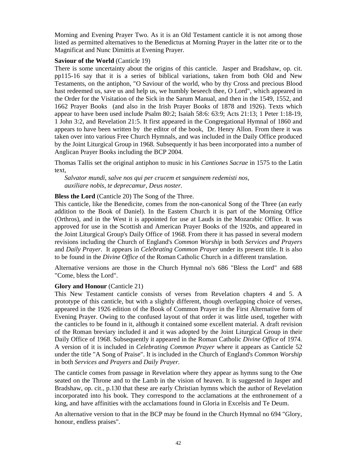Morning and Evening Prayer Two. As it is an Old Testament canticle it is not among those listed as permitted alternatives to the Benedictus at Morning Prayer in the latter rite or to the Magnificat and Nunc Dimittis at Evening Prayer.

#### **Saviour of the World** (Canticle 19)

There is some uncertainty about the origins of this canticle. Jasper and Bradshaw, op. cit. pp115-16 say that it is a series of biblical variations, taken from both Old and New Testaments, on the antiphon, "O Saviour of the world, who by thy Cross and precious Blood hast redeemed us, save us and help us, we humbly beseech thee, O Lord", which appeared in the Order for the Visitation of the Sick in the Sarum Manual, and then in the 1549, 1552, and 1662 Prayer Books (and also in the Irish Prayer Books of 1878 and 1926). Texts which appear to have been used include Psalm 80:2; Isaiah 58:6: 63:9; Acts 21:13; 1 Peter 1:18-19, 1 John 3:2, and Revelation 21:5. It first appeared in the Congregational Hymnal of 1860 and appears to have been written by the editor of the book, Dr. Henry Allon. From there it was taken over into various Free Church Hymnals, and was included in the Daily Office produced by the Joint Liturgical Group in 1968. Subsequently it has been incorporated into a number of Anglican Prayer Books including the BCP 2004.

Thomas Tallis set the original antiphon to music in his *Cantiones Sacrae* in 1575 to the Latin text,

*Salvator mundi, salve nos qui per crucem et sanguinem redemisti nos, auxiliare nobis, te deprecamur, Deus noster.* 

#### **Bless the Lord** (Canticle 20) The Song of the Three.

This canticle, like the Benedicite, comes from the non-canonical Song of the Three (an early addition to the Book of Daniel). In the Eastern Church it is part of the Morning Office (Orthros), and in the West it is appointed for use at Lauds in the Mozarabic Office. It was approved for use in the Scottish and American Prayer Books of the 1920s, and appeared in the Joint Liturgical Group's Daily Office of 1968. From there it has passed in several modern revisions including the Church of England's *Common Worship* in both *Services and Prayers* and *Daily Prayer.* It appears in *Celebrating Common Prayer* under its present title. It is also to be found in the *Divine Office* of the Roman Catholic Church in a different translation.

Alternative versions are those in the Church Hymnal no's 686 "Bless the Lord" and 688 "Come, bless the Lord".

#### **Glory and Honour** (Canticle 21)

This New Testament canticle consists of verses from Revelation chapters 4 and 5. A prototype of this canticle, but with a slightly different, though overlapping choice of verses, appeared in the 1926 edition of the Book of Common Prayer in the First Alternative form of Evening Prayer. Owing to the confused layout of that order it was little used, together with the canticles to be found in it, although it contained some excellent material. A draft revision of the Roman breviary included it and it was adopted by the Joint Liturgical Group in their Daily Office of 1968. Subsequently it appeared in the Roman Catholic *Divine Office* of 1974. A version of it is included in *Celebrating Common Prayer* where it appears as Canticle 52 under the title "A Song of Praise". It is included in the Church of England's *Common Worship* in both *Services and Prayers* and *Daily Prayer.*

The canticle comes from passage in Revelation where they appear as hymns sung to the One seated on the Throne and to the Lamb in the vision of heaven. It is suggested in Jasper and Bradshaw, op. cit., p.130 that these are early Christian hymns which the author of Revelation incorporated into his book. They correspond to the acclamations at the enthronement of a king, and have affinities with the acclamations found in Gloria in Excelsis and Te Deum.

An alternative version to that in the BCP may be found in the Church Hymnal no 694 "Glory, honour, endless praises".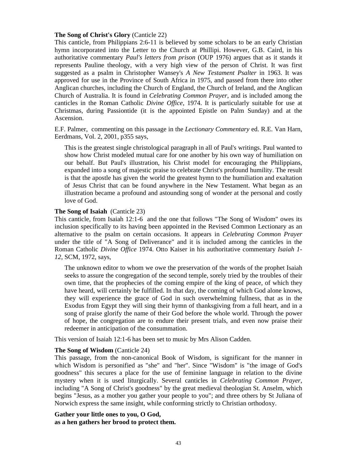#### **The Song of Christ's Glory** (Canticle 22)

This canticle, from Philippians 2:6-11 is believed by some scholars to be an early Christian hymn incorporated into the Letter to the Church at Phillipi. However, G.B. Caird, in his authoritative commentary *Paul's letters from prison* (OUP 1976) argues that as it stands it represents Pauline theology, with a very high view of the person of Christ. It was first suggested as a psalm in Christopher Wansey's *A New Testament Psalter* in 1963. It was approved for use in the Province of South Africa in 1975, and passed from there into other Anglican churches, including the Church of England, the Church of Ireland, and the Anglican Church of Australia. It is found in *Celebrating Common Prayer*, and is included among the canticles in the Roman Catholic *Divine Office*, 1974. It is particularly suitable for use at Christmas, during Passiontide (it is the appointed Epistle on Palm Sunday) and at the Ascension.

E.F. Palmer, commenting on this passage in the *Lectionary Commentary* ed. R.E. Van Harn, Eerdmans, Vol. 2, 2001, p355 says,

This is the greatest single christological paragraph in all of Paul's writings. Paul wanted to show how Christ modeled mutual care for one another by his own way of humiliation on our behalf. But Paul's illustration, his Christ model for encouraging the Philippians, expanded into a song of majestic praise to celebrate Christ's profound humility. The result is that the apostle has given the world the greatest hymn to the humiliation and exaltation of Jesus Christ that can be found anywhere in the New Testament. What began as an illustration became a profound and astounding song of wonder at the personal and costly love of God.

#### **The Song of Isaiah** (Canticle 23)

This canticle, from Isaiah 12:1-6 and the one that follows "The Song of Wisdom" owes its inclusion specifically to its having been appointed in the Revised Common Lectionary as an alternative to the psalm on certain occasions. It appears in *Celebrating Common Prayer* under the title of "A Song of Deliverance" and it is included among the canticles in the Roman Catholic *Divine Office* 1974. Otto Kaiser in his authoritative commentary *Isaiah 1- 12*, SCM, 1972, says,

The unknown editor to whom we owe the preservation of the words of the prophet Isaiah seeks to assure the congregation of the second temple, sorely tried by the troubles of their own time, that the prophecies of the coming empire of the king of peace, of which they have heard, will certainly be fulfilled. In that day, the coming of which God alone knows, they will experience the grace of God in such overwhelming fullness, that as in the Exodus from Egypt they will sing their hymn of thanksgiving from a full heart, and in a song of praise glorify the name of their God before the whole world. Through the power of hope, the congregation are to endure their present trials, and even now praise their redeemer in anticipation of the consummation.

This version of Isaiah 12:1-6 has been set to music by Mrs Alison Cadden.

#### **The Song of Wisdom** (Canticle 24)

This passage, from the non-canonical Book of Wisdom, is significant for the manner in which Wisdom is personified as "she" and "her". Since "Wisdom" is "the image of God's goodness" this secures a place for the use of feminine language in relation to the divine mystery when it is used liturgically. Several canticles in *Celebrating Common Prayer*, including "A Song of Christ's goodness" by the great medieval theologian St. Anselm, which begins "Jesus, as a mother you gather your people to you"; and three others by St Juliana of Norwich express the same insight, while conforming strictly to Christian orthodoxy.

**Gather your little ones to you, O God, as a hen gathers her brood to protect them.**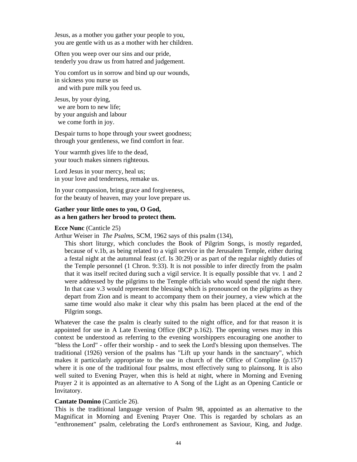Jesus, as a mother you gather your people to you, you are gentle with us as a mother with her children.

Often you weep over our sins and our pride, tenderly you draw us from hatred and judgement.

You comfort us in sorrow and bind up our wounds, in sickness you nurse us and with pure milk you feed us.

Jesus, by your dying, we are born to new life; by your anguish and labour we come forth in joy.

Despair turns to hope through your sweet goodness; through your gentleness, we find comfort in fear.

Your warmth gives life to the dead, your touch makes sinners righteous.

Lord Jesus in your mercy, heal us; in your love and tenderness, remake us.

In your compassion, bring grace and forgiveness, for the beauty of heaven, may your love prepare us.

#### **Gather your little ones to you, O God, as a hen gathers her brood to protect them.**

**Ecce Nunc** (Canticle 25)

Arthur Weiser in *The Psalms*, SCM, 1962 says of this psalm (134),

This short liturgy, which concludes the Book of Pilgrim Songs, is mostly regarded, because of v.1b, as being related to a vigil service in the Jerusalem Temple, either during a festal night at the autumnal feast (cf. Is 30:29) or as part of the regular nightly duties of the Temple personnel (1 Chron. 9:33). It is not possible to infer directly from the psalm that it was itself recited during such a vigil service. It is equally possible that vv. 1 and 2 were addressed by the pilgrims to the Temple officials who would spend the night there. In that case v.3 would represent the blessing which is pronounced on the pilgrims as they depart from Zion and is meant to accompany them on their journey, a view which at the same time would also make it clear why this psalm has been placed at the end of the Pilgrim songs.

Whatever the case the psalm is clearly suited to the night office, and for that reason it is appointed for use in A Late Evening Office (BCP p.162). The opening verses may in this context be understood as referring to the evening worshippers encouraging one another to "bless the Lord" - offer their worship - and to seek the Lord's blessing upon themselves. The traditional (1926) version of the psalms has "Lift up your hands in the sanctuary", which makes it particularly appropriate to the use in church of the Office of Compline (p.157) where it is one of the traditional four psalms, most effectively sung to plainsong. It is also well suited to Evening Prayer, when this is held at night, where in Morning and Evening Prayer 2 it is appointed as an alternative to A Song of the Light as an Opening Canticle or Invitatory.

#### **Cantate Domino** (Canticle 26).

This is the traditional language version of Psalm 98, appointed as an alternative to the Magnificat in Morning and Evening Prayer One. This is regarded by scholars as an "enthronement" psalm, celebrating the Lord's enthronement as Saviour, King, and Judge.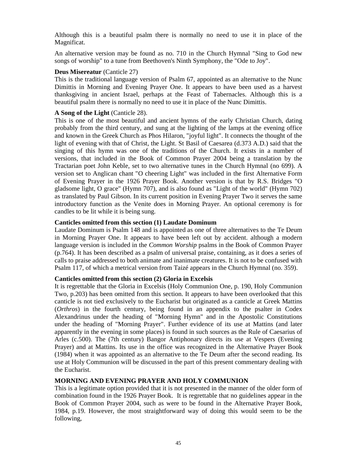Although this is a beautiful psalm there is normally no need to use it in place of the Magnificat.

An alternative version may be found as no. 710 in the Church Hymnal "Sing to God new songs of worship" to a tune from Beethoven's Ninth Symphony, the "Ode to Joy".

#### **Deus Misereatur** (Canticle 27)

This is the traditional language version of Psalm 67, appointed as an alternative to the Nunc Dimittis in Morning and Evening Prayer One. It appears to have been used as a harvest thanksgiving in ancient Israel, perhaps at the Feast of Tabernacles. Although this is a beautiful psalm there is normally no need to use it in place of the Nunc Dimittis.

#### **A Song of the Light** (Canticle 28).

This is one of the most beautiful and ancient hymns of the early Christian Church, dating probably from the third century, and sung at the lighting of the lamps at the evening office and known in the Greek Church as Phos Hilaron, "joyful light". It connects the thought of the light of evening with that of Christ, the Light. St Basil of Caesarea (d.373 A.D.) said that the singing of this hymn was one of the traditions of the Church. It exists in a number of versions, that included in the Book of Common Prayer 2004 being a translation by the Tractarian poet John Keble, set to two alternative tunes in the Church Hymnal (no 699). A version set to Anglican chant "O cheering Light" was included in the first Alternative Form of Evening Prayer in the 1926 Prayer Book. Another version is that by R.S. Bridges "O gladsome light, O grace" (Hymn 707), and is also found as "Light of the world" (Hymn 702) as translated by Paul Gibson. In its current position in Evening Prayer Two it serves the same introductory function as the Venite does in Morning Prayer. An optional ceremony is for candles to be lit while it is being sung.

#### **Canticles omitted from this section (1) Laudate Dominum**

Laudate Dominum is Psalm 148 and is appointed as one of three alternatives to the Te Deum in Morning Prayer One. It appears to have been left out by accident. although a modern language version is included in the *Common Worship* psalms in the Book of Common Prayer (p.764). It has been described as a psalm of universal praise, containing, as it does a series of calls to praise addressed to both animate and inanimate creatures. It is not to be confused with Psalm 117, of which a metrical version from Taizé appears in the Church Hymnal (no. 359).

#### **Canticles omitted from this section (2) Gloria in Excelsis**

It is regrettable that the Gloria in Excelsis (Holy Communion One, p. 190, Holy Communion Two, p.203) has been omitted from this section. It appears to have been overlooked that this canticle is not tied exclusively to the Eucharist but originated as a canticle at Greek Mattins (*Orthros*) in the fourth century, being found in an appendix to the psalter in Codex Alexandrinus under the heading of "Morning Hymn" and in the Apostolic Constitutions under the heading of "Morning Prayer". Further evidence of its use at Mattins (and later apparently in the evening in some places) is found in such sources as the Rule of Caesarius of Arles (c.500). The (7th century) Bangor Antiphonary directs its use at Vespers (Evening Prayer) and at Mattins. Its use in the office was recognized in the Alternative Prayer Book (1984) when it was appointed as an alternative to the Te Deum after the second reading. Its use at Holy Communion will be discussed in the part of this present commentary dealing with the Eucharist.

## **MORNING AND EVENING PRAYER AND HOLY COMMUNION**

This is a legitimate option provided that it is not presented in the manner of the older form of combination found in the 1926 Prayer Book. It is regrettable that no guidelines appear in the Book of Common Prayer 2004, such as were to be found in the Alternative Prayer Book, 1984, p.19. However, the most straightforward way of doing this would seem to be the following,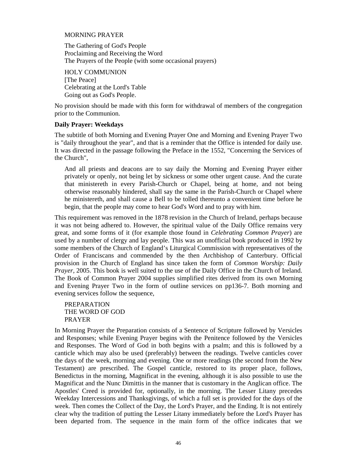#### MORNING PRAYER

The Gathering of God's People Proclaiming and Receiving the Word The Prayers of the People (with some occasional prayers)

HOLY COMMUNION [The Peace] Celebrating at the Lord's Table Going out as God's People.

No provision should be made with this form for withdrawal of members of the congregation prior to the Communion.

#### **Daily Prayer: Weekdays**

The subtitle of both Morning and Evening Prayer One and Morning and Evening Prayer Two is "daily throughout the year", and that is a reminder that the Office is intended for daily use. It was directed in the passage following the Preface in the 1552, "Concerning the Services of the Church",

And all priests and deacons are to say daily the Morning and Evening Prayer either privately or openly, not being let by sickness or some other urgent cause. And the curate that ministereth in every Parish-Church or Chapel, being at home, and not being otherwise reasonably hindered, shall say the same in the Parish-Church or Chapel where he ministereth, and shall cause a Bell to be tolled thereunto a convenient time before he begin, that the people may come to hear God's Word and to pray with him.

This requirement was removed in the 1878 revision in the Church of Ireland, perhaps because it was not being adhered to. However, the spiritual value of the Daily Office remains very great, and some forms of it (for example those found in *Celebrating Common Prayer*) are used by a number of clergy and lay people. This was an unofficial book produced in 1992 by some members of the Church of England's Liturgical Commission with representatives of the Order of Franciscans and commended by the then Archbishop of Canterbury. Official provision in the Church of England has since taken the form of *Common Worship: Daily Prayer, 2005.* This book is well suited to the use of the Daily Office in the Church of Ireland. The Book of Common Prayer 2004 supplies simplified rites derived from its own Morning and Evening Prayer Two in the form of outline services on pp136-7. Both morning and evening services follow the sequence,

PREPARATION THE WORD OF GOD PRAYER

In Morning Prayer the Preparation consists of a Sentence of Scripture followed by Versicles and Responses; while Evening Prayer begins with the Penitence followed by the Versicles and Responses. The Word of God in both begins with a psalm; and this is followed by a canticle which may also be used (preferably) between the readings. Twelve canticles cover the days of the week, morning and evening. One or more readings (the second from the New Testament) are prescribed. The Gospel canticle, restored to its proper place, follows, Benedictus in the morning, Magnificat in the evening, although it is also possible to use the Magnificat and the Nunc Dimittis in the manner that is customary in the Anglican office. The Apostles' Creed is provided for, optionally, in the morning. The Lesser Litany precedes Weekday Intercessions and Thanksgivings, of which a full set is provided for the days of the week. Then comes the Collect of the Day, the Lord's Prayer, and the Ending. It is not entirely clear why the tradition of putting the Lesser Litany immediately before the Lord's Prayer has been departed from. The sequence in the main form of the office indicates that we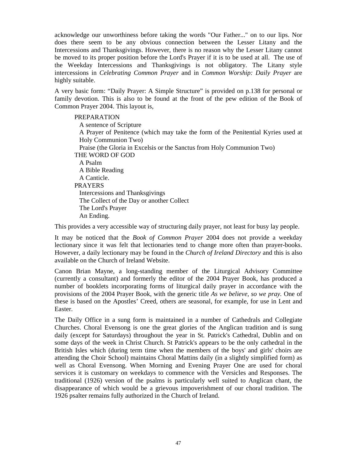acknowledge our unworthiness before taking the words "Our Father..." on to our lips. Nor does there seem to be any obvious connection between the Lesser Litany and the Intercessions and Thanksgivings. However, there is no reason why the Lesser Litany cannot be moved to its proper position before the Lord's Prayer if it is to be used at all. The use of the Weekday Intercessions and Thanksgivings is not obligatory. The Litany style intercessions in *Celebrating Common Prayer* and in *Common Worship: Daily Prayer* are highly suitable.

A very basic form: "Daily Prayer: A Simple Structure" is provided on p.138 for personal or family devotion. This is also to be found at the front of the pew edition of the Book of Common Prayer 2004. This layout is,

#### PREPARATION

 A sentence of Scripture A Prayer of Penitence (which may take the form of the Penitential Kyries used at Holy Communion Two) Praise (the Gloria in Excelsis or the Sanctus from Holy Communion Two) THE WORD OF GOD A Psalm A Bible Reading A Canticle. PRAYERS Intercessions and Thanksgivings The Collect of the Day or another Collect The Lord's Prayer An Ending.

This provides a very accessible way of structuring daily prayer, not least for busy lay people.

It may be noticed that the *Book of Common Prayer* 2004 does not provide a weekday lectionary since it was felt that lectionaries tend to change more often than prayer-books. However, a daily lectionary may be found in the *Church of Ireland Directory* and this is also available on the Church of Ireland Website.

Canon Brian Mayne, a long-standing member of the Liturgical Advisory Committee (currently a consultant) and formerly the editor of the 2004 Prayer Book, has produced a number of booklets incorporating forms of liturgical daily prayer in accordance with the provisions of the 2004 Prayer Book, with the generic title *As we believe, so we pray.* One of these is based on the Apostles' Creed, others are seasonal, for example, for use in Lent and Easter.

The Daily Office in a sung form is maintained in a number of Cathedrals and Collegiate Churches. Choral Evensong is one the great glories of the Anglican tradition and is sung daily (except for Saturdays) throughout the year in St. Patrick's Cathedral, Dublin and on some days of the week in Christ Church. St Patrick's appears to be the only cathedral in the British Isles which (during term time when the members of the boys' and girls' choirs are attending the Choir School) maintains Choral Mattins daily (in a slightly simplified form) as well as Choral Evensong. When Morning and Evening Prayer One are used for choral services it is customary on weekdays to commence with the Versicles and Responses. The traditional (1926) version of the psalms is particularly well suited to Anglican chant, the disappearance of which would be a grievous impoverishment of our choral tradition. The 1926 psalter remains fully authorized in the Church of Ireland.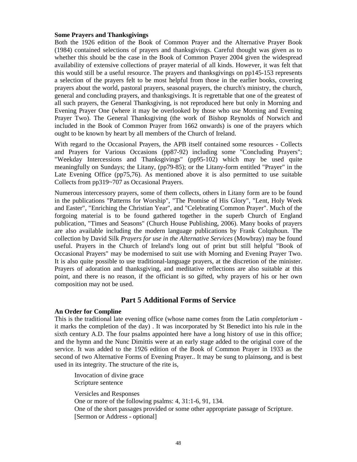#### **Some Prayers and Thanksgivings**

Both the 1926 edition of the Book of Common Prayer and the Alternative Prayer Book (1984) contained selections of prayers and thanksgivings. Careful thought was given as to whether this should be the case in the Book of Common Prayer 2004 given the widespread availability of extensive collections of prayer material of all kinds. However, it was felt that this would still be a useful resource. The prayers and thanksgivings on pp145-153 represents a selection of the prayers felt to be most helpful from those in the earlier books, covering prayers about the world, pastoral prayers, seasonal prayers, the church's ministry, the church, general and concluding prayers, and thanksgivings. It is regrettable that one of the greatest of all such prayers, the General Thanksgiving, is not reproduced here but only in Morning and Evening Prayer One (where it may be overlooked by those who use Morning and Evening Prayer Two). The General Thanksgiving (the work of Bishop Reynolds of Norwich and included in the Book of Common Prayer from 1662 onwards) is one of the prayers which ought to be known by heart by all members of the Church of Ireland.

With regard to the Occasional Prayers, the APB itself contained some resources - Collects and Prayers for Various Occasions (pp87-92) including some "Concluding Prayers"; "Weekday Intercessions and Thanksgivings" (pp95-102) which may be used quite meaningfully on Sundays; the Litany, (pp79-85); or the Litany-form entitled "Prayer" in the Late Evening Office (pp75,76). As mentioned above it is also permitted to use suitable Collects from pp319~707 as Occasional Prayers.

Numerous intercessory prayers, some of them collects, others in Litany form are to be found in the publications "Patterns for Worship", "The Promise of His Glory", "Lent, Holy Week and Easter", "Enriching the Christian Year", and "Celebrating Common Prayer". Much of the forgoing material is to be found gathered together in the superb Church of England publication, "Times and Seasons" (Church House Publishing, 2006). Many books of prayers are also available including the modern language publications by Frank Colquhoun. The collection by David Silk *Prayers for use in the Alternative Services* (Mowbray) may be found useful. Prayers in the Church of Ireland's long out of print but still helpful "Book of Occasional Prayers" may be modernised to suit use with Morning and Evening Prayer Two. It is also quite possible to use traditional-language prayers, at the discretion of the minister. Prayers of adoration and thanksgiving, and meditative reflections are also suitable at this point, and there is no reason, if the officiant is so gifted, why prayers of his or her own composition may not be used.

## **Part 5 Additional Forms of Service**

#### **An Order for Compline**

This is the traditional late evening office (whose name comes from the Latin *completorium* it marks the completion of the day) . It was incorporated by St Benedict into his rule in the sixth century A.D. The four psalms appointed here have a long history of use in this office; and the hymn and the Nunc Dimittis were at an early stage added to the original core of the service. It was added to the 1926 edition of the Book of Common Prayer in 1933 as the second of two Alternative Forms of Evening Prayer.. It may be sung to plainsong, and is best used in its integrity. The structure of the rite is,

Invocation of divine grace Scripture sentence Versicles and Responses One or more of the following psalms: 4, 31:1-6, 91, 134. One of the short passages provided or some other appropriate passage of Scripture. [Sermon or Address - optional]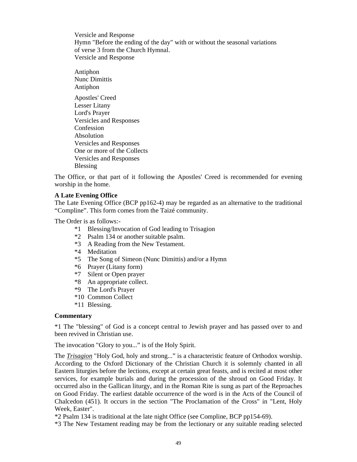Versicle and Response Hymn "Before the ending of the day" with or without the seasonal variations of verse 3 from the Church Hymnal. Versicle and Response

Antiphon Nunc Dimittis Antiphon Apostles' Creed Lesser Litany Lord's Prayer Versicles and Responses Confession Absolution Versicles and Responses One or more of the Collects Versicles and Responses Blessing

The Office, or that part of it following the Apostles' Creed is recommended for evening worship in the home.

#### **A Late Evening Office**

The Late Evening Office (BCP pp162-4) may be regarded as an alternative to the traditional "Compline". This form comes from the Taizé community.

The Order is as follows:-

- \*1 Blessing/Invocation of God leading to Trisagion
- \*2 Psalm 134 or another suitable psalm.
- \*3 A Reading from the New Testament.
- \*4 Meditation
- \*5 The Song of Simeon (Nunc Dimittis) and/or a Hymn
- \*6 Prayer (Litany form)
- \*7 Silent or Open prayer
- \*8 An appropriate collect.
- \*9 The Lord's Prayer
- \*10 Common Collect
- \*11 Blessing.

#### **Commentary**

\*1 The "blessing" of God is a concept central to Jewish prayer and has passed over to and been revived in Christian use.

The invocation "Glory to you..." is of the Holy Spirit.

The *Trisagion* "Holy God, holy and strong..." is a characteristic feature of Orthodox worship. According to the Oxford Dictionary of the Christian Church it is solemnly chanted in all Eastern liturgies before the lections, except at certain great feasts, and is recited at most other services, for example burials and during the procession of the shroud on Good Friday. It occurred also in the Gallican liturgy, and in the Roman Rite is sung as part of the Reproaches on Good Friday. The earliest datable occurrence of the word is in the Acts of the Council of Chalcedon (451). It occurs in the section "The Proclamation of the Cross" in "Lent, Holy Week, Easter".

\*2 Psalm 134 is traditional at the late night Office (see Compline, BCP pp154-69).

\*3 The New Testament reading may be from the lectionary or any suitable reading selected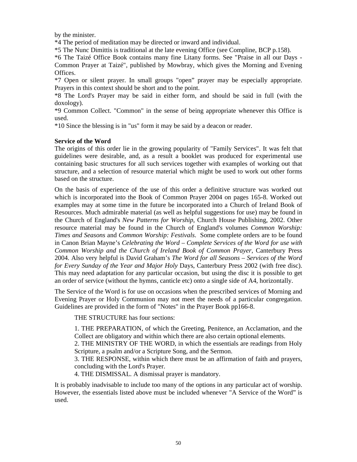by the minister.

\*4 The period of meditation may be directed or inward and individual.

\*5 The Nunc Dimittis is traditional at the late evening Office (see Compline, BCP p.158).

\*6 The Taizé Office Book contains many fine Litany forms. See "Praise in all our Days - Common Prayer at Taizé", published by Mowbray, which gives the Morning and Evening Offices.

\*7 Open or silent prayer. In small groups "open" prayer may be especially appropriate. Prayers in this context should be short and to the point.

\*8 The Lord's Prayer may be said in either form, and should be said in full (with the doxology).

\*9 Common Collect. "Common" in the sense of being appropriate whenever this Office is used.

\*10 Since the blessing is in "us" form it may be said by a deacon or reader.

#### **Service of the Word**

The origins of this order lie in the growing popularity of "Family Services". It was felt that guidelines were desirable, and, as a result a booklet was produced for experimental use containing basic structures for all such services together with examples of working out that structure, and a selection of resource material which might be used to work out other forms based on the structure.

On the basis of experience of the use of this order a definitive structure was worked out which is incorporated into the Book of Common Prayer 2004 on pages 165-8. Worked out examples may at some time in the future be incorporated into a Church of Ireland Book of Resources. Much admirable material (as well as helpful suggestions for use) may be found in the Church of England's *New Patterns for Worship*, Church House Publishing, 2002. Other resource material may be found in the Church of England's volumes *Common Worship: Times and Seasons* and *Common Worship: Festivals*. Some complete orders are to be found in Canon Brian Mayne's *Celebrating the Word – Complete Services of the Word for use with Common Worship and the Church of Ireland Book of Common Prayer,* Canterbury Press 2004. Also very helpful is David Graham's *The Word for all Seasons – Services of the Word for Every Sunday of the Year and Major Holy* Days, Canterbury Press 2002 (with free disc). This may need adaptation for any particular occasion, but using the disc it is possible to get an order of service (without the hymns, canticle etc) onto a single side of A4, horizontally.

The Service of the Word is for use on occasions when the prescribed services of Morning and Evening Prayer or Holy Communion may not meet the needs of a particular congregation. Guidelines are provided in the form of "Notes" in the Prayer Book pp166-8.

THE STRUCTURE has four sections:

1. THE PREPARATION, of which the Greeting, Penitence, an Acclamation, and the Collect are obligatory and within which there are also certain optional elements. 2. THE MINISTRY OF THE WORD, in which the essentials are readings from Holy Scripture, a psalm and/or a Scripture Song, and the Sermon.

3. THE RESPONSE, within which there must be an affirmation of faith and prayers, concluding with the Lord's Prayer.

4. THE DISMISSAL. A dismissal prayer is mandatory.

It is probably inadvisable to include too many of the options in any particular act of worship. However, the essentials listed above must be included whenever "A Service of the Word" is used.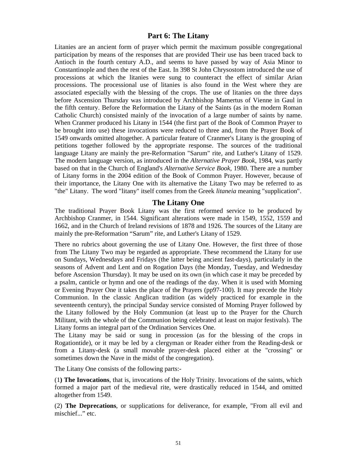## **Part 6: The Litany**

Litanies are an ancient form of prayer which permit the maximum possible congregational participation by means of the responses that are provided Their use has been traced back to Antioch in the fourth century A.D., and seems to have passed by way of Asia Minor to Constantinople and then the rest of the East. In 398 St John Chrysostom introduced the use of processions at which the litanies were sung to counteract the effect of similar Arian processions. The processional use of litanies is also found in the West where they are associated especially with the blessing of the crops. The use of litanies on the three days before Ascension Thursday was introduced by Archbishop Mamertus of Vienne in Gaul in the fifth century. Before the Reformation the Litany of the Saints (as in the modern Roman Catholic Church) consisted mainly of the invocation of a large number of saints by name. When Cranmer produced his Litany in 1544 (the first part of the Book of Common Prayer to be brought into use) these invocations were reduced to three and, from the Prayer Book of 1549 onwards omitted altogether. A particular feature of Cranmer's Litany is the grouping of petitions together followed by the appropriate response. The sources of the traditional language Litany are mainly the pre-Reformation "Sarum" rite, and Luther's Litany of 1529. The modern language version, as introduced in the *Alternative Prayer Book*, 1984, was partly based on that in the Church of England's *Alternative Service Book*, 1980. There are a number of Litany forms in the 2004 edition of the Book of Common Prayer. However, because of their importance, the Litany One with its alternative the Litany Two may be referred to as "the" Litany. The word "litany" itself comes from the Greek *litaneia* meaning "supplication".

#### **The Litany One**

The traditional Prayer Book Litany was the first reformed service to be produced by Archbishop Cranmer, in 1544. Significant alterations were made in 1549, 1552, 1559 and 1662, and in the Church of Ireland revisions of 1878 and 1926. The sources of the Litany are mainly the pre-Reformation "Sarum" rite, and Luther's Litany of 1529.

There no rubrics about governing the use of Litany One. However, the first three of those from The Litany Two may be regarded as appropriate. These recommend the Litany for use on Sundays, Wednesdays and Fridays (the latter being ancient fast-days), particularly in the seasons of Advent and Lent and on Rogation Days (the Monday, Tuesday, and Wednesday before Ascension Thursday). It may be used on its own (in which case it may be preceded by a psalm, canticle or hymn and one of the readings of the day. When it is used with Morning or Evening Prayer One it takes the place of the Prayers (pp97-100). It may precede the Holy Communion. In the classic Anglican tradition (as widely practiced for example in the seventeenth century), the principal Sunday service consisted of Morning Prayer followed by the Litany followed by the Holy Communion (at least up to the Prayer for the Church Militant, with the whole of the Communion being celebrated at least on major festivals). The Litany forms an integral part of the Ordination Services One.

The Litany may be said or sung in procession (as for the blessing of the crops in Rogationtide), or it may be led by a clergyman or Reader either from the Reading-desk or from a Litany-desk (a small movable prayer-desk placed either at the "crossing" or sometimes down the Nave in the midst of the congregation).

The Litany One consists of the following parts:-

(1**) The Invocations**, that is, invocations of the Holy Trinity. Invocations of the saints, which formed a major part of the medieval rite, were drastically reduced in 1544, and omitted altogether from 1549.

(2) **The Deprecations**, or supplications for deliverance, for example, "From all evil and mischief..." etc.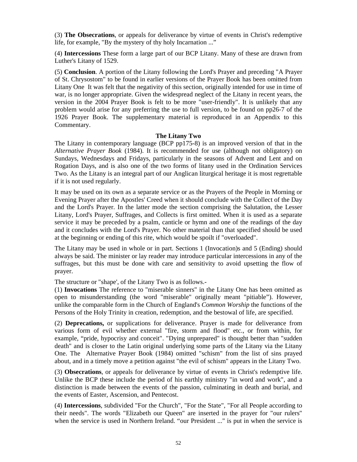(3) **The Obsecrations**, or appeals for deliverance by virtue of events in Christ's redemptive life, for example, "By the mystery of thy holy Incarnation ..."

(4) **Intercessions** These form a large part of our BCP Litany. Many of these are drawn from Luther's Litany of 1529.

(5) **Conclusion**. A portion of the Litany following the Lord's Prayer and preceding "A Prayer of St. Chrysostom" to be found in earlier versions of the Prayer Book has been omitted from Litany One It was felt that the negativity of this section, originally intended for use in time of war, is no longer appropriate. Given the widespread neglect of the Litany in recent years, the version in the 2004 Prayer Book is felt to be more "user-friendly". It is unlikely that any problem would arise for any preferring the use to full version, to be found on pp26-7 of the 1926 Prayer Book. The supplementary material is reproduced in an Appendix to this Commentary.

#### **The Litany Two**

The Litany in contemporary language (BCP pp175-8) is an improved version of that in the *Alternative Prayer Book* (1984). It is recommended for use (although not obligatory) on Sundays, Wednesdays and Fridays, particularly in the seasons of Advent and Lent and on Rogation Days, and is also one of the two forms of litany used in the Ordination Services Two. As the Litany is an integral part of our Anglican liturgical heritage it is most regrettable if it is not used regularly.

It may be used on its own as a separate service or as the Prayers of the People in Morning or Evening Prayer after the Apostles' Creed when it should conclude with the Collect of the Day and the Lord's Prayer. In the latter mode the section comprising the Salutation, the Lesser Litany, Lord's Prayer, Suffrages, and Collects is first omitted. When it is used as a separate service it may be preceded by a psalm, canticle or hymn and one of the readings of the day and it concludes with the Lord's Prayer. No other material than that specified should be used at the beginning or ending of this rite, which would be spoilt if "overloaded".

The Litany may be used in whole or in part. Sections 1 (Invocation)s and 5 (Ending) should always be said. The minister or lay reader may introduce particular intercessions in any of the suffrages, but this must be done with care and sensitivity to avoid upsetting the flow of prayer.

The structure or "shape', of the Litany Two is as follows.-

(1) **Invocations** The reference to "miserable sinners" in the Litany One has been omitted as open to misunderstanding (the word "miserable" originally meant "pitiable"). However, unlike the comparable form in the Church of England's *Common Worship* the functions of the Persons of the Holy Trinity in creation, redemption, and the bestowal of life, are specified.

(2) **Deprecations,** or supplications for deliverance. Prayer is made for deliverance from various form of evil whether external "fire, storm and flood" etc., or from within, for example, "pride, hypocrisy and conceit". "Dying unprepared" is thought better than "sudden death" and is closer to the Latin original underlying some parts of the Litany via the Litany One. The Alternative Prayer Book (1984) omitted "schism" from the list of sins prayed about, and in a timely move a petition against "the evil of schism" appears in the Litany Two.

(3) **Obsecrations**, or appeals for deliverance by virtue of events in Christ's redemptive life. Unlike the BCP these include the period of his earthly ministry "in word and work", and a distinction is made between the events of the passion, culminating in death and burial, and the events of Easter, Ascension, and Pentecost.

(4) **Intercessions**, subdivided "For the Church", "For the State", "For all People according to their needs". The words "Elizabeth our Queen" are inserted in the prayer for "our rulers" when the service is used in Northern Ireland. "our President ..." is put in when the service is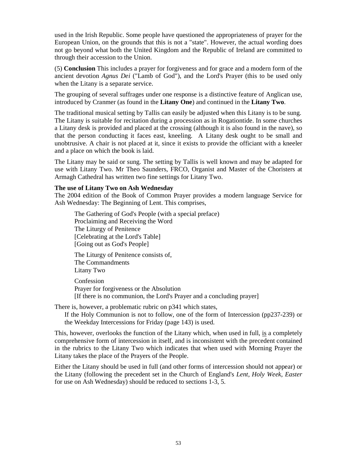used in the Irish Republic. Some people have questioned the appropriateness of prayer for the European Union, on the grounds that this is not a "state". However, the actual wording does not go beyond what both the United Kingdom and the Republic of Ireland are committed to through their accession to the Union.

(5) **Conclusion** This includes a prayer for forgiveness and for grace and a modern form of the ancient devotion *Agnus Dei* ("Lamb of God"), and the Lord's Prayer (this to be used only when the Litany is a separate service.

The grouping of several suffrages under one response is a distinctive feature of Anglican use, introduced by Cranmer (as found in the **Litany One**) and continued in the **Litany Two**.

The traditional musical setting by Tallis can easily be adjusted when this Litany is to be sung. The Litany is suitable for recitation during a procession as in Rogationtide. In some churches a Litany desk is provided and placed at the crossing (although it is also found in the nave), so that the person conducting it faces east, kneeling. A Litany desk ought to be small and unobtrusive. A chair is not placed at it, since it exists to provide the officiant with a kneeler and a place on which the book is laid.

The Litany may be said or sung. The setting by Tallis is well known and may be adapted for use with Litany Two. Mr Theo Saunders, FRCO, Organist and Master of the Choristers at Armagh Cathedral has written two fine settings for Litany Two.

#### **The use of Litany Two on Ash Wednesday**

The 2004 edition of the Book of Common Prayer provides a modern language Service for Ash Wednesday: The Beginning of Lent. This comprises,

 The Gathering of God's People (with a special preface) Proclaiming and Receiving the Word The Liturgy of Penitence [Celebrating at the Lord's Table] [Going out as God's People]

The Liturgy of Penitence consists of, The Commandments Litany Two

 Confession Prayer for forgiveness or the Absolution [If there is no communion, the Lord's Prayer and a concluding prayer]

There is, however, a problematic rubric on p341 which states,

If the Holy Communion is not to follow, one of the form of Intercession (pp237-239) or the Weekday Intercessions for Friday (page 143) is used.

This, however, overlooks the function of the Litany which, when used in full, is a completely comprehensive form of intercession in itself, and is inconsistent with the precedent contained in the rubrics to the Litany Two which indicates that when used with Morning Prayer the Litany takes the place of the Prayers of the People.

Either the Litany should be used in full (and other forms of intercession should not appear) or the Litany (following the precedent set in the Church of England's *Lent, Holy Week, Easter* for use on Ash Wednesday) should be reduced to sections 1-3, 5.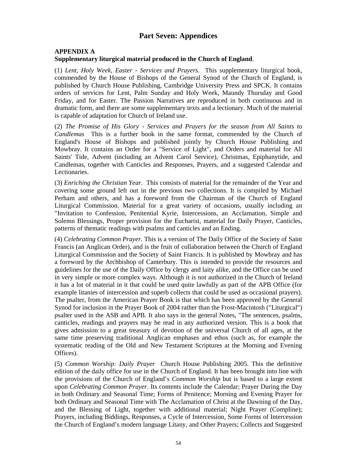## **Part Seven: Appendices**

## **APPENDIX A Supplementary liturgical material produced in the Church of England**.

(1) *Lent, Holy Week, Easter - Services and Prayers*. This supplementary liturgical book, commended by the House of Bishops of the General Synod of the Church of England, is published by Church House Publishing, Cambridge University Press and SPCK. It contains orders of services for Lent, Palm Sunday and Holy Week, Maundy Thursday and Good Friday, and for Easter. The Passion Narratives are reproduced in both continuous and in dramatic form, and there are some supplementary texts and a lectionary. Much of the material is capable of adaptation for Church of Ireland use.

(2) *The Promise of His Glory - Services and Prayers for the season from All Saints to Candlemas* This is a further book in the same format, commended by the Church of England's House of Bishops and published jointly by Church House Publishing and Mowbray. It contains an Order for a "Service of Light", and Orders and material for All Saints' Tide, Advent (including an Advent Carol Service), Christmas, Epiphanytide, and Candlemas, together with Canticles and Responses, Prayers, and a suggested Calendar and Lectionaries.

(3) *Enriching the Christian Year*. This consists of material for the remainder of the Year and covering some ground left out in the previous two collections. It is compiled by Michael Perham and others, and has a foreword from the Chairman of the Church of England Liturgical Commission. Material for a great variety of occasions, usually including an "Invitation to Confession, Penitential Kyrie, Intercessions, an Acclamation, Simple and Solemn Blessings, Proper provision for the Eucharist, material for Daily Prayer, Canticles, patterns of thematic readings with psalms and canticles and an Ending.

(4) *Celebrating Common Prayer*. This is a version of The Daily Office of the Society of Saint Francis (an Anglican Order), and is the fruit of collaboration between the Church of England Liturgical Commission and the Society of Saint Francis. It is published by Mowbray and has a foreword by the Archbishop of Canterbury. This is intended to provide the resources and guidelines for the use of the Daily Office by clergy and laity alike, and the Office can be used in very simple or more complex ways. Although it is not authorized in the Church of Ireland it has a lot of material in it that could be used quite lawfully as part of the APB Office (for example litanies of intercession and superb collects that could be used as occasional prayers). The psalter, from the American Prayer Book is that which has been approved by the General Synod for inclusion in the Prayer Book of 2004 rather than the Frost-Macintosh ("Liturgical") psalter used in the ASB and APB. It also says in the general Notes, "The sentences, psalms, canticles, readings and prayers may be read in any authorized version. This is a book that gives admission to a great treasury of devotion of the universal Church of all ages, at the same time preserving traditional Anglican emphases and ethos (such as, for example the systematic reading of the Old and New Testament Scriptures at the Morning and Evening Offices).

(5) *Common Worship: Daily Prayer* Church House Publishing 2005. This the definitive edition of the daily office for use in the Church of England. It has been brought into line with the provisions of the Church of England's *Common Worship* but is based to a large extent upon *Celebrating Common Prayer*. Its contents include the Calendar; Prayer During the Day in both Ordinary and Seasonal Time; Forms of Penitence; Morning and Evening Prayer for both Ordinary and Seasonal Time with The Acclamation of Christ at the Dawning of the Day, and the Blessing of Light, together with additional material; Night Prayer (Compline); Prayers, including Biddings, Responses, a Cycle of Intercession, Some Forms of Intercession the Church of England's modern language Litany, and Other Prayers; Collects and Suggested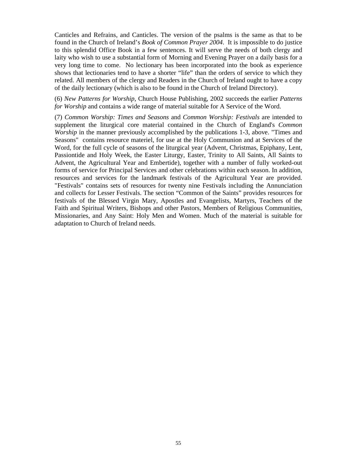Canticles and Refrains, and Canticles. The version of the psalms is the same as that to be found in the Church of Ireland's *Book of Common Prayer 2004*. It is impossible to do justice to this splendid Office Book in a few sentences. It will serve the needs of both clergy and laity who wish to use a substantial form of Morning and Evening Prayer on a daily basis for a very long time to come. No lectionary has been incorporated into the book as experience shows that lectionaries tend to have a shorter "life" than the orders of service to which they related. All members of the clergy and Readers in the Church of Ireland ought to have a copy of the daily lectionary (which is also to be found in the Church of Ireland Directory).

(6) *New Patterns for Worship*, Church House Publishing, 2002 succeeds the earlier *Patterns for Worship* and contains a wide range of material suitable for A Service of the Word.

(7) *Common Worship: Times and Seasons* and *Common Worship: Festivals* are intended to supplement the liturgical core material contained in the Church of England's *Common Worship* in the manner previously accomplished by the publications 1-3, above. "Times and Seasons" contains resource materiel, for use at the Holy Communion and at Services of the Word, for the full cycle of seasons of the liturgical year (Advent, Christmas, Epiphany, Lent, Passiontide and Holy Week, the Easter Liturgy, Easter, Trinity to All Saints, All Saints to Advent, the Agricultural Year and Embertide), together with a number of fully worked-out forms of service for Principal Services and other celebrations within each season. In addition, resources and services for the landmark festivals of the Agricultural Year are provided. "Festivals" contains sets of resources for twenty nine Festivals including the Annunciation and collects for Lesser Festivals. The section "Common of the Saints" provides resources for festivals of the Blessed Virgin Mary, Apostles and Evangelists, Martyrs, Teachers of the Faith and Spiritual Writers, Bishops and other Pastors, Members of Religious Communities, Missionaries, and Any Saint: Holy Men and Women. Much of the material is suitable for adaptation to Church of Ireland needs.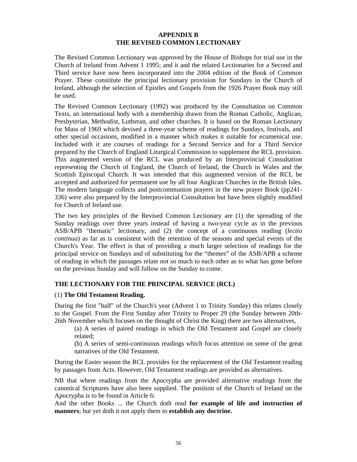#### **APPENDIX B THE REVISED COMMON LECTIONARY**

The Revised Common Lectionary was approved by the House of Bishops for trial use in the Church of Ireland from Advent 1 1995; and it and the related Lectionaries for a Second and Third service have now been incorporated into the 2004 edition of the Book of Common Prayer. These constitute the principal lectionary provision for Sundays in the Church of Ireland, although the selection of Epistles and Gospels from the 1926 Prayer Book may still be used.

The Revised Common Lectionary (1992) was produced by the Consultation on Common Texts, an international body with a membership drawn from the Roman Catholic, Anglican, Presbyterian, Methodist, Lutheran, and other churches. It is based on the Roman Lectionary for Mass of 1969 which devised a three-year scheme of readings for Sundays, festivals, and other special occasions, modified in a manner which makes it suitable for ecumenical use. Included with it are courses of readings for a Second Service and for a Third Service prepared by the Church of England Liturgical Commission to supplement the RCL provision. This augmented version of the RCL was produced by an Interprovincial Consultation representing the Church of England, the Church of Ireland, the Church in Wales and the Scottish Episcopal Church. It was intended that this augmented version of the RCL be accepted and authorized for permanent use by all four Anglican Churches in the British Isles. The modern language collects and postcommunion prayers in the new prayer Book (pp241- 336) were also prepared by the Interprovincial Consultation but have been slightly modified for Church of Ireland use.

The two key principles of the Revised Common Lectionary are (1) the spreading of the Sunday readings over three years instead of having a two-year cycle as in the previous ASB/APB "thematic" lectionary, and (2) the concept of a continuous reading (*lectio continua*) as far as is consistent with the retention of the seasons and special events of the Church's Year. The effect is that of providing a much larger selection of readings for the principal service on Sundays and of substituting for the "themes" of the ASB/APB a scheme of reading in which the passages relate not so much to each other as to what has gone before on the previous Sunday and will follow on the Sunday to come.

## **THE LECTIONARY FOR THE PRINCIPAL SERVICE (RCL)**

#### (1) **The Old Testament Reading.**

During the first "half" of the Church's year (Advent 1 to Trinity Sunday) this relates closely to the Gospel. From the First Sunday after Trinity to Proper 29 (the Sunday between 20th-26th November which focuses on the thought of Christ the King) there are two alternatives,

(a) A series of paired readings in which the Old Testament and Gospel are closely related;

(b) A series of semi-continuous readings which focus attention on some of the great narratives of the Old Testament.

During the Easter season the RCL provides for the replacement of the Old Testament reading by passages from Acts. However, Old Testament readings are provided as alternatives.

NB that where readings from the Apocrypha are provided alternative readings from the canonical Scriptures have also been supplied. The position of the Church of Ireland on the Apocrypha is to be found in Article 6:

And the other Books ... the Church doth read **for example of life and instruction of manners**; but yet doth it not apply them to **establish any doctrine.**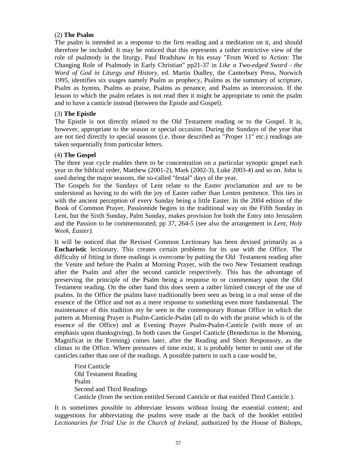#### (2) **The Psalm**

The psalm is intended as a response to the first reading and a meditation on it, and should therefore be included. It may be noticed that this represents a rather restrictive view of the role of psalmody in the liturgy. Paul Bradshaw in his essay "From Word to Action: The Changing Role of Psalmody in Early Christian" pp21-37 in *Like a Two-edged Sword - the Word of God in Liturgy and History*, ed. Martin Dudley, the Canterbury Press, Norwich 1995, identifies six usages namely Psalm as prophecy, Psalms as the summary of scripture, Psalm as hymns, Psalms as praise, Psalms as penance, and Psalms as intercession. If the lesson to which the psalm relates is not read then it might be appropriate to omit the psalm and to have a canticle instead (between the Epistle and Gospel).

#### (3) **The Epistle**

The Epistle is not directly related to the Old Testament reading or to the Gospel. It is, however, appropriate to the season or special occasion. During the Sundays of the year that are not tied directly to special seasons (i.e. those described as "Proper 11" etc.) readings are taken sequentially from particular letters.

#### (4) **The Gospel**

The three year cycle enables there to be concentration on a particular synoptic gospel each year in the biblical order, Matthew (2001-2), Mark (2002-3), Luke 2003-4) and so on. John is used during the major seasons, the so-called "festal" days of the year.

The Gospels for the Sundays of Lent relate to the Easter proclamation and are to be understood as having to do with the joy of Easter rather than Lenten penitence. This ties in with the ancient perception of every Sunday being a little Easter. In the 2004 edition of the Book of Common Prayer, Passiontide begins in the traditional way on the Fifth Sunday in Lent, but the Sixth Sunday, Palm Sunday, makes provision for both the Entry into Jerusalem and the Passion to be commemorated, pp 37, 264-5 (see also the arrangement in *Lent, Holy Week, Easter).* 

It will be noticed that the Revised Common Lectionary has been devised primarily as a **Eucharistic** lectionary. This creates certain problems for its use with the Office. The difficulty of fitting in three readings is overcome by putting the Old Testament reading after the Venite and before the Psalm at Morning Prayer, with the two New Testament readings after the Psalm and after the second canticle respectively. This has the advantage of preserving the principle of the Psalm being a response to or commentary upon the Old Testament reading. On the other hand this does seem a rather limited concept of the use of psalms. In the Office the psalms have traditionally been seen as being in a real sense of the essence of the Office and not as a mere response to something even more fundamental. The maintenance of this tradition my be seen in the contemporary Roman Office in which the pattern at Morning Prayer is Psalm-Canticle-Psalm (all to do with the praise which is of the essence of the Office) and at Evening Prayer Psalm-Psalm-Canticle (with more of an emphasis upon thanksgiving). In both cases the Gospel Canticle (Benedictus in the Morning, Magnificat in the Evening) comes later, after the Reading and Short Responsory, as the climax to the Office. Where pressures of time exist, it is probably better to omit one of the canticles rather than one of the readings. A possible pattern in such a case would be,

 First Canticle Old Testament Reading Psalm Second and Third Readings Canticle (from the section entitled Second Canticle or that entitled Third Canticle.).

It is sometimes possible to abbreviate lessons without losing the essential content; and suggestions for abbreviating the psalms were made at the back of the booklet entitled *Lectionaries for Trial Use in the Church of Ireland*, authorized by the House of Bishops,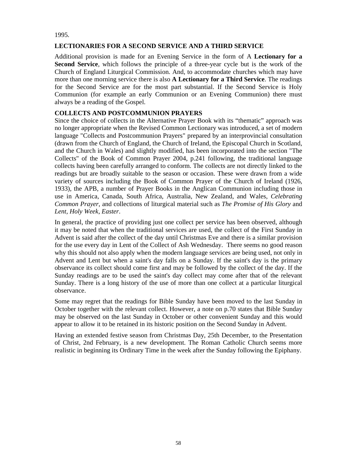1995.

## **LECTIONARIES FOR A SECOND SERVICE AND A THIRD SERVICE**

Additional provision is made for an Evening Service in the form of A **Lectionary for a Second Service**, which follows the principle of a three-year cycle but is the work of the Church of England Liturgical Commission. And, to accommodate churches which may have more than one morning service there is also **A Lectionary for a Third Service**. The readings for the Second Service are for the most part substantial. If the Second Service is Holy Communion (for example an early Communion or an Evening Communion) there must always be a reading of the Gospel.

## **COLLECTS AND POSTCOMMUNION PRAYERS**

Since the choice of collects in the Alternative Prayer Book with its "thematic" approach was no longer appropriate when the Revised Common Lectionary was introduced, a set of modern language "Collects and Postcommunion Prayers" prepared by an interprovincial consultation (drawn from the Church of England, the Church of Ireland, the Episcopal Church in Scotland, and the Church in Wales) and slightly modified, has been incorporated into the section "The Collects" of the Book of Common Prayer 2004, p.241 following, the traditional language collects having been carefully arranged to conform. The collects are not directly linked to the readings but are broadly suitable to the season or occasion. These were drawn from a wide variety of sources including the Book of Common Prayer of the Church of Ireland (1926, 1933), the APB, a number of Prayer Books in the Anglican Communion including those in use in America, Canada, South Africa, Australia, New Zealand, and Wales, *Celebrating Common Prayer*, and collections of liturgical material such as *The Promise of His Glory* and *Lent, Holy Week, Easter*.

In general, the practice of providing just one collect per service has been observed, although it may be noted that when the traditional services are used, the collect of the First Sunday in Advent is said after the collect of the day until Christmas Eve and there is a similar provision for the use every day in Lent of the Collect of Ash Wednesday. There seems no good reason why this should not also apply when the modern language services are being used, not only in Advent and Lent but when a saint's day falls on a Sunday. If the saint's day is the primary observance its collect should come first and may be followed by the collect of the day. If the Sunday readings are to be used the saint's day collect may come after that of the relevant Sunday. There is a long history of the use of more than one collect at a particular liturgical observance.

Some may regret that the readings for Bible Sunday have been moved to the last Sunday in October together with the relevant collect. However, a note on p.70 states that Bible Sunday may be observed on the last Sunday in October or other convenient Sunday and this would appear to allow it to be retained in its historic position on the Second Sunday in Advent.

Having an extended festive season from Christmas Day, 25th December, to the Presentation of Christ, 2nd February, is a new development. The Roman Catholic Church seems more realistic in beginning its Ordinary Time in the week after the Sunday following the Epiphany.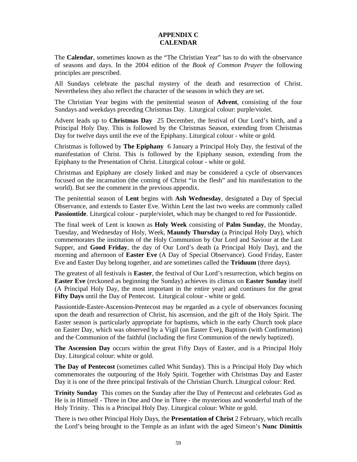#### **APPENDIX C CALENDAR**

The **Calendar**, sometimes known as the "The Christian Year" has to do with the observance of seasons and days. In the 2004 edition of the *Book of Common Prayer* the following principles are prescribed.

All Sundays celebrate the paschal mystery of the death and resurrection of Christ. Nevertheless they also reflect the character of the seasons in which they are set.

The Christian Year begins with the penitential season of **Advent**, consisting of the four Sundays and weekdays preceding Christmas Day. Liturgical colour: purple/violet.

Advent leads up to **Christmas Day** 25 December, the festival of Our Lord's birth, and a Principal Holy Day. This is followed by the Christmas Season, extending from Christmas Day for twelve days until the eve of the Epiphany. Liturgical colour - white or gold.

Christmas is followed by **The Epiphany** 6 January a Principal Holy Day, the festival of the manifestation of Christ. This is followed by the Epiphany season, extending from the Epiphany to the Presentation of Christ. Liturgical colour - white or gold.

Christmas and Epiphany are closely linked and may be considered a cycle of observances focused on the incarnation (the coming of Christ "in the flesh" and his manifestation to the world). But see the comment in the previous appendix.

The penitential season of **Lent** begins with **Ash Wednesday**, designated a Day of Special Observance, and extends to Easter Eve. Within Lent the last two weeks are commonly called **Passiontide**. Liturgical colour - purple/violet, which may be changed to red for Passiontide.

The final week of Lent is known as **Holy Week** consisting of **Palm Sunday**, the Monday, Tuesday, and Wednesday of Holy, Week, **Maundy Thursday** (a Principal Holy Day), which commemorates the institution of the Holy Communion by Our Lord and Saviour at the Last Supper, and **Good Friday**, the day of Our Lord's death (a Principal Holy Day), and the morning and afternoon of **Easter Eve** (A Day of Special Observance). Good Friday, Easter Eve and Easter Day belong together, and are sometimes called the **Triduum** (three days).

The greatest of all festivals is **Easter**, the festival of Our Lord's resurrection, which begins on **Easter Eve** (reckoned as beginning the Sunday) achieves its climax on **Easter Sunday** itself (A Principal Holy Day, the most important in the entire year) and continues for the great **Fifty Days** until the Day of Pentecost. Liturgical colour - white or gold.

Passiontide-Easter-Ascension-Pentecost may be regarded as a cycle of observances focusing upon the death and resurrection of Christ, his ascension, and the gift of the Holy Spirit. The Easter season is particularly appropriate for baptisms, which in the early Church took place on Easter Day, which was observed by a Vigil (on Easter Eve), Baptism (with Confirmation) and the Communion of the faithful (including the first Communion of the newly baptized).

**The Ascension Day** occurs within the great Fifty Days of Easter, and is a Principal Holy Day. Liturgical colour: white or gold.

**The Day of Pentecost** (sometimes called Whit Sunday). This is a Principal Holy Day which commemorates the outpouring of the Holy Spirit. Together with Christmas Day and Easter Day it is one of the three principal festivals of the Christian Church. Liturgical colour: Red.

**Trinity Sunday** This comes on the Sunday after the Day of Pentecost and celebrates God as He is in Himself - Three in One and One in Three - the mysterious and wonderful truth of the Holy Trinity. This is a Principal Holy Day. Liturgical colour: White or gold.

There is two other Principal Holy Days, the **Presentation of Christ** 2 February, which recalls the Lord's being brought to the Temple as an infant with the aged Simeon's **Nunc Dimittis**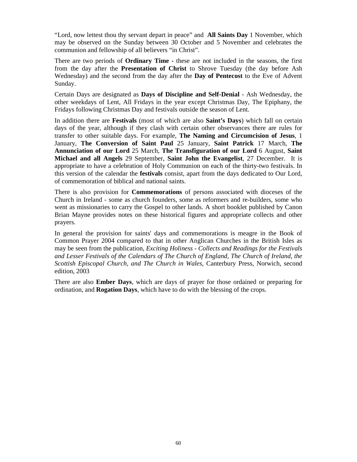"Lord, now lettest thou thy servant depart in peace" and **All Saints Day** 1 November, which may be observed on the Sunday between 30 October and 5 November and celebrates the communion and fellowship of all believers "in Christ".

There are two periods of **Ordinary Time -** these are not included in the seasons, the first from the day after the **Presentation of Christ** to Shrove Tuesday (the day before Ash Wednesday) and the second from the day after the **Day of Pentecost** to the Eve of Advent Sunday.

Certain Days are designated as **Days of Discipline and Self-Denial** - Ash Wednesday, the other weekdays of Lent, All Fridays in the year except Christmas Day, The Epiphany, the Fridays following Christmas Day and festivals outside the season of Lent.

In addition there are **Festivals** (most of which are also **Saint's Days**) which fall on certain days of the year, although if they clash with certain other observances there are rules for transfer to other suitable days. For example, **The Naming and Circumcision of Jesus**, 1 January, **The Conversion of Saint Paul** 25 January, **Saint Patrick** 17 March, **The Annunciation of our Lord** 25 March, **The Transfiguration of our Lord** 6 August, **Saint Michael and all Angels** 29 September, **Saint John the Evangelist**, 27 December. It is appropriate to have a celebration of Holy Communion on each of the thirty-two festivals. In this version of the calendar the **festivals** consist, apart from the days dedicated to Our Lord, of commemoration of biblical and national saints.

There is also provision for **Commemorations** of persons associated with dioceses of the Church in Ireland - some as church founders, some as reformers and re-builders, some who went as missionaries to carry the Gospel to other lands. A short booklet published by Canon Brian Mayne provides notes on these historical figures and appropriate collects and other prayers.

In general the provision for saints' days and commemorations is meagre in the Book of Common Prayer 2004 compared to that in other Anglican Churches in the British Isles as may be seen from the publication, *Exciting Holiness - Collects and Readings for the Festivals and Lesser Festivals of the Calendars of The Church of England, The Church of Ireland, the Scottish Episcopal Church, and The Church in Wales*, Canterbury Press, Norwich, second edition, 2003

There are also **Ember Days**, which are days of prayer for those ordained or preparing for ordination, and **Rogation Days**, which have to do with the blessing of the crops.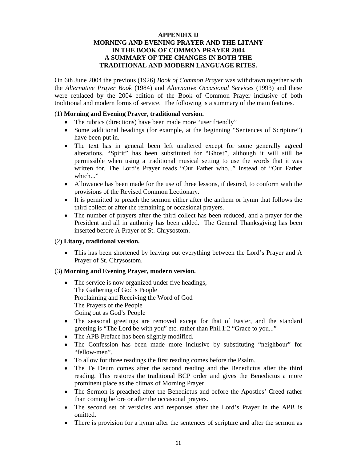#### **APPENDIX D**

## **MORNING AND EVENING PRAYER AND THE LITANY IN THE BOOK OF COMMON PRAYER 2004 A SUMMARY OF THE CHANGES IN BOTH THE TRADITIONAL AND MODERN LANGUAGE RITES.**

On 6th June 2004 the previous (1926) *Book of Common Prayer* was withdrawn together with the *Alternative Prayer Book* (1984) and *Alternative Occasional Services* (1993) and these were replaced by the 2004 edition of the Book of Common Prayer inclusive of both traditional and modern forms of service. The following is a summary of the main features.

#### (1) **Morning and Evening Prayer, traditional version.**

- The rubrics (directions) have been made more "user friendly"
- Some additional headings (for example, at the beginning "Sentences of Scripture") have been put in.
- The text has in general been left unaltered except for some generally agreed alterations. "Spirit" has been substituted for "Ghost", although it will still be permissible when using a traditional musical setting to use the words that it was written for. The Lord's Prayer reads "Our Father who..." instead of "Our Father which..."
- Allowance has been made for the use of three lessons, if desired, to conform with the provisions of the Revised Common Lectionary.
- It is permitted to preach the sermon either after the anthem or hymn that follows the third collect or after the remaining or occasional prayers.
- The number of prayers after the third collect has been reduced, and a prayer for the President and all in authority has been added. The General Thanksgiving has been inserted before A Prayer of St. Chrysostom.

#### (2) **Litany, traditional version.**

• This has been shortened by leaving out everything between the Lord's Prayer and A Prayer of St. Chrysostom.

#### (3) **Morning and Evening Prayer, modern version.**

- The service is now organized under five headings, The Gathering of God's People Proclaiming and Receiving the Word of God The Prayers of the People Going out as God's People
- The seasonal greetings are removed except for that of Easter, and the standard greeting is "The Lord be with you" etc. rather than Phil.1:2 "Grace to you..."
- The APB Preface has been slightly modified.
- The Confession has been made more inclusive by substituting "neighbour" for "fellow-men".
- To allow for three readings the first reading comes before the Psalm.
- The Te Deum comes after the second reading and the Benedictus after the third reading. This restores the traditional BCP order and gives the Benedictus a more prominent place as the climax of Morning Prayer.
- The Sermon is preached after the Benedictus and before the Apostles' Creed rather than coming before or after the occasional prayers.
- The second set of versicles and responses after the Lord's Prayer in the APB is omitted.
- There is provision for a hymn after the sentences of scripture and after the sermon as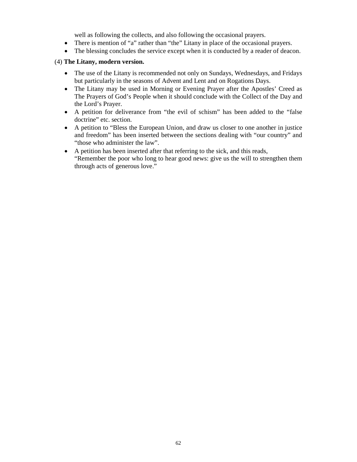well as following the collects, and also following the occasional prayers.

- There is mention of "a" rather than "the" Litany in place of the occasional prayers.
- The blessing concludes the service except when it is conducted by a reader of deacon.

## (4) **The Litany, modern version.**

- The use of the Litany is recommended not only on Sundays, Wednesdays, and Fridays but particularly in the seasons of Advent and Lent and on Rogations Days.
- The Litany may be used in Morning or Evening Prayer after the Apostles' Creed as The Prayers of God's People when it should conclude with the Collect of the Day and the Lord's Prayer.
- A petition for deliverance from "the evil of schism" has been added to the "false doctrine" etc. section.
- A petition to "Bless the European Union, and draw us closer to one another in justice and freedom" has been inserted between the sections dealing with "our country" and "those who administer the law".
- A petition has been inserted after that referring to the sick, and this reads, "Remember the poor who long to hear good news: give us the will to strengthen them through acts of generous love."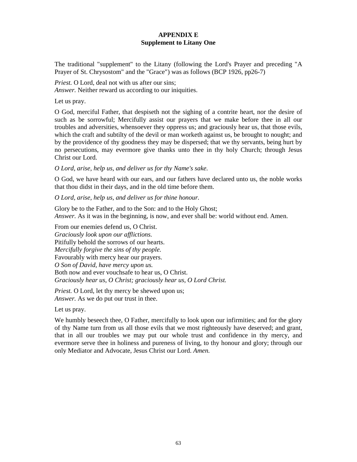#### **APPENDIX E Supplement to Litany One**

The traditional "supplement" to the Litany (following the Lord's Prayer and preceding "A Prayer of St. Chrysostom" and the "Grace") was as follows (BCP 1926, pp26-7)

*Priest.* O Lord, deal not with us after our sins; *Answer.* Neither reward us according to our iniquities.

Let us pray.

O God, merciful Father, that despiseth not the sighing of a contrite heart, nor the desire of such as be sorrowful; Mercifully assist our prayers that we make before thee in all our troubles and adversities, whensoever they oppress us; and graciously hear us, that those evils, which the craft and subtilty of the devil or man worketh against us, be brought to nought; and by the providence of thy goodness they may be dispersed; that we thy servants, being hurt by no persecutions, may evermore give thanks unto thee in thy holy Church; through Jesus Christ our Lord.

#### *O Lord, arise, help us, and deliver us for thy Name's sake.*

O God, we have heard with our ears, and our fathers have declared unto us, the noble works that thou didst in their days, and in the old time before them.

*O Lord, arise, help us, and deliver us for thine honour.* 

Glory be to the Father, and to the Son: and to the Holy Ghost; *Answer.* As it was in the beginning, is now, and ever shall be: world without end. Amen.

From our enemies defend us, O Christ. *Graciously look upon our afflictions.*  Pitifully behold the sorrows of our hearts. *Mercifully forgive the sins of thy people.*  Favourably with mercy hear our prayers. *O Son of David, have mercy upon us.*  Both now and ever vouchsafe to hear us, O Christ. *Graciously hear us, O Christ; graciously hear us, O Lord Christ.* 

*Priest.* O Lord, let thy mercy be shewed upon us; *Answer.* As we do put our trust in thee.

Let us pray.

We humbly beseech thee, O Father, mercifully to look upon our infirmities; and for the glory of thy Name turn from us all those evils that we most righteously have deserved; and grant, that in all our troubles we may put our whole trust and confidence in thy mercy, and evermore serve thee in holiness and pureness of living, to thy honour and glory; through our only Mediator and Advocate, Jesus Christ our Lord. *Amen.*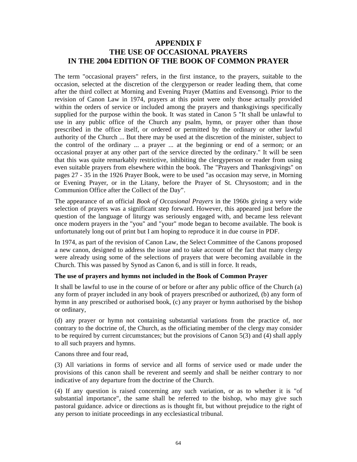## **APPENDIX F THE USE OF OCCASIONAL PRAYERS IN THE 2004 EDITION OF THE BOOK OF COMMON PRAYER**

The term "occasional prayers" refers, in the first instance, to the prayers, suitable to the occasion, selected at the discretion of the clergyperson or reader leading them, that come after the third collect at Morning and Evening Prayer (Mattins and Evensong). Prior to the revision of Canon Law in 1974, prayers at this point were only those actually provided within the orders of service or included among the prayers and thanksgivings specifically supplied for the purpose within the book. It was stated in Canon 5 "It shall be unlawful to use in any public office of the Church any psalm, hymn, or prayer other than those prescribed in the office itself, or ordered or permitted by the ordinary or other lawful authority of the Church ... But there may be used at the discretion of the minister, subject to the control of the ordinary ... a prayer ... at the beginning or end of a sermon; or an occasional prayer at any other part of the service directed by the ordinary." It will be seen that this was quite remarkably restrictive, inhibiting the clergyperson or reader from using even suitable prayers from elsewhere within the book. The "Prayers and Thanksgivings" on pages 27 - 35 in the 1926 Prayer Book, were to be used "as occasion may serve, in Morning or Evening Prayer, or in the Litany, before the Prayer of St. Chrysostom; and in the Communion Office after the Collect of the Day".

The appearance of an official *Book of Occasional Prayers* in the 1960s giving a very wide selection of prayers was a significant step forward. However, this appeared just before the question of the language of liturgy was seriously engaged with, and became less relevant once modern prayers in the "you" and "your" mode began to become available. The book is unfortunately long out of print but I am hoping to reproduce it in due course in PDF.

In 1974, as part of the revision of Canon Law, the Select Committee of the Canons proposed a new canon, designed to address the issue and to take account of the fact that many clergy were already using some of the selections of prayers that were becoming available in the Church. This was passed by Synod as Canon 6, and is still in force. It reads,

#### **The use of prayers and hymns not included in the Book of Common Prayer**

It shall be lawful to use in the course of or before or after any public office of the Church (a) any form of prayer included in any book of prayers prescribed or authorized, (b) any form of hymn in any prescribed or authorised book, (c) any prayer or hymn authorised by the bishop or ordinary,

(d) any prayer or hymn not containing substantial variations from the practice of, nor contrary to the doctrine of, the Church, as the officiating member of the clergy may consider to be required by current circumstances; but the provisions of Canon 5(3) and (4) shall apply to all such prayers and hymns.

Canons three and four read,

(3) All variations in forms of service and all forms of service used or made under the provisions of this canon shall be reverent and seemly and shall be neither contrary to nor indicative of any departure from the doctrine of the Church.

(4) If any question is raised concerning any such variation, or as to whether it is "of substantial importance", the same shall be referred to the bishop, who may give such pastoral guidance. advice or directions as is thought fit, but without prejudice to the right of any person to initiate proceedings in any ecclesiastical tribunal.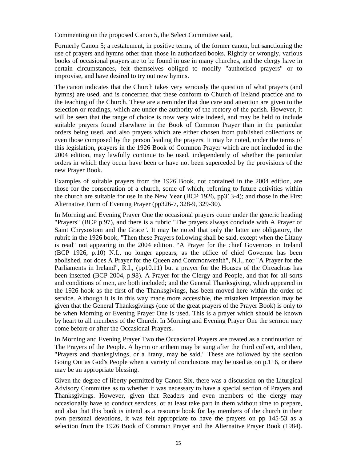Commenting on the proposed Canon 5, the Select Committee said,

Formerly Canon 5; a restatement, in positive terms, of the former canon, but sanctioning the use of prayers and hymns other than those in authorized books. Rightly or wrongly, various books of occasional prayers are to be found in use in many churches, and the clergy have in certain circumstances, felt themselves obliged to modify "authorised prayers" or to improvise, and have desired to try out new hymns.

The canon indicates that the Church takes very seriously the question of what prayers (and hymns) are used, and is concerned that these conform to Church of Ireland practice and to the teaching of the Church. These are a reminder that due care and attention are given to the selection or readings, which are under the authority of the rectory of the parish. However, it will be seen that the range of choice is now very wide indeed, and may be held to include suitable prayers found elsewhere in the Book of Common Prayer than in the particular orders being used, and also prayers which are either chosen from published collections or even those composed by the person leading the prayers. It may be noted, under the terms of this legislation, prayers in the 1926 Book of Common Prayer which are not included in the 2004 edition, may lawfully continue to be used, independently of whether the particular orders in which they occur have been or have not been superceded by the provisions of the new Prayer Book.

Examples of suitable prayers from the 1926 Book, not contained in the 2004 edition, are those for the consecration of a church, some of which, referring to future activities within the church are suitable for use in the New Year (BCP 1926, pp313-4); and those in the First Alternative Form of Evening Prayer (pp326-7, 328-9, 329-30).

In Morning and Evening Prayer One the occasional prayers come under the generic heading "Prayers" (BCP p.97), and there is a rubric "The prayers always conclude with A Prayer of Saint Chrysostom and the Grace". It may be noted that only the latter are obligatory, the rubric in the 1926 book, "Then these Prayers following shall be said, except when the Litany is read" not appearing in the 2004 edition. "A Prayer for the chief Governors in Ireland (BCP 1926, p.10) N.I., no longer appears, as the office of chief Governor has been abolished, nor does A Prayer for the Queen and Commonwealth", N.I., nor "A Prayer for the Parliaments in Ireland", R.I., (pp10.11) but a prayer for the Houses of the Oireachtas has been inserted (BCP 2004, p.98). A Prayer for the Clergy and People, and that for all sorts and conditions of men, are both included; and the General Thanksgiving, which appeared in the 1926 hook as the first of the Thanksgivings, has been moved here within the order of service. Although it is in this way made more accessible, the mistaken impression may be given that the General Thanksgivings (one of the great prayers of the Prayer Book) is only to be when Morning or Evening Prayer One is used. This is a prayer which should be known by heart to all members of the Church. In Morning and Evening Prayer One the sermon may come before or after the Occasional Prayers.

In Morning and Evening Prayer Two the Occasional Prayers are treated as a continuation of The Prayers of the People. A hymn or anthem may be sung after the third collect, and then, "Prayers and thanksgivings, or a litany, may be said." These are followed by the section Going Out as God's People when a variety of conclusions may be used as on p.116, or there may be an appropriate blessing.

Given the degree of liberty permitted by Canon Six, there was a discussion on the Liturgical Advisory Committee as to whether it was necessary to have a special section of Prayers and Thanksgivings. However, given that Readers and even members of the clergy may occasionally have to conduct services, or at least take part in them without time to prepare, and also that this book is intend as a resource book for lay members of the church in their own personal devotions, it was felt appropriate to have the prayers on pp 145-53 as a selection from the 1926 Book of Common Prayer and the Alternative Prayer Book (1984).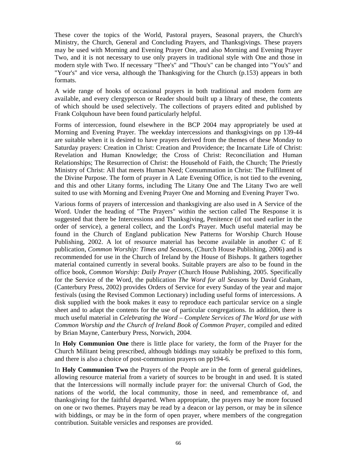These cover the topics of the World, Pastoral prayers, Seasonal prayers, the Church's Ministry, the Church, General and Concluding Prayers, and Thanksgivings. These prayers may be used with Morning and Evening Prayer One, and also Morning and Evening Prayer Two, and it is not necessary to use only prayers in traditional style with One and those in modern style with Two. If necessary "Thee's" and "Thou's" can be changed into "You's" and "Your's" and vice versa, although the Thanksgiving for the Church (p.153) appears in both formats.

A wide range of hooks of occasional prayers in both traditional and modern form are available, and every clergyperson or Reader should built up a library of these, the contents of which should be used selectively. The collections of prayers edited and published by Frank Colquhoun have been found particularly helpful.

Forms of intercession, found elsewhere in the BCP 2004 may appropriately be used at Morning and Evening Prayer. The weekday intercessions and thanksgivings on pp 139-44 are suitable when it is desired to have prayers derived from the themes of these Monday to Saturday prayers: Creation in Christ: Creation and Providence; the Incarnate Life of Christ: Revelation and Human Knowledge; the Cross of Christ: Reconciliation and Human Relationships; The Resurrection of Christ: the Household of Faith, the Church; The Priestly Ministry of Christ: All that meets Human Need; Consummation in Christ: The Fulfilment of the Divine Purpose. The form of prayer in A Late Evening Office, is not tied to the evening, and this and other Litany forms, including The Litany One and The Litany Two are well suited to use with Morning and Evening Prayer One and Morning and Evening Prayer Two.

Various forms of prayers of intercession and thanksgiving are also used in A Service of the Word. Under the heading of "The Prayers" within the section called The Response it is suggested that there be Intercessions and Thanksgiving, Penitence (if not used earlier in the order of service), a general collect, and the Lord's Prayer. Much useful material may be found in the Church of England publication New Patterns for Worship Church House Publishing, 2002. A lot of resource material has become available in another C of E publication, *Common Worship: Times and Seasons*, (Church House Publishing, 2006) and is recommended for use in the Church of Ireland by the House of Bishops. It gathers together material contained currently in several books. Suitable prayers are also to be found in the office book, *Common Worship: Daily Prayer* (Church House Publishing, 2005. Specifically for the Service of the Word, the publication *The Word for all Seasons* by David Graham, (Canterbury Press, 2002) provides Orders of Service for every Sunday of the year and major festivals (using the Revised Common Lectionary) including useful forms of intercessions. A disk supplied with the book makes it easy to reproduce each particular service on a single sheet and to adapt the contents for the use of particular congregations. In addition, there is much useful material in *Celebrating the Word – Complete Services of The Word for use with Common Worship and the Church of Ireland Book of Common Prayer*, compiled and edited by Brian Mayne, Canterbury Press, Norwich, 2004.

In **Holy Communion One** there is little place for variety, the form of the Prayer for the Church Militant being prescribed, although biddings may suitably be prefixed to this form, and there is also a choice of post-communion prayers on pp194-6.

In **Holy Communion Two** the Prayers of the People are in the form of general guidelines, allowing resource material from a variety of sources to be brought in and used. It is stated that the Intercessions will normally include prayer for: the universal Church of God, the nations of the world, the local community, those in need, and remembrance of, and thanksgiving for the faithful departed. When appropriate, the prayers may be more focused on one or two themes. Prayers may be read by a deacon or lay person, or may be in silence with biddings, or may be in the form of open prayer, where members of the congregation contribution. Suitable versicles and responses are provided.